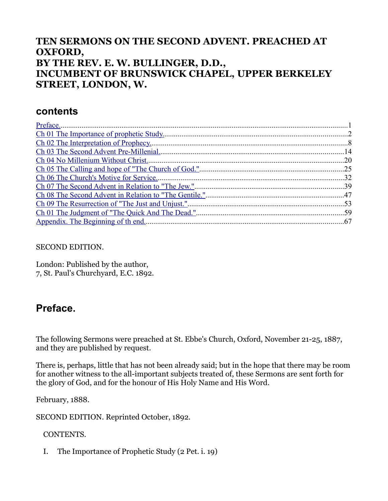### **TEN SERMONS ON THE SECOND ADVENT. PREACHED AT OXFORD, BY THE REV. E. W. BULLINGER, D.D., INCUMBENT OF BRUNSWICK CHAPEL, UPPER BERKELEY STREET, LONDON, W.**

### **contents**

SECOND EDITION.

London: Published by the author, 7, St. Paul's Churchyard, E.C. 1892.

# <span id="page-0-0"></span>**Preface.**

The following Sermons were preached at St. Ebbe's Church, Oxford, November 21-25, 1887, and they are published by request.

There is, perhaps, little that has not been already said; but in the hope that there may be room for another witness to the all-important subjects treated of, these Sermons are sent forth for the glory of God, and for the honour of His Holy Name and His Word.

February, 1888.

SECOND EDITION. Reprinted October, 1892.

CONTENTS.

I. The Importance of Prophetic Study (2 Pet. i. 19)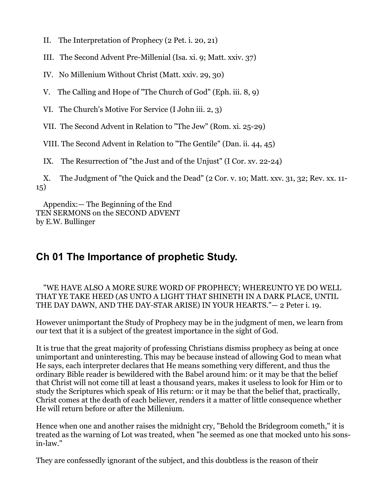- II. The Interpretation of Prophecy (2 Pet. i. 20, 21)
- III. The Second Advent Pre-Millenial (Isa. xi. 9; Matt. xxiv. 37)
- IV. No Millenium Without Christ (Matt. xxiv. 29, 30)
- V. The Calling and Hope of "The Church of God" (Eph. iii. 8, 9)
- VI. The Church's Motive For Service (I John iii. 2, 3)

VII. The Second Advent in Relation to "The Jew" (Rom. xi. 25-29)

VIII. The Second Advent in Relation to "The Gentile" (Dan. ii. 44, 45)

IX. The Resurrection of "the Just and of the Unjust" (I Cor. xv. 22-24)

 X. The Judgment of "the Quick and the Dead" (2 Cor. v. 10; Matt. xxv. 31, 32; Rev. xx. 11- 15)

 Appendix:— The Beginning of the End TEN SERMONS on the SECOND ADVENT by E.W. Bullinger

## <span id="page-1-0"></span>**Ch 01 The Importance of prophetic Study.**

#### "WE HAVE ALSO A MORE SURE WORD OF PROPHECY; WHEREUNTO YE DO WELL THAT YE TAKE HEED (AS UNTO A LIGHT THAT SHINETH IN A DARK PLACE, UNTIL THE DAY DAWN, AND THE DAY-STAR ARISE) IN YOUR HEARTS."— 2 Peter i. 19.

However unimportant the Study of Prophecy may be in the judgment of men, we learn from our text that it is a subject of the greatest importance in the sight of God.

It is true that the great majority of professing Christians dismiss prophecy as being at once unimportant and uninteresting. This may be because instead of allowing God to mean what He says, each interpreter declares that He means something very different, and thus the ordinary Bible reader is bewildered with the Babel around him: or it may be that the belief that Christ will not come till at least a thousand years, makes it useless to look for Him or to study the Scriptures which speak of His return: or it may be that the belief that, practically, Christ comes at the death of each believer, renders it a matter of little consequence whether He will return before or after the Millenium.

Hence when one and another raises the midnight cry, "Behold the Bridegroom cometh," it is treated as the warning of Lot was treated, when "he seemed as one that mocked unto his sonsin-law."

They are confessedly ignorant of the subject, and this doubtless is the reason of their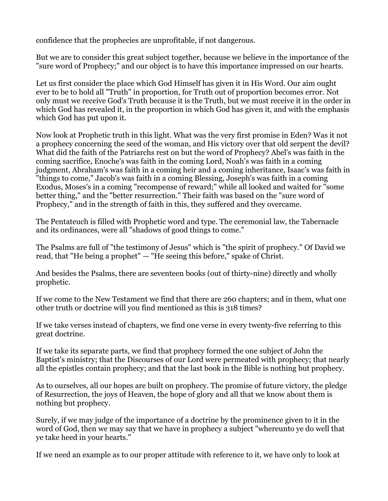confidence that the prophecies are unprofitable, if not dangerous.

But we are to consider this great subject together, because we believe in the importance of the "sure word of Prophecy;" and our object is to have this importance impressed on our hearts.

Let us first consider the place which God Himself has given it in His Word. Our aim ought ever to be to hold all "Truth" in proportion, for Truth out of proportion becomes error. Not only must we receive God's Truth because it is the Truth, but we must receive it in the order in which God has revealed it, in the proportion in which God has given it, and with the emphasis which God has put upon it.

Now look at Prophetic truth in this light. What was the very first promise in Eden? Was it not a prophecy concerning the seed of the woman, and His victory over that old serpent the devil? What did the faith of the Patriarchs rest on but the word of Prophecy? Abel's was faith in the coming sacrifice, Enoche's was faith in the coming Lord, Noah's was faith in a coming judgment, Abraham's was faith in a coming heir and a coming inheritance, Isaac's was faith in "things to come," Jacob's was faith in a coming Blessing, Joseph's was faith in a coming Exodus, Moses's in a coming "recompense of reward;" while all looked and waited for "some better thing," and the "better resurrection." Their faith was based on the "sure word of Prophecy," and in the strength of faith in this, they suffered and they overcame.

The Pentateuch is filled with Prophetic word and type. The ceremonial law, the Tabernacle and its ordinances, were all "shadows of good things to come."

The Psalms are full of "the testimony of Jesus" which is "the spirit of prophecy." Of David we read, that "He being a prophet" — "He seeing this before," spake of Christ.

And besides the Psalms, there are seventeen books (out of thirty-nine) directly and wholly prophetic.

If we come to the New Testament we find that there are 260 chapters; and in them, what one other truth or doctrine will you find mentioned as this is 318 times?

If we take verses instead of chapters, we find one verse in every twenty-five referring to this great doctrine.

If we take its separate parts, we find that prophecy formed the one subject of John the Baptist's ministry; that the Discourses of our Lord were permeated with prophecy; that nearly all the epistles contain prophecy; and that the last book in the Bible is nothing but prophecy.

As to ourselves, all our hopes are built on prophecy. The promise of future victory, the pledge of Resurrection, the joys of Heaven, the hope of glory and all that we know about them is nothing but prophecy.

Surely, if we may judge of the importance of a doctrine by the prominence given to it in the word of God, then we may say that we have in prophecy a subject "whereunto ye do well that ye take heed in your hearts."

If we need an example as to our proper attitude with reference to it, we have only to look at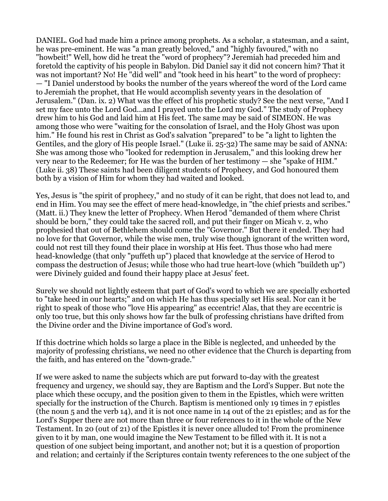DANIEL. God had made him a prince among prophets. As a scholar, a statesman, and a saint, he was pre-eminent. He was "a man greatly beloved," and "highly favoured," with no "howbeit!" Well, how did he treat the "word of prophecy"? Jeremiah had preceded him and foretold the captivity of his people in Babylon. Did Daniel say it did not concern him? That it was not important? No! He "did well" and "took heed in his heart" to the word of prophecy: — "I Daniel understood by books the number of the years whereof the word of the Lord came to Jeremiah the prophet, that He would accomplish seventy years in the desolation of Jerusalem." (Dan. ix. 2) What was the effect of his prophetic study? See the next verse, "And I set my face unto the Lord God...and I prayed unto the Lord my God." The study of Prophecy drew him to his God and laid him at His feet. The same may be said of SIMEON. He was among those who were "waiting for the consolation of Israel, and the Holy Ghost was upon him." He found his rest in Christ as God's salvation "prepared" to be "a light to lighten the Gentiles, and the glory of His people Israel." (Luke ii. 25-32) The same may be said of ANNA: She was among those who "looked for redemption in Jerusalem," and this looking drew her very near to the Redeemer; for He was the burden of her testimony — she "spake of HIM." (Luke ii. 38) These saints had been diligent students of Prophecy, and God honoured them both by a vision of Him for whom they had waited and looked.

Yes, Jesus is "the spirit of prophecy," and no study of it can be right, that does not lead to, and end in Him. You may see the effect of mere head-knowledge, in "the chief priests and scribes." (Matt. ii.) They knew the letter of Prophecy. When Herod "demanded of them where Christ should be born," they could take the sacred roll, and put their finger on Micah v. 2, who prophesied that out of Bethlehem should come the "Governor." But there it ended. They had no love for that Governor, while the wise men, truly wise though ignorant of the written word, could not rest till they found their place in worship at His feet. Thus those who had mere head-knowledge (that only "puffeth up") placed that knowledge at the service of Herod to compass the destruction of Jesus; while those who had true heart-love (which "buildeth up") were Divinely guided and found their happy place at Jesus' feet.

Surely we should not lightly esteem that part of God's word to which we are specially exhorted to "take heed in our hearts;" and on which He has thus specially set His seal. Nor can it be right to speak of those who "love His appearing" as eccentric! Alas, that they are eccentric is only too true, but this only shows how far the bulk of professing christians have drifted from the Divine order and the Divine importance of God's word.

If this doctrine which holds so large a place in the Bible is neglected, and unheeded by the majority of professing christians, we need no other evidence that the Church is departing from the faith, and has entered on the "down-grade."

If we were asked to name the subjects which are put forward to-day with the greatest frequency and urgency, we should say, they are Baptism and the Lord's Supper. But note the place which these occupy, and the position given to them in the Epistles, which were written specially for the instruction of the Church. Baptism is mentioned only 19 times in 7 epistles (the noun 5 and the verb 14), and it is not once name in 14 out of the 21 epistles; and as for the Lord's Supper there are not more than three or four references to it in the whole of the New Testament. In 20 (out of 21) of the Epistles it is never once alluded to! From the prominence given to it by man, one would imagine the New Testament to be filled with it. It is not a question of one subject being important, and another not; but it is a question of proportion and relation; and certainly if the Scriptures contain twenty references to the one subject of the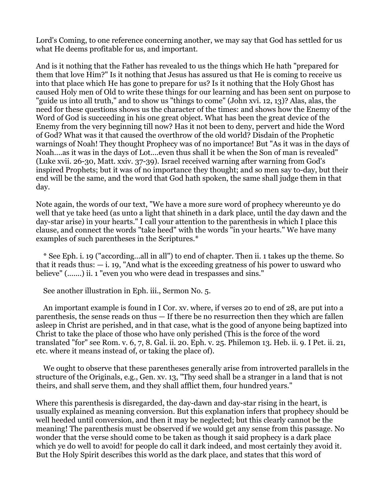Lord's Coming, to one reference concerning another, we may say that God has settled for us what He deems profitable for us, and important.

And is it nothing that the Father has revealed to us the things which He hath "prepared for them that love Him?" Is it nothing that Jesus has assured us that He is coming to receive us into that place which He has gone to prepare for us? Is it nothing that the Holy Ghost has caused Holy men of Old to write these things for our learning and has been sent on purpose to "guide us into all truth," and to show us "things to come" (John xvi. 12, 13)? Alas, alas, the need for these questions shows us the character of the times: and shows how the Enemy of the Word of God is succeeding in his one great object. What has been the great device of the Enemy from the very beginning till now? Has it not been to deny, pervert and hide the Word of God? What was it that caused the overthrow of the old world? Disdain of the Prophetic warnings of Noah! They thought Prophecy was of no importance! But "As it was in the days of Noah....as it was in the days of Lot....even thus shall it be when the Son of man is revealed" (Luke xvii. 26-30, Matt. xxiv. 37-39). Israel received warning after warning from God's inspired Prophets; but it was of no importance they thought; and so men say to-day, but their end will be the same, and the word that God hath spoken, the same shall judge them in that day.

Note again, the words of our text, "We have a more sure word of prophecy whereunto ye do well that ye take heed (as unto a light that shineth in a dark place, until the day dawn and the day-star arise) in your hearts." I call your attention to the parenthesis in which I place this clause, and connect the words "take heed" with the words "in your hearts." We have many examples of such parentheses in the Scriptures.\*

 \* See Eph. i. 19 ("according...all in all") to end of chapter. Then ii. 1 takes up the theme. So that it reads thus:  $-i$ , 19, "And what is the exceeding greatness of his power to usward who believe" (.......) ii. 1 "even you who were dead in trespasses and sins."

See another illustration in Eph. iii., Sermon No. 5.

 An important example is found in I Cor. xv. where, if verses 20 to end of 28, are put into a parenthesis, the sense reads on thus — If there be no resurrection then they which are fallen asleep in Christ are perished, and in that case, what is the good of anyone being baptized into Christ to take the place of those who have only perished (This is the force of the word translated "for" see Rom. v. 6, 7, 8. Gal. ii. 20. Eph. v. 25. Philemon 13. Heb. ii. 9. I Pet. ii. 21, etc. where it means instead of, or taking the place of).

 We ought to observe that these parentheses generally arise from introverted parallels in the structure of the Originals, e.g., Gen. xv. 13, "Thy seed shall be a stranger in a land that is not theirs, and shall serve them, and they shall afflict them, four hundred years."

Where this parenthesis is disregarded, the day-dawn and day-star rising in the heart, is usually explained as meaning conversion. But this explanation infers that prophecy should be well heeded until conversion, and then it may be neglected; but this clearly cannot be the meaning! The parenthesis must be observed if we would get any sense from this passage. No wonder that the verse should come to be taken as though it said prophecy is a dark place which ye do well to avoid! for people do call it dark indeed, and most certainly they avoid it. But the Holy Spirit describes this world as the dark place, and states that this word of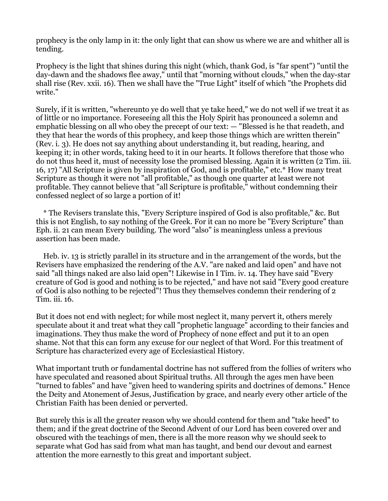prophecy is the only lamp in it: the only light that can show us where we are and whither all is tending.

Prophecy is the light that shines during this night (which, thank God, is "far spent") "until the day-dawn and the shadows flee away," until that "morning without clouds," when the day-star shall rise (Rev. xxii. 16). Then we shall have the "True Light" itself of which "the Prophets did write."

Surely, if it is written, "whereunto ye do well that ye take heed," we do not well if we treat it as of little or no importance. Foreseeing all this the Holy Spirit has pronounced a solemn and emphatic blessing on all who obey the precept of our text: — "Blessed is he that readeth, and they that hear the words of this prophecy, and keep those things which are written therein" (Rev. i. 3). He does not say anything about understanding it, but reading, hearing, and keeping it; in other words, taking heed to it in our hearts. It follows therefore that those who do not thus heed it, must of necessity lose the promised blessing. Again it is written (2 Tim. iii. 16, 17) "All Scripture is given by inspiration of God, and is profitable," etc.\* How many treat Scripture as though it were not "all profitable," as though one quarter at least were not profitable. They cannot believe that "all Scripture is profitable," without condemning their confessed neglect of so large a portion of it!

 \* The Revisers translate this, "Every Scripture inspired of God is also profitable," &c. But this is not English, to say nothing of the Greek. For it can no more be "Every Scripture" than Eph. ii. 21 can mean Every building. The word "also" is meaningless unless a previous assertion has been made.

 Heb. iv. 13 is strictly parallel in its structure and in the arrangement of the words, but the Revisers have emphasized the rendering of the A.V. "are naked and laid open" and have not said "all things naked are also laid open"! Likewise in I Tim. iv. 14. They have said "Every creature of God is good and nothing is to be rejected," and have not said "Every good creature of God is also nothing to be rejected"! Thus they themselves condemn their rendering of 2 Tim. iii. 16.

But it does not end with neglect; for while most neglect it, many pervert it, others merely speculate about it and treat what they call "prophetic language" according to their fancies and imaginations. They thus make the word of Prophecy of none effect and put it to an open shame. Not that this can form any excuse for our neglect of that Word. For this treatment of Scripture has characterized every age of Ecclesiastical History.

What important truth or fundamental doctrine has not suffered from the follies of writers who have speculated and reasoned about Spiritual truths. All through the ages men have been "turned to fables" and have "given heed to wandering spirits and doctrines of demons." Hence the Deity and Atonement of Jesus, Justification by grace, and nearly every other article of the Christian Faith has been denied or perverted.

But surely this is all the greater reason why we should contend for them and "take heed" to them; and if the great doctrine of the Second Advent of our Lord has been covered over and obscured with the teachings of men, there is all the more reason why we should seek to separate what God has said from what man has taught, and bend our devout and earnest attention the more earnestly to this great and important subject.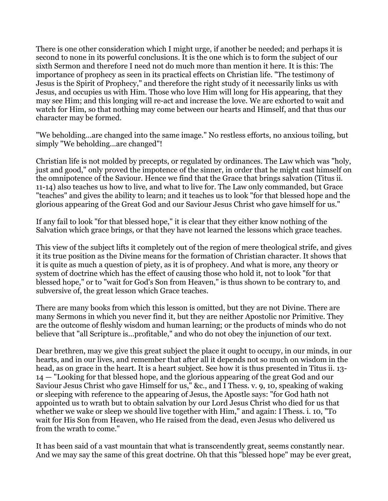There is one other consideration which I might urge, if another be needed; and perhaps it is second to none in its powerful conclusions. It is the one which is to form the subject of our sixth Sermon and therefore I need not do much more than mention it here. It is this: The importance of prophecy as seen in its practical effects on Christian life. "The testimony of Jesus is the Spirit of Prophecy," and therefore the right study of it necessarily links us with Jesus, and occupies us with Him. Those who love Him will long for His appearing, that they may see Him; and this longing will re-act and increase the love. We are exhorted to wait and watch for Him, so that nothing may come between our hearts and Himself, and that thus our character may be formed.

"We beholding...are changed into the same image." No restless efforts, no anxious toiling, but simply "We beholding...are changed"!

Christian life is not molded by precepts, or regulated by ordinances. The Law which was "holy, just and good," only proved the impotence of the sinner, in order that he might cast himself on the omnipotence of the Saviour. Hence we find that the Grace that brings salvation (Titus ii. 11-14) also teaches us how to live, and what to live for. The Law only commanded, but Grace "teaches" and gives the ability to learn; and it teaches us to look "for that blessed hope and the glorious appearing of the Great God and our Saviour Jesus Christ who gave himself for us."

If any fail to look "for that blessed hope," it is clear that they either know nothing of the Salvation which grace brings, or that they have not learned the lessons which grace teaches.

This view of the subject lifts it completely out of the region of mere theological strife, and gives it its true position as the Divine means for the formation of Christian character. It shows that it is quite as much a question of piety, as it is of prophecy. And what is more, any theory or system of doctrine which has the effect of causing those who hold it, not to look "for that blessed hope," or to "wait for God's Son from Heaven," is thus shown to be contrary to, and subversive of, the great lesson which Grace teaches.

There are many books from which this lesson is omitted, but they are not Divine. There are many Sermons in which you never find it, but they are neither Apostolic nor Primitive. They are the outcome of fleshly wisdom and human learning; or the products of minds who do not believe that "all Scripture is...profitable," and who do not obey the injunction of our text.

Dear brethren, may we give this great subject the place it ought to occupy, in our minds, in our hearts, and in our lives, and remember that after all it depends not so much on wisdom in the head, as on grace in the heart. It is a heart subject. See how it is thus presented in Titus ii. 13- 14 — "Looking for that blessed hope, and the glorious appearing of the great God and our Saviour Jesus Christ who gave Himself for us," &c., and I Thess. v. 9, 10, speaking of waking or sleeping with reference to the appearing of Jesus, the Apostle says: "for God hath not appointed us to wrath but to obtain salvation by our Lord Jesus Christ who died for us that whether we wake or sleep we should live together with Him," and again: I Thess. i. 10, "To wait for His Son from Heaven, who He raised from the dead, even Jesus who delivered us from the wrath to come."

It has been said of a vast mountain that what is transcendently great, seems constantly near. And we may say the same of this great doctrine. Oh that this "blessed hope" may be ever great,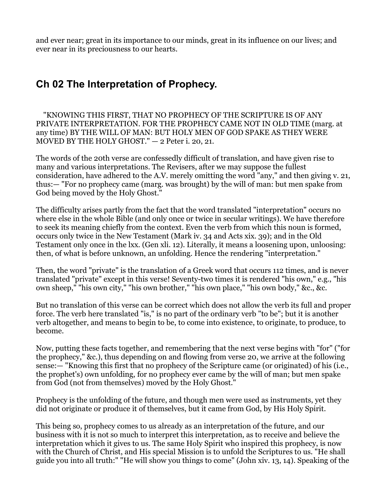and ever near; great in its importance to our minds, great in its influence on our lives; and ever near in its preciousness to our hearts.

# <span id="page-7-0"></span>**Ch 02 The Interpretation of Prophecy.**

 "KNOWING THIS FIRST, THAT NO PROPHECY OF THE SCRIPTURE IS OF ANY PRIVATE INTERPRETATION. FOR THE PROPHECY CAME NOT IN OLD TIME (marg. at any time) BY THE WILL OF MAN: BUT HOLY MEN OF GOD SPAKE AS THEY WERE MOVED BY THE HOLY GHOST." — 2 Peter i. 20, 21.

The words of the 20th verse are confessedly difficult of translation, and have given rise to many and various interpretations. The Revisers, after we may suppose the fullest consideration, have adhered to the A.V. merely omitting the word "any," and then giving v. 21, thus:— "For no prophecy came (marg. was brought) by the will of man: but men spake from God being moved by the Holy Ghost."

The difficulty arises partly from the fact that the word translated "interpretation" occurs no where else in the whole Bible (and only once or twice in secular writings). We have therefore to seek its meaning chiefly from the context. Even the verb from which this noun is formed, occurs only twice in the New Testament (Mark iv. 34 and Acts xix. 39); and in the Old Testament only once in the lxx. (Gen xli. 12). Literally, it means a loosening upon, unloosing: then, of what is before unknown, an unfolding. Hence the rendering "interpretation."

Then, the word "private" is the translation of a Greek word that occurs 112 times, and is never translated "private" except in this verse! Seventy-two times it is rendered "his own," e.g., "his own sheep," "his own city," "his own brother," "his own place," "his own body," &c., &c.

But no translation of this verse can be correct which does not allow the verb its full and proper force. The verb here translated "is," is no part of the ordinary verb "to be"; but it is another verb altogether, and means to begin to be, to come into existence, to originate, to produce, to become.

Now, putting these facts together, and remembering that the next verse begins with "for" ("for the prophecy," &c.), thus depending on and flowing from verse 20, we arrive at the following sense:— "Knowing this first that no prophecy of the Scripture came (or originated) of his (i.e., the prophet's) own unfolding, for no prophecy ever came by the will of man; but men spake from God (not from themselves) moved by the Holy Ghost."

Prophecy is the unfolding of the future, and though men were used as instruments, yet they did not originate or produce it of themselves, but it came from God, by His Holy Spirit.

This being so, prophecy comes to us already as an interpretation of the future, and our business with it is not so much to interpret this interpretation, as to receive and believe the interpretation which it gives to us. The same Holy Spirit who inspired this prophecy, is now with the Church of Christ, and His special Mission is to unfold the Scriptures to us. "He shall guide you into all truth:" "He will show you things to come" (John xiv. 13, 14). Speaking of the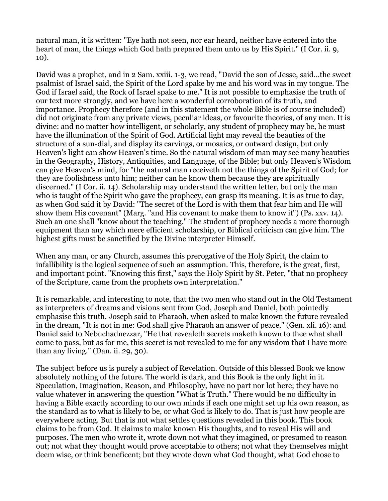natural man, it is written: "Eye hath not seen, nor ear heard, neither have entered into the heart of man, the things which God hath prepared them unto us by His Spirit." (I Cor. ii. 9, 10).

David was a prophet, and in 2 Sam. xxiii. 1-3, we read, "David the son of Jesse, said...the sweet psalmist of Israel said, the Spirit of the Lord spake by me and his word was in my tongue. The God if Israel said, the Rock of Israel spake to me." It is not possible to emphasise the truth of our text more strongly, and we have here a wonderful corroboration of its truth, and importance. Prophecy therefore (and in this statement the whole Bible is of course included) did not originate from any private views, peculiar ideas, or favourite theories, of any men. It is divine: and no matter how intelligent, or scholarly, any student of prophecy may be, he must have the illumination of the Spirit of God. Artificial light may reveal the beauties of the structure of a sun-dial, and display its carvings, or mosaics, or outward design, but only Heaven's light can show Heaven's time. So the natural wisdom of man may see many beauties in the Geography, History, Antiquities, and Language, of the Bible; but only Heaven's Wisdom can give Heaven's mind, for "the natural man receiveth not the things of the Spirit of God; for they are foolishness unto him; neither can he know them because they are spiritually discerned." (I Cor. ii. 14). Scholarship may understand the written letter, but only the man who is taught of the Spirit who gave the prophecy, can grasp its meaning. It is as true to day, as when God said it by David: "The secret of the Lord is with them that fear him and He will show them His covenant" (Marg. "and His covenant to make them to know it") (Ps. xxv. 14). Such an one shall "know about the teaching." The student of prophecy needs a more thorough equipment than any which mere efficient scholarship, or Biblical criticism can give him. The highest gifts must be sanctified by the Divine interpreter Himself.

When any man, or any Church, assumes this prerogative of the Holy Spirit, the claim to infallibility is the logical sequence of such an assumption. This, therefore, is the great, first, and important point. "Knowing this first," says the Holy Spirit by St. Peter, "that no prophecy of the Scripture, came from the prophets own interpretation."

It is remarkable, and interesting to note, that the two men who stand out in the Old Testament as interpreters of dreams and visions sent from God, Joseph and Daniel, both pointedly emphasise this truth. Joseph said to Pharaoh, when asked to make known the future revealed in the dream, "It is not in me: God shall give Pharaoh an answer of peace," (Gen. xli. 16): and Daniel said to Nebuchadnezzar, "He that revealeth secrets maketh known to thee what shall come to pass, but as for me, this secret is not revealed to me for any wisdom that I have more than any living." (Dan. ii. 29, 30).

The subject before us is purely a subject of Revelation. Outside of this blessed Book we know absolutely nothing of the future. The world is dark, and this Book is the only light in it. Speculation, Imagination, Reason, and Philosophy, have no part nor lot here; they have no value whatever in answering the question "What is Truth." There would be no difficulty in having a Bible exactly according to our own minds if each one might set up his own reason, as the standard as to what is likely to be, or what God is likely to do. That is just how people are everywhere acting. But that is not what settles questions revealed in this book. This book claims to be from God. It claims to make known His thoughts, and to reveal His will and purposes. The men who wrote it, wrote down not what they imagined, or presumed to reason out; not what they thought would prove acceptable to others; not what they themselves might deem wise, or think beneficent; but they wrote down what God thought, what God chose to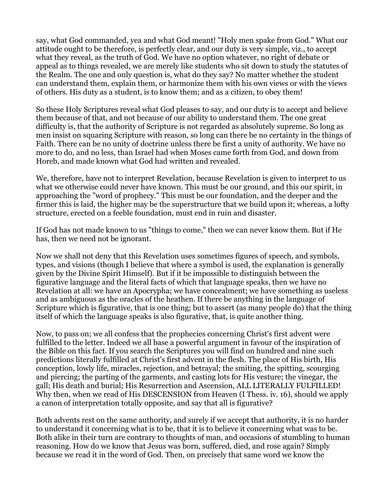say, what God commanded, yea and what God meant! "Holy men spake from God." What our attitude ought to be therefore, is perfectly clear, and our duty is very simple, viz., to accept what they reveal, as the truth of God. We have no option whatever, no right of debate or appeal as to things revealed, we are merely like students who sit down to study the statutes of the Realm. The one and only question is, what do they say? No matter whether the student can understand them, explain them, or harmonize them with his own views or with the views of others. His duty as a student, is to know them; and as a citizen, to obey them!

So these Holy Scriptures reveal what God pleases to say, and our duty is to accept and believe them because of that, and not because of our ability to understand them. The one great difficulty is, that the authority of Scripture is not regarded as absolutely supreme. So long as men insist on squaring Scripture with reason, so long can there be no certainty in the things of Faith. There can be no unity of doctrine unless there be first a unity of authority. We have no more to do, and no less, than Israel had when Moses came forth from God, and down from Horeb, and made known what God had written and revealed.

We, therefore, have not to interpret Revelation, because Revelation is given to interpret to us what we otherwise could never have known. This must be our ground, and this our spirit, in approaching the "word of prophecy." This must be our foundation, and the deeper and the firmer this is laid, the higher may be the superstructure that we build upon it; whereas, a lofty structure, erected on a feeble foundation, must end in ruin and disaster.

If God has not made known to us "things to come," then we can never know them. But if He has, then we need not be ignorant.

Now we shall not deny that this Revelation uses sometimes figures of speech, and symbols, types, and visions (though I believe that where a symbol is used, the explanation is generally given by the Divine Spirit Himself). But if it be impossible to distinguish between the figurative language and the literal facts of which that language speaks, then we have no Revelation at all: we have an Apocrypha; we have concealment; we have something as useless and as ambiguous as the oracles of the heathen. If there be anything in the language of Scripture which is figurative, that is one thing; but to assert (as many people do) that the thing itself of which the language speaks is also figurative, that, is quite another thing.

Now, to pass on; we all confess that the prophecies concerning Christ's first advent were fulfilled to the letter. Indeed we all base a powerful argument in favour of the inspiration of the Bible on this fact. If you search the Scriptures you will find on hundred and nine such predictions literally fulfilled at Christ's first advent in the flesh. The place of His birth, His conception, lowly life, miracles, rejection, and betrayal; the smiting, the spitting, scourging and piercing; the parting of the garments, and casting lots for His vesture; the vinegar, the gall; His death and burial; His Resurrection and Ascension, ALL LITERALLY FULFILLED! Why then, when we read of His DESCENSION from Heaven (I Thess. iv. 16), should we apply a canon of interpretation totally opposite, and say that all is figurative?

Both advents rest on the same authority, and surely if we accept that authority, it is no harder to understand it concerning what is to be, that it is to believe it concerning what was to be. Both alike in their turn are contrary to thoughts of man, and occasions of stumbling to human reasoning. How do we know that Jesus was born, suffered, died, and rose again? Simply because we read it in the word of God. Then, on precisely that same word we know the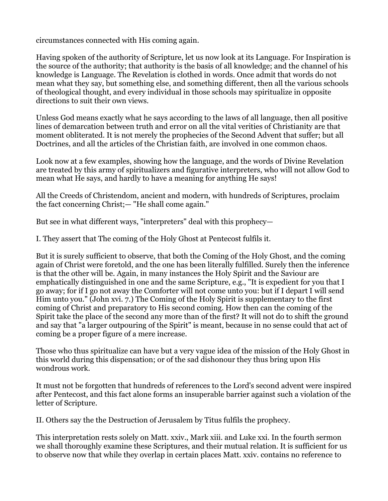circumstances connected with His coming again.

Having spoken of the authority of Scripture, let us now look at its Language. For Inspiration is the source of the authority; that authority is the basis of all knowledge; and the channel of his knowledge is Language. The Revelation is clothed in words. Once admit that words do not mean what they say, but something else, and something different, then all the various schools of theological thought, and every individual in those schools may spiritualize in opposite directions to suit their own views.

Unless God means exactly what he says according to the laws of all language, then all positive lines of demarcation between truth and error on all the vital verities of Christianity are that moment obliterated. It is not merely the prophecies of the Second Advent that suffer; but all Doctrines, and all the articles of the Christian faith, are involved in one common chaos.

Look now at a few examples, showing how the language, and the words of Divine Revelation are treated by this army of spiritualizers and figurative interpreters, who will not allow God to mean what He says, and hardly to have a meaning for anything He says!

All the Creeds of Christendom, ancient and modern, with hundreds of Scriptures, proclaim the fact concerning Christ;— "He shall come again."

But see in what different ways, "interpreters" deal with this prophecy—

I. They assert that The coming of the Holy Ghost at Pentecost fulfils it.

But it is surely sufficient to observe, that both the Coming of the Holy Ghost, and the coming again of Christ were foretold, and the one has been literally fulfilled. Surely then the inference is that the other will be. Again, in many instances the Holy Spirit and the Saviour are emphatically distinguished in one and the same Scripture, e.g., "It is expedient for you that I go away; for if I go not away the Comforter will not come unto you: but if I depart I will send Him unto you." (John xvi. 7.) The Coming of the Holy Spirit is supplementary to the first coming of Christ and preparatory to His second coming. How then can the coming of the Spirit take the place of the second any more than of the first? It will not do to shift the ground and say that "a larger outpouring of the Spirit" is meant, because in no sense could that act of coming be a proper figure of a mere increase.

Those who thus spiritualize can have but a very vague idea of the mission of the Holy Ghost in this world during this dispensation; or of the sad dishonour they thus bring upon His wondrous work.

It must not be forgotten that hundreds of references to the Lord's second advent were inspired after Pentecost, and this fact alone forms an insuperable barrier against such a violation of the letter of Scripture.

II. Others say the the Destruction of Jerusalem by Titus fulfils the prophecy.

This interpretation rests solely on Matt. xxiv., Mark xiii. and Luke xxi. In the fourth sermon we shall thoroughly examine these Scriptures, and their mutual relation. It is sufficient for us to observe now that while they overlap in certain places Matt. xxiv. contains no reference to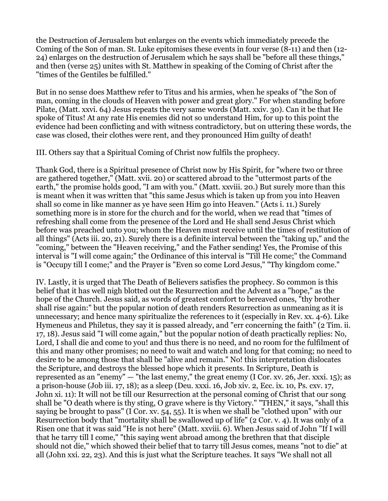the Destruction of Jerusalem but enlarges on the events which immediately precede the Coming of the Son of man. St. Luke epitomises these events in four verse (8-11) and then (12- 24) enlarges on the destruction of Jerusalem which he says shall be "before all these things," and then (verse 25) unites with St. Matthew in speaking of the Coming of Christ after the "times of the Gentiles be fulfilled."

But in no sense does Matthew refer to Titus and his armies, when he speaks of "the Son of man, coming in the clouds of Heaven with power and great glory." For when standing before Pilate, (Matt. xxvi. 64) Jesus repeats the very same words (Matt. xxiv. 30). Can it be that He spoke of Titus! At any rate His enemies did not so understand Him, for up to this point the evidence had been conflicting and with witness contradictory, but on uttering these words, the case was closed, their clothes were rent, and they pronounced Him guilty of death!

III. Others say that a Spiritual Coming of Christ now fulfils the prophecy.

Thank God, there is a Spiritual presence of Christ now by His Spirit, for "where two or three are gathered together," (Matt. xvii. 20) or scattered abroad to the "uttermost parts of the earth," the promise holds good, "I am with you." (Matt. xxviii. 20.) But surely more than this is meant when it was written that "this same Jesus which is taken up from you into Heaven shall so come in like manner as ye have seen Him go into Heaven." (Acts i. 11.) Surely something more is in store for the church and for the world, when we read that "times of refreshing shall come from the presence of the Lord and He shall send Jesus Christ which before was preached unto you; whom the Heaven must receive until the times of restitution of all things" (Acts iii. 20, 21). Surely there is a definite interval between the "taking up," and the "coming," between the "Heaven receiving," and the Father sending! Yes, the Promise of this interval is "I will come again;" the Ordinance of this interval is "Till He come;" the Command is "Occupy till I come;" and the Prayer is "Even so come Lord Jesus," "Thy kingdom come."

IV. Lastly, it is urged that The Death of Believers satisfies the prophecy. So common is this belief that it has well nigh blotted out the Resurrection and the Advent as a "hope," as the hope of the Church. Jesus said, as words of greatest comfort to bereaved ones, "thy brother shall rise again:" but the popular notion of death renders Resurrection as unmeaning as it is unnecessary; and hence many spiritualize the references to it (especially in Rev. xx. 4-6). Like Hymeneus and Philetus, they say it is passed already, and "err concerning the faith" (2 Tim. ii. 17, 18). Jesus said "I will come again," but the popular notion of death practically replies: No, Lord, I shall die and come to you! and thus there is no need, and no room for the fulfilment of this and many other promises; no need to wait and watch and long for that coming; no need to desire to be among those that shall be "alive and remain." No! this interpretation dislocates the Scripture, and destroys the blessed hope which it presents. In Scripture, Death is represented as an "enemy" — "the last enemy," the great enemy (I Cor. xv. 26, Jer. xxxi. 15); as a prison-house (Job iii. 17, 18); as a sleep (Deu. xxxi. 16, Job xiv. 2, Ecc. ix. 10, Ps. cxv. 17, John xi. 11): It will not be till our Resurrection at the personal coming of Christ that our song shall be "O death where is thy sting, O grave where is thy Victory." "THEN," it says, "shall this saying be brought to pass" (I Cor. xv. 54, 55). It is when we shall be "clothed upon" with our Resurrection body that "mortality shall be swallowed up of life" (2 Cor. v. 4). It was only of a Risen one that it was said "He is not here" (Matt. xxviii. 6). When Jesus said of John "If I will that he tarry till I come," "this saying went abroad among the brethren that that disciple should not die," which showed their belief that to tarry till Jesus comes, means "not to die" at all (John xxi. 22, 23). And this is just what the Scripture teaches. It says "We shall not all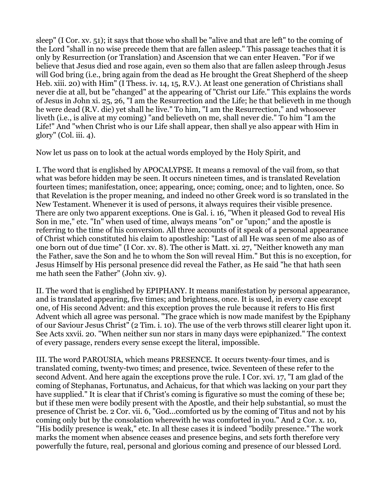sleep" (I Cor. xv. 51); it says that those who shall be "alive and that are left" to the coming of the Lord "shall in no wise precede them that are fallen asleep." This passage teaches that it is only by Resurrection (or Translation) and Ascension that we can enter Heaven. "For if we believe that Jesus died and rose again, even so them also that are fallen asleep through Jesus will God bring (i.e., bring again from the dead as He brought the Great Shepherd of the sheep Heb. xiii. 20) with Him" (I Thess. iv. 14, 15, R.V.). At least one generation of Christians shall never die at all, but be "changed" at the appearing of "Christ our Life." This explains the words of Jesus in John xi. 25, 26, "I am the Resurrection and the Life; he that believeth in me though he were dead (R.V. die) yet shall he live." To him, "I am the Resurrection," and whosoever liveth (i.e., is alive at my coming) "and believeth on me, shall never die." To him "I am the Life!" And "when Christ who is our Life shall appear, then shall ye also appear with Him in glory" (Col. iii. 4).

Now let us pass on to look at the actual words employed by the Holy Spirit, and

I. The word that is englished by APOCALYPSE. It means a removal of the vail from, so that what was before hidden may be seen. It occurs nineteen times, and is translated Revelation fourteen times; manifestation, once; appearing, once; coming, once; and to lighten, once. So that Revelation is the proper meaning, and indeed no other Greek word is so translated in the New Testament. Whenever it is used of persons, it always requires their visible presence. There are only two apparent exceptions. One is Gal. i. 16, "When it pleased God to reveal His Son in me," etc. "In" when used of time, always means "on" or "upon;" and the apostle is referring to the time of his conversion. All three accounts of it speak of a personal appearance of Christ which constituted his claim to apostleship: "Last of all He was seen of me also as of one born out of due time" (I Cor. xv. 8). The other is Matt. xi. 27, "Neither knoweth any man the Father, save the Son and he to whom the Son will reveal Him." But this is no exception, for Jesus Himself by His personal presence did reveal the Father, as He said "he that hath seen me hath seen the Father" (John xiv. 9).

II. The word that is englished by EPIPHANY. It means manifestation by personal appearance, and is translated appearing, five times; and brightness, once. It is used, in every case except one, of His second Advent: and this exception proves the rule because it refers to His first Advent which all agree was personal. "The grace which is now made manifest by the Epiphany of our Saviour Jesus Christ" (2 Tim. i. 10). The use of the verb throws still clearer light upon it. See Acts xxvii. 20. "When neither sun nor stars in many days were epiphanized." The context of every passage, renders every sense except the literal, impossible.

III. The word PAROUSIA, which means PRESENCE. It occurs twenty-four times, and is translated coming, twenty-two times; and presence, twice. Seventeen of these refer to the second Advent. And here again the exceptions prove the rule. I Cor. xvi. 17, "I am glad of the coming of Stephanas, Fortunatus, and Achaicus, for that which was lacking on your part they have supplied." It is clear that if Christ's coming is figurative so must the coming of these be; but if these men were bodily present with the Apostle, and their help substantial, so must the presence of Christ be. 2 Cor. vii. 6, "God...comforted us by the coming of Titus and not by his coming only but by the consolation wherewith he was comforted in you." And 2 Cor. x. 10, "His bodily presence is weak," etc. In all these cases it is indeed "bodily presence." The work marks the moment when absence ceases and presence begins, and sets forth therefore very powerfully the future, real, personal and glorious coming and presence of our blessed Lord.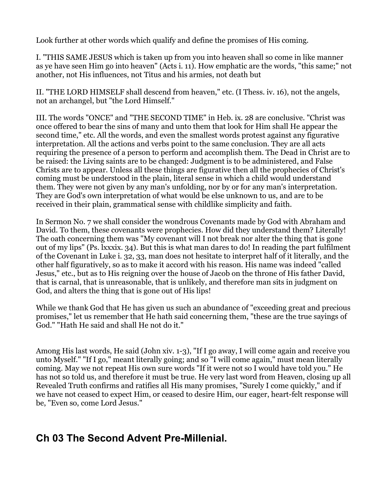Look further at other words which qualify and define the promises of His coming.

I. "THIS SAME JESUS which is taken up from you into heaven shall so come in like manner as ye have seen Him go into heaven" (Acts i. 11). How emphatic are the words, "this same;" not another, not His influences, not Titus and his armies, not death but

II. "THE LORD HIMSELF shall descend from heaven," etc. (I Thess. iv. 16), not the angels, not an archangel, but "the Lord Himself."

III. The words "ONCE" and "THE SECOND TIME" in Heb. ix. 28 are conclusive. "Christ was once offered to bear the sins of many and unto them that look for Him shall He appear the second time," etc. All the words, and even the smallest words protest against any figurative interpretation. All the actions and verbs point to the same conclusion. They are all acts requiring the presence of a person to perform and accomplish them. The Dead in Christ are to be raised: the Living saints are to be changed: Judgment is to be administered, and False Christs are to appear. Unless all these things are figurative then all the prophecies of Christ's coming must be understood in the plain, literal sense in which a child would understand them. They were not given by any man's unfolding, nor by or for any man's interpretation. They are God's own interpretation of what would be else unknown to us, and are to be received in their plain, grammatical sense with childlike simplicity and faith.

In Sermon No. 7 we shall consider the wondrous Covenants made by God with Abraham and David. To them, these covenants were prophecies. How did they understand them? Literally! The oath concerning them was "My covenant will I not break nor alter the thing that is gone out of my lips" (Ps. lxxxix. 34). But this is what man dares to do! In reading the part fulfilment of the Covenant in Luke i. 32, 33, man does not hesitate to interpret half of it literally, and the other half figuratively, so as to make it accord with his reason. His name was indeed "called Jesus," etc., but as to His reigning over the house of Jacob on the throne of His father David, that is carnal, that is unreasonable, that is unlikely, and therefore man sits in judgment on God, and alters the thing that is gone out of His lips!

While we thank God that He has given us such an abundance of "exceeding great and precious promises," let us remember that He hath said concerning them, "these are the true sayings of God." "Hath He said and shall He not do it."

Among His last words, He said (John xiv. 1-3), "If I go away, I will come again and receive you unto Myself." "If I go," meant literally going; and so "I will come again," must mean literally coming. May we not repeat His own sure words "If it were not so I would have told you." He has not so told us, and therefore it must be true. He very last word from Heaven, closing up all Revealed Truth confirms and ratifies all His many promises, "Surely I come quickly," and if we have not ceased to expect Him, or ceased to desire Him, our eager, heart-felt response will be, "Even so, come Lord Jesus."

## <span id="page-13-0"></span>**Ch 03 The Second Advent Pre-Millenial.**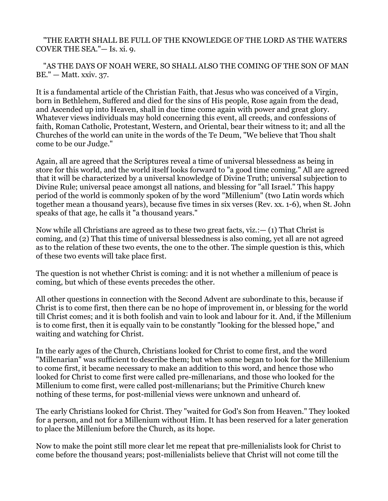#### "THE EARTH SHALL BE FULL OF THE KNOWLEDGE OF THE LORD AS THE WATERS COVER THE SEA."— Is. xi. 9.

 "AS THE DAYS OF NOAH WERE, SO SHALL ALSO THE COMING OF THE SON OF MAN BE." — Matt. xxiv. 37.

It is a fundamental article of the Christian Faith, that Jesus who was conceived of a Virgin, born in Bethlehem, Suffered and died for the sins of His people, Rose again from the dead, and Ascended up into Heaven, shall in due time come again with power and great glory. Whatever views individuals may hold concerning this event, all creeds, and confessions of faith, Roman Catholic, Protestant, Western, and Oriental, bear their witness to it; and all the Churches of the world can unite in the words of the Te Deum, "We believe that Thou shalt come to be our Judge."

Again, all are agreed that the Scriptures reveal a time of universal blessedness as being in store for this world, and the world itself looks forward to "a good time coming." All are agreed that it will be characterized by a universal knowledge of Divine Truth; universal subjection to Divine Rule; universal peace amongst all nations, and blessing for "all Israel." This happy period of the world is commonly spoken of by the word "Millenium" (two Latin words which together mean a thousand years), because five times in six verses (Rev. xx. 1-6), when St. John speaks of that age, he calls it "a thousand years."

Now while all Christians are agreed as to these two great facts, viz.:— (1) That Christ is coming, and (2) That this time of universal blessedness is also coming, yet all are not agreed as to the relation of these two events, the one to the other. The simple question is this, which of these two events will take place first.

The question is not whether Christ is coming: and it is not whether a millenium of peace is coming, but which of these events precedes the other.

All other questions in connection with the Second Advent are subordinate to this, because if Christ is to come first, then there can be no hope of improvement in, or blessing for the world till Christ comes; and it is both foolish and vain to look and labour for it. And, if the Millenium is to come first, then it is equally vain to be constantly "looking for the blessed hope," and waiting and watching for Christ.

In the early ages of the Church, Christians looked for Christ to come first, and the word "Millenarian" was sufficient to describe them; but when some began to look for the Millenium to come first, it became necessary to make an addition to this word, and hence those who looked for Christ to come first were called pre-millenarians, and those who looked for the Millenium to come first, were called post-millenarians; but the Primitive Church knew nothing of these terms, for post-millenial views were unknown and unheard of.

The early Christians looked for Christ. They "waited for God's Son from Heaven." They looked for a person, and not for a Millenium without Him. It has been reserved for a later generation to place the Millenium before the Church, as its hope.

Now to make the point still more clear let me repeat that pre-millenialists look for Christ to come before the thousand years; post-millenialists believe that Christ will not come till the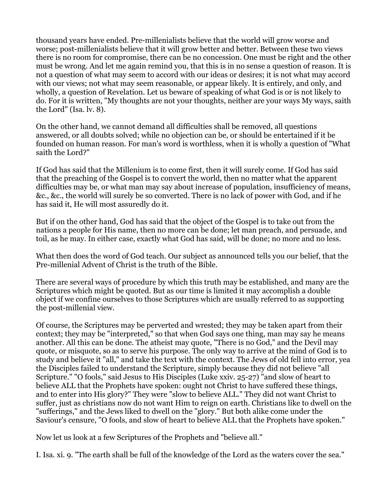thousand years have ended. Pre-millenialists believe that the world will grow worse and worse; post-millenialists believe that it will grow better and better. Between these two views there is no room for compromise, there can be no concession. One must be right and the other must be wrong. And let me again remind you, that this is in no sense a question of reason. It is not a question of what may seem to accord with our ideas or desires; it is not what may accord with our views; not what may seem reasonable, or appear likely. It is entirely, and only, and wholly, a question of Revelation. Let us beware of speaking of what God is or is not likely to do. For it is written, "My thoughts are not your thoughts, neither are your ways My ways, saith the Lord" (Isa. lv. 8).

On the other hand, we cannot demand all difficulties shall be removed, all questions answered, or all doubts solved; while no objection can be, or should be entertained if it be founded on human reason. For man's word is worthless, when it is wholly a question of "What saith the Lord?"

If God has said that the Millenium is to come first, then it will surely come. If God has said that the preaching of the Gospel is to convert the world, then no matter what the apparent difficulties may be, or what man may say about increase of population, insufficiency of means, &c., &c., the world will surely be so converted. There is no lack of power with God, and if he has said it, He will most assuredly do it.

But if on the other hand, God has said that the object of the Gospel is to take out from the nations a people for His name, then no more can be done; let man preach, and persuade, and toil, as he may. In either case, exactly what God has said, will be done; no more and no less.

What then does the word of God teach. Our subject as announced tells you our belief, that the Pre-millenial Advent of Christ is the truth of the Bible.

There are several ways of procedure by which this truth may be established, and many are the Scriptures which might be quoted. But as our time is limited it may accomplish a double object if we confine ourselves to those Scriptures which are usually referred to as supporting the post-millenial view.

Of course, the Scriptures may be perverted and wrested; they may be taken apart from their context; they may be "interpreted," so that when God says one thing, man may say he means another. All this can be done. The atheist may quote, "There is no God," and the Devil may quote, or misquote, so as to serve his purpose. The only way to arrive at the mind of God is to study and believe it "all," and take the text with the context. The Jews of old fell into error, yea the Disciples failed to understand the Scripture, simply because they did not believe "all Scripture." "O fools," said Jesus to His Disciples (Luke xxiv. 25-27) "and slow of heart to believe ALL that the Prophets have spoken: ought not Christ to have suffered these things, and to enter into His glory?" They were "slow to believe ALL." They did not want Christ to suffer, just as christians now do not want Him to reign on earth. Christians like to dwell on the "sufferings," and the Jews liked to dwell on the "glory." But both alike come under the Saviour's censure, "O fools, and slow of heart to believe ALL that the Prophets have spoken."

Now let us look at a few Scriptures of the Prophets and "believe all."

I. Isa. xi. 9. "The earth shall be full of the knowledge of the Lord as the waters cover the sea."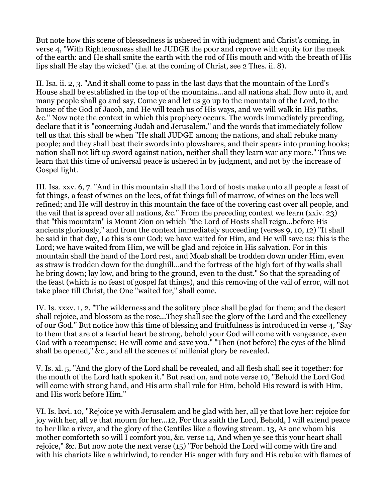But note how this scene of blessedness is ushered in with judgment and Christ's coming, in verse 4, "With Righteousness shall he JUDGE the poor and reprove with equity for the meek of the earth: and He shall smite the earth with the rod of His mouth and with the breath of His lips shall He slay the wicked" (i.e. at the coming of Christ, see 2 Thes. ii. 8).

II. Isa. ii. 2, 3. "And it shall come to pass in the last days that the mountain of the Lord's House shall be established in the top of the mountains...and all nations shall flow unto it, and many people shall go and say, Come ye and let us go up to the mountain of the Lord, to the house of the God of Jacob, and He will teach us of His ways, and we will walk in His paths, &c." Now note the context in which this prophecy occurs. The words immediately preceding, declare that it is "concerning Judah and Jerusalem," and the words that immediately follow tell us that this shall be when "He shall JUDGE among the nations, and shall rebuke many people; and they shall beat their swords into plowshares, and their spears into pruning hooks; nation shall not lift up sword against nation, neither shall they learn war any more." Thus we learn that this time of universal peace is ushered in by judgment, and not by the increase of Gospel light.

III. Isa. xxv. 6, 7. "And in this mountain shall the Lord of hosts make unto all people a feast of fat things, a feast of wines on the lees, of fat things full of marrow, of wines on the lees well refined; and He will destroy in this mountain the face of the covering cast over all people, and the vail that is spread over all nations, &c." From the preceding context we learn (xxiv. 23) that "this mountain" is Mount Zion on which "the Lord of Hosts shall reign...before His ancients gloriously," and from the context immediately succeeding (verses 9, 10, 12) "It shall be said in that day, Lo this is our God; we have waited for Him, and He will save us: this is the Lord; we have waited from Him, we will be glad and rejoice in His salvation. For in this mountain shall the hand of the Lord rest, and Moab shall be trodden down under Him, even as straw is trodden down for the dunghill...and the fortress of the high fort of thy walls shall he bring down; lay low, and bring to the ground, even to the dust." So that the spreading of the feast (which is no feast of gospel fat things), and this removing of the vail of error, will not take place till Christ, the One "waited for," shall come.

IV. Is. xxxv. 1, 2, "The wilderness and the solitary place shall be glad for them; and the desert shall rejoice, and blossom as the rose...They shall see the glory of the Lord and the excellency of our God." But notice how this time of blessing and fruitfulness is introduced in verse 4, "Say to them that are of a fearful heart be strong, behold your God will come with vengeance, even God with a recompense; He will come and save you." "Then (not before) the eyes of the blind shall be opened," &c., and all the scenes of millenial glory be revealed.

V. Is. xl. 5, "And the glory of the Lord shall be revealed, and all flesh shall see it together: for the mouth of the Lord hath spoken it." But read on, and note verse 10, "Behold the Lord God will come with strong hand, and His arm shall rule for Him, behold His reward is with Him, and His work before Him."

VI. Is. lxvi. 10, "Rejoice ye with Jerusalem and be glad with her, all ye that love her: rejoice for joy with her, all ye that mourn for her...12, For thus saith the Lord, Behold, I will extend peace to her like a river, and the glory of the Gentiles like a flowing stream. 13, As one whom his mother comforteth so will I comfort you, &c. verse 14, And when ye see this your heart shall rejoice," &c. But now note the next verse (15) "For behold the Lord will come with fire and with his chariots like a whirlwind, to render His anger with fury and His rebuke with flames of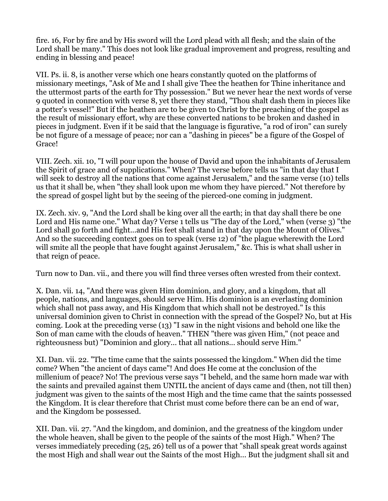fire. 16, For by fire and by His sword will the Lord plead with all flesh; and the slain of the Lord shall be many." This does not look like gradual improvement and progress, resulting and ending in blessing and peace!

VII. Ps. ii. 8, is another verse which one hears constantly quoted on the platforms of missionary meetings, "Ask of Me and I shall give Thee the heathen for Thine inheritance and the uttermost parts of the earth for Thy possession." But we never hear the next words of verse 9 quoted in connection with verse 8, yet there they stand, "Thou shalt dash them in pieces like a potter's vessel!" But if the heathen are to be given to Christ by the preaching of the gospel as the result of missionary effort, why are these converted nations to be broken and dashed in pieces in judgment. Even if it be said that the language is figurative, "a rod of iron" can surely be not figure of a message of peace; nor can a "dashing in pieces" be a figure of the Gospel of Grace!

VIII. Zech. xii. 10, "I will pour upon the house of David and upon the inhabitants of Jerusalem the Spirit of grace and of supplications." When? The verse before tells us "in that day that I will seek to destroy all the nations that come against Jerusalem," and the same verse (10) tells us that it shall be, when "they shall look upon me whom they have pierced." Not therefore by the spread of gospel light but by the seeing of the pierced-one coming in judgment.

IX. Zech. xiv. 9, "And the Lord shall be king over all the earth; in that day shall there be one Lord and His name one." What day? Verse 1 tells us "The day of the Lord," when (verse 3) "the Lord shall go forth and fight...and His feet shall stand in that day upon the Mount of Olives." And so the succeeding context goes on to speak (verse 12) of "the plague wherewith the Lord will smite all the people that have fought against Jerusalem," &c. This is what shall usher in that reign of peace.

Turn now to Dan. vii., and there you will find three verses often wrested from their context.

X. Dan. vii. 14, "And there was given Him dominion, and glory, and a kingdom, that all people, nations, and languages, should serve Him. His dominion is an everlasting dominion which shall not pass away, and His Kingdom that which shall not be destroyed." Is this universal dominion given to Christ in connection with the spread of the Gospel? No, but at His coming. Look at the preceding verse (13) "I saw in the night visions and behold one like the Son of man came with the clouds of heaven." THEN "there was given Him," (not peace and righteousness but) "Dominion and glory... that all nations... should serve Him."

XI. Dan. vii. 22. "The time came that the saints possessed the kingdom." When did the time come? When "the ancient of days came"! And does He come at the conclusion of the millenium of peace? No! The previous verse says "I beheld, and the same horn made war with the saints and prevailed against them UNTIL the ancient of days came and (then, not till then) judgment was given to the saints of the most High and the time came that the saints possessed the Kingdom. It is clear therefore that Christ must come before there can be an end of war, and the Kingdom be possessed.

XII. Dan. vii. 27. "And the kingdom, and dominion, and the greatness of the kingdom under the whole heaven, shall be given to the people of the saints of the most High." When? The verses immediately preceding (25, 26) tell us of a power that "shall speak great words against the most High and shall wear out the Saints of the most High... But the judgment shall sit and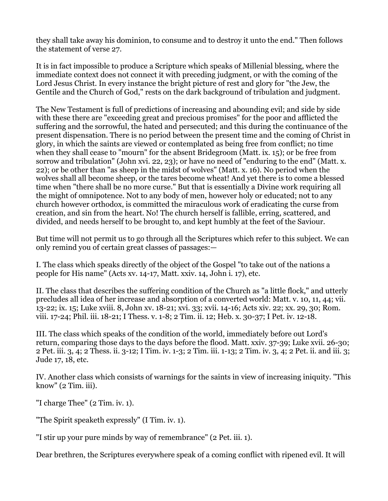they shall take away his dominion, to consume and to destroy it unto the end." Then follows the statement of verse 27.

It is in fact impossible to produce a Scripture which speaks of Millenial blessing, where the immediate context does not connect it with preceding judgment, or with the coming of the Lord Jesus Christ. In every instance the bright picture of rest and glory for "the Jew, the Gentile and the Church of God," rests on the dark background of tribulation and judgment.

The New Testament is full of predictions of increasing and abounding evil; and side by side with these there are "exceeding great and precious promises" for the poor and afflicted the suffering and the sorrowful, the hated and persecuted; and this during the continuance of the present dispensation. There is no period between the present time and the coming of Christ in glory, in which the saints are viewed or contemplated as being free from conflict; no time when they shall cease to "mourn" for the absent Bridegroom (Matt. ix. 15); or be free from sorrow and tribulation" (John xvi. 22, 23); or have no need of "enduring to the end" (Matt. x. 22); or be other than "as sheep in the midst of wolves" (Matt. x. 16). No period when the wolves shall all become sheep, or the tares become wheat! And yet there is to come a blessed time when "there shall be no more curse." But that is essentially a Divine work requiring all the might of omnipotence. Not to any body of men, however holy or educated; not to any church however orthodox, is committed the miraculous work of eradicating the curse from creation, and sin from the heart. No! The church herself is fallible, erring, scattered, and divided, and needs herself to be brought to, and kept humbly at the feet of the Saviour.

But time will not permit us to go through all the Scriptures which refer to this subject. We can only remind you of certain great classes of passages:—

I. The class which speaks directly of the object of the Gospel "to take out of the nations a people for His name" (Acts xv. 14-17, Matt. xxiv. 14, John i. 17), etc.

II. The class that describes the suffering condition of the Church as "a little flock," and utterly precludes all idea of her increase and absorption of a converted world: Matt. v. 10, 11, 44; vii. 13-22; ix. 15; Luke xviii. 8, John xv. 18-21; xvi. 33; xvii. 14-16; Acts xiv. 22; xx. 29, 30; Rom. viii. 17-24; Phil. iii. 18-21; I Thess. v. 1-8; 2 Tim. ii. 12; Heb. x. 30-37; I Pet. iv. 12-18.

III. The class which speaks of the condition of the world, immediately before out Lord's return, comparing those days to the days before the flood. Matt. xxiv. 37-39; Luke xvii. 26-30; 2 Pet. iii. 3, 4; 2 Thess. ii. 3-12; I Tim. iv. 1-3; 2 Tim. iii. 1-13; 2 Tim. iv. 3, 4; 2 Pet. ii. and iii. 3; Jude 17, 18, etc.

IV. Another class which consists of warnings for the saints in view of increasing iniquity. "This know" (2 Tim. iii).

"I charge Thee" (2 Tim. iv. 1).

"The Spirit speaketh expressly" (I Tim. iv. 1).

"I stir up your pure minds by way of remembrance" (2 Pet. iii. 1).

Dear brethren, the Scriptures everywhere speak of a coming conflict with ripened evil. It will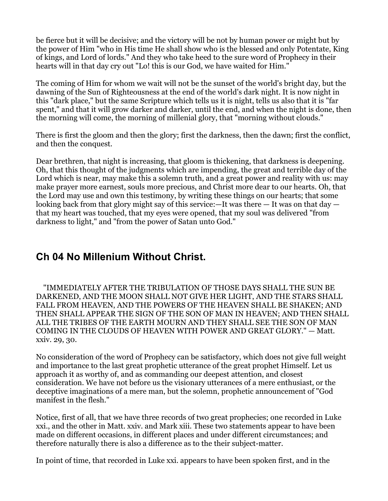be fierce but it will be decisive; and the victory will be not by human power or might but by the power of Him "who in His time He shall show who is the blessed and only Potentate, King of kings, and Lord of lords." And they who take heed to the sure word of Prophecy in their hearts will in that day cry out "Lo! this is our God, we have waited for Him."

The coming of Him for whom we wait will not be the sunset of the world's bright day, but the dawning of the Sun of Righteousness at the end of the world's dark night. It is now night in this "dark place," but the same Scripture which tells us it is night, tells us also that it is "far spent," and that it will grow darker and darker, until the end, and when the night is done, then the morning will come, the morning of millenial glory, that "morning without clouds."

There is first the gloom and then the glory; first the darkness, then the dawn; first the conflict, and then the conquest.

Dear brethren, that night is increasing, that gloom is thickening, that darkness is deepening. Oh, that this thought of the judgments which are impending, the great and terrible day of the Lord which is near, may make this a solemn truth, and a great power and reality with us: may make prayer more earnest, souls more precious, and Christ more dear to our hearts. Oh, that the Lord may use and own this testimony, by writing these things on our hearts; that some looking back from that glory might say of this service:—It was there  $-$  It was on that day  $$ that my heart was touched, that my eyes were opened, that my soul was delivered "from darkness to light," and "from the power of Satan unto God."

## <span id="page-19-0"></span>**Ch 04 No Millenium Without Christ.**

 "IMMEDIATELY AFTER THE TRIBULATION OF THOSE DAYS SHALL THE SUN BE DARKENED, AND THE MOON SHALL NOT GIVE HER LIGHT, AND THE STARS SHALL FALL FROM HEAVEN, AND THE POWERS OF THE HEAVEN SHALL BE SHAKEN; AND THEN SHALL APPEAR THE SIGN OF THE SON OF MAN IN HEAVEN; AND THEN SHALL ALL THE TRIBES OF THE EARTH MOURN AND THEY SHALL SEE THE SON OF MAN COMING IN THE CLOUDS OF HEAVEN WITH POWER AND GREAT GLORY." — Matt. xxiv. 29, 30.

No consideration of the word of Prophecy can be satisfactory, which does not give full weight and importance to the last great prophetic utterance of the great prophet Himself. Let us approach it as worthy of, and as commanding our deepest attention, and closest consideration. We have not before us the visionary utterances of a mere enthusiast, or the deceptive imaginations of a mere man, but the solemn, prophetic announcement of "God manifest in the flesh."

Notice, first of all, that we have three records of two great prophecies; one recorded in Luke xxi., and the other in Matt. xxiv. and Mark xiii. These two statements appear to have been made on different occasions, in different places and under different circumstances; and therefore naturally there is also a difference as to the their subject-matter.

In point of time, that recorded in Luke xxi. appears to have been spoken first, and in the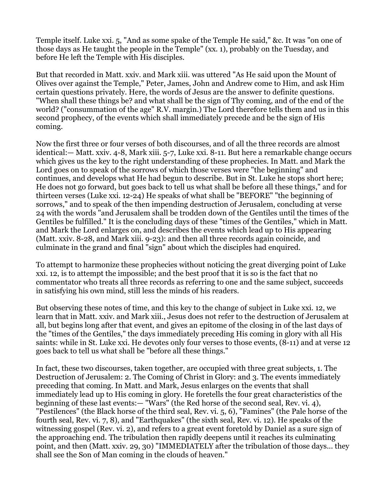Temple itself. Luke xxi. 5, "And as some spake of the Temple He said," &c. It was "on one of those days as He taught the people in the Temple" (xx. 1), probably on the Tuesday, and before He left the Temple with His disciples.

But that recorded in Matt. xxiv. and Mark xiii. was uttered "As He said upon the Mount of Olives over against the Temple," Peter, James, John and Andrew come to Him, and ask Him certain questions privately. Here, the words of Jesus are the answer to definite questions. "When shall these things be? and what shall be the sign of Thy coming, and of the end of the world? ("consummation of the age" R.V. margin.) The Lord therefore tells them and us in this second prophecy, of the events which shall immediately precede and be the sign of His coming.

Now the first three or four verses of both discourses, and of all the three records are almost identical:— Matt. xxiv. 4-8, Mark xiii. 5-7, Luke xxi. 8-11. But here a remarkable change occurs which gives us the key to the right understanding of these prophecies. In Matt. and Mark the Lord goes on to speak of the sorrows of which those verses were "the beginning" and continues, and develops what He had begun to describe. But in St. Luke he stops short here; He does not go forward, but goes back to tell us what shall be before all these things," and for thirteen verses (Luke xxi. 12-24) He speaks of what shall be "BEFORE" "the beginning of sorrows," and to speak of the then impending destruction of Jerusalem, concluding at verse 24 with the words "and Jerusalem shall be trodden down of the Gentiles until the times of the Gentiles be fulfilled." It is the concluding days of these "times of the Gentiles," which in Matt. and Mark the Lord enlarges on, and describes the events which lead up to His appearing (Matt. xxiv. 8-28, and Mark xiii. 9-23): and then all three records again coincide, and culminate in the grand and final "sign" about which the disciples had enquired.

To attempt to harmonize these prophecies without noticing the great diverging point of Luke xxi. 12, is to attempt the impossible; and the best proof that it is so is the fact that no commentator who treats all three records as referring to one and the same subject, succeeds in satisfying his own mind, still less the minds of his readers.

But observing these notes of time, and this key to the change of subject in Luke xxi. 12, we learn that in Matt. xxiv. and Mark xiii., Jesus does not refer to the destruction of Jerusalem at all, but begins long after that event, and gives an epitome of the closing in of the last days of the "times of the Gentiles," the days immediately preceding His coming in glory with all His saints: while in St. Luke xxi. He devotes only four verses to those events, (8-11) and at verse 12 goes back to tell us what shall be "before all these things."

In fact, these two discourses, taken together, are occupied with three great subjects, 1. The Destruction of Jerusalem: 2. The Coming of Christ in Glory: and 3. The events immediately preceding that coming. In Matt. and Mark, Jesus enlarges on the events that shall immediately lead up to His coming in glory. He foretells the four great characteristics of the beginning of these last events:— "Wars" (the Red horse of the second seal, Rev. vi. 4), "Pestilences" (the Black horse of the third seal, Rev. vi. 5, 6), "Famines" (the Pale horse of the fourth seal, Rev. vi. 7, 8), and "Earthquakes" (the sixth seal, Rev. vi. 12). He speaks of the witnessing gospel (Rev. vi. 2), and refers to a great event foretold by Daniel as a sure sign of the approaching end. The tribulation then rapidly deepens until it reaches its culminating point, and then (Matt. xxiv. 29, 30) "IMMEDIATELY after the tribulation of those days... they shall see the Son of Man coming in the clouds of heaven."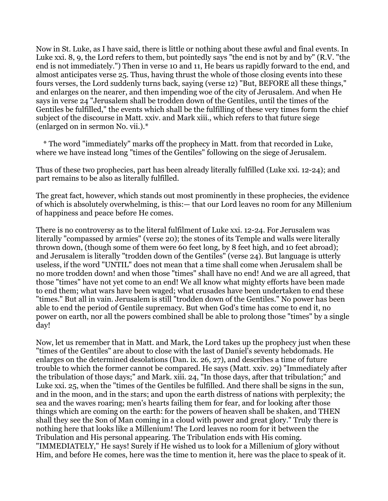Now in St. Luke, as I have said, there is little or nothing about these awful and final events. In Luke xxi. 8, 9, the Lord refers to them, but pointedly says "the end is not by and by" (R.V. "the end is not immediately.") Then in verse 10 and 11, He bears us rapidly forward to the end, and almost anticipates verse 25. Thus, having thrust the whole of those closing events into these fours verses, the Lord suddenly turns back, saying (verse 12) "But, BEFORE all these things," and enlarges on the nearer, and then impending woe of the city of Jerusalem. And when He says in verse 24 "Jerusalem shall be trodden down of the Gentiles, until the times of the Gentiles be fulfilled," the events which shall be the fulfilling of these very times form the chief subject of the discourse in Matt. xxiv. and Mark xiii., which refers to that future siege (enlarged on in sermon No. vii.).\*

 \* The word "immediately" marks off the prophecy in Matt. from that recorded in Luke, where we have instead long "times of the Gentiles" following on the siege of Jerusalem.

Thus of these two prophecies, part has been already literally fulfilled (Luke xxi. 12-24); and part remains to be also as literally fulfilled.

The great fact, however, which stands out most prominently in these prophecies, the evidence of which is absolutely overwhelming, is this:— that our Lord leaves no room for any Millenium of happiness and peace before He comes.

There is no controversy as to the literal fulfilment of Luke xxi. 12-24. For Jerusalem was literally "compassed by armies" (verse 20); the stones of its Temple and walls were literally thrown down, (though some of them were 60 feet long, by 8 feet high, and 10 feet abroad); and Jerusalem is literally "trodden down of the Gentiles" (verse 24). But language is utterly useless, if the word "UNTIL" does not mean that a time shall come when Jerusalem shall be no more trodden down! and when those "times" shall have no end! And we are all agreed, that those "times" have not yet come to an end! We all know what mighty efforts have been made to end them; what wars have been waged; what crusades have been undertaken to end these "times." But all in vain. Jerusalem is still "trodden down of the Gentiles." No power has been able to end the period of Gentile supremacy. But when God's time has come to end it, no power on earth, nor all the powers combined shall be able to prolong those "times" by a single day!

Now, let us remember that in Matt. and Mark, the Lord takes up the prophecy just when these "times of the Gentiles" are about to close with the last of Daniel's seventy hebdomads. He enlarges on the determined desolations (Dan. ix. 26, 27), and describes a time of future trouble to which the former cannot be compared. He says (Matt. xxiv. 29) "Immediately after the tribulation of those days;" and Mark. xiii. 24, "In those days, after that tribulation;" and Luke xxi. 25, when the "times of the Gentiles be fulfilled. And there shall be signs in the sun, and in the moon, and in the stars; and upon the earth distress of nations with perplexity; the sea and the waves roaring; men's hearts failing them for fear, and for looking after those things which are coming on the earth: for the powers of heaven shall be shaken, and THEN shall they see the Son of Man coming in a cloud with power and great glory." Truly there is nothing here that looks like a Millenium! The Lord leaves no room for it between the Tribulation and His personal appearing. The Tribulation ends with His coming. "IMMEDIATELY," He says! Surely if He wished us to look for a Millenium of glory without Him, and before He comes, here was the time to mention it, here was the place to speak of it.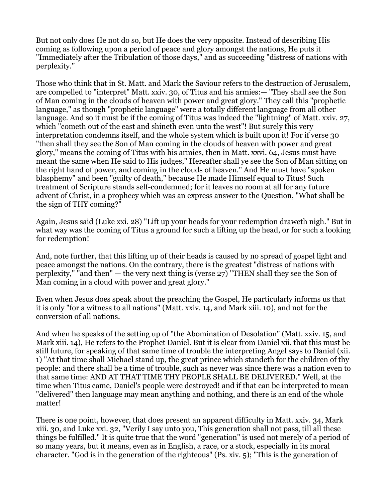But not only does He not do so, but He does the very opposite. Instead of describing His coming as following upon a period of peace and glory amongst the nations, He puts it "Immediately after the Tribulation of those days," and as succeeding "distress of nations with perplexity."

Those who think that in St. Matt. and Mark the Saviour refers to the destruction of Jerusalem, are compelled to "interpret" Matt. xxiv. 30, of Titus and his armies:— "They shall see the Son of Man coming in the clouds of heaven with power and great glory." They call this "prophetic language," as though "prophetic language" were a totally different language from all other language. And so it must be if the coming of Titus was indeed the "lightning" of Matt. xxiv. 27, which "cometh out of the east and shineth even unto the west"! But surely this very interpretation condemns itself, and the whole system which is built upon it! For if verse 30 "then shall they see the Son of Man coming in the clouds of heaven with power and great glory," means the coming of Titus with his armies, then in Matt. xxvi. 64, Jesus must have meant the same when He said to His judges," Hereafter shall ye see the Son of Man sitting on the right hand of power, and coming in the clouds of heaven." And He must have "spoken blasphemy" and been "guilty of death," because He made Himself equal to Titus! Such treatment of Scripture stands self-condemned; for it leaves no room at all for any future advent of Christ, in a prophecy which was an express answer to the Question, "What shall be the sign of THY coming?"

Again, Jesus said (Luke xxi. 28) "Lift up your heads for your redemption draweth nigh." But in what way was the coming of Titus a ground for such a lifting up the head, or for such a looking for redemption!

And, note further, that this lifting up of their heads is caused by no spread of gospel light and peace amongst the nations. On the contrary, there is the greatest "distress of nations with perplexity," "and then" — the very next thing is (verse  $27$ ) "THEN shall they see the Son of Man coming in a cloud with power and great glory."

Even when Jesus does speak about the preaching the Gospel, He particularly informs us that it is only "for a witness to all nations" (Matt. xxiv. 14, and Mark xiii. 10), and not for the conversion of all nations.

And when he speaks of the setting up of "the Abomination of Desolation" (Matt. xxiv. 15, and Mark xiii. 14), He refers to the Prophet Daniel. But it is clear from Daniel xii. that this must be still future, for speaking of that same time of trouble the interpreting Angel says to Daniel (xii. 1) "At that time shall Michael stand up, the great prince which standeth for the children of thy people: and there shall be a time of trouble, such as never was since there was a nation even to that same time: AND AT THAT TIME THY PEOPLE SHALL BE DELIVERED." Well, at the time when Titus came, Daniel's people were destroyed! and if that can be interpreted to mean "delivered" then language may mean anything and nothing, and there is an end of the whole matter!

There is one point, however, that does present an apparent difficulty in Matt. xxiv. 34, Mark xiii. 30, and Luke xxi. 32, "Verily I say unto you, This generation shall not pass, till all these things be fulfilled." It is quite true that the word "generation" is used not merely of a period of so many years, but it means, even as in English, a race, or a stock, especially in its moral character. "God is in the generation of the righteous" (Ps. xiv. 5); "This is the generation of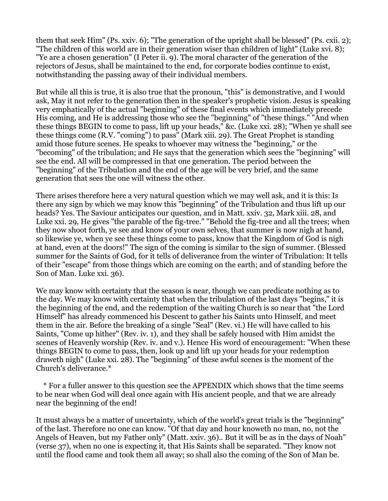them that seek Him" (Ps. xxiv. 6); "The generation of the upright shall be blessed" (Ps. cxii. 2); "The children of this world are in their generation wiser than children of light" (Luke xvi. 8); "Ye are a chosen generation" (I Peter ii. 9). The moral character of the generation of the rejectors of Jesus, shall be maintained to the end, for corporate bodies continue to exist, notwithstanding the passing away of their individual members.

But while all this is true, it is also true that the pronoun, "this" is demonstrative, and I would ask, May it not refer to the generation then in the speaker's prophetic vision. Jesus is speaking very emphatically of the actual "beginning" of these final events which immediately precede His coming, and He is addressing those who see the "beginning" of "these things." "And when these things BEGIN to come to pass, lift up your heads," &c. (Luke xxi. 28); "When ye shall see these things come (R.V. "coming") to pass" (Mark xiii. 29). The Great Prophet is standing amid those future scenes. He speaks to whoever may witness the "beginning," or the "becoming" of the tribulation; and He says that the generation which sees the "beginning" will see the end. All will be compressed in that one generation. The period between the "beginning" of the Tribulation and the end of the age will be very brief, and the same generation that sees the one will witness the other.

There arises therefore here a very natural question which we may well ask, and it is this: Is there any sign by which we may know this "beginning" of the Tribulation and thus lift up our heads? Yes. The Saviour anticipates our question, and in Matt. xxiv. 32, Mark xiii. 28, and Luke xxi. 29, He gives "the parable of the fig-tree." "Behold the fig-tree and all the trees; when they now shoot forth, ye see and know of your own selves, that summer is now nigh at hand, so likewise ye, when ye see these things come to pass, know that the Kingdom of God is nigh at hand, even at the doors!" The sign of the coming is similar to the sign of summer. (Blessed summer for the Saints of God, for it tells of deliverance from the winter of Tribulation: It tells of their "escape" from those things which are coming on the earth; and of standing before the Son of Man. Luke xxi. 36).

We may know with certainty that the season is near, though we can predicate nothing as to the day. We may know with certainty that when the tribulation of the last days "begins," it is the beginning of the end, and the redemption of the waiting Church is so near that "the Lord Himself" has already commenced his Descent to gather his Saints unto Himself, and meet them in the air. Before the breaking of a single "Seal" (Rev. vi.) He will have called to his Saints, "Come up hither" (Rev. iv. 1), and they shall be safely housed with Him amidst the scenes of Heavenly worship (Rev. iv. and v.). Hence His word of encouragement: "When these things BEGIN to come to pass, then, look up and lift up your heads for your redemption draweth nigh" (Luke xxi. 28). The "beginning" of these awful scenes is the moment of the Church's deliverance.\*

 \* For a fuller answer to this question see the APPENDIX which shows that the time seems to be near when God will deal once again with His ancient people, and that we are already near the beginning of the end!

It must always be a matter of uncertainty, which of the world's great trials is the "beginning" of the last. Therefore no one can know. "Of that day and hour knoweth no man, no, not the Angels of Heaven, but my Father only" (Matt. xxiv. 36).. But it will be as in the days of Noah" (verse 37), when no one is expecting it, that His Saints shall be separated. "They know not until the flood came and took them all away; so shall also the coming of the Son of Man be.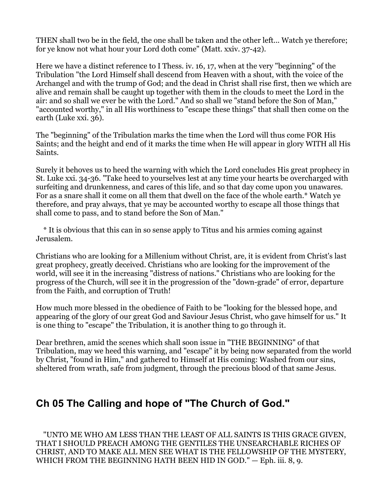THEN shall two be in the field, the one shall be taken and the other left... Watch ye therefore; for ye know not what hour your Lord doth come" (Matt. xxiv. 37-42).

Here we have a distinct reference to I Thess. iv. 16, 17, when at the very "beginning" of the Tribulation "the Lord Himself shall descend from Heaven with a shout, with the voice of the Archangel and with the trump of God; and the dead in Christ shall rise first, then we which are alive and remain shall be caught up together with them in the clouds to meet the Lord in the air: and so shall we ever be with the Lord." And so shall we "stand before the Son of Man," "accounted worthy," in all His worthiness to "escape these things" that shall then come on the earth (Luke xxi. 36).

The "beginning" of the Tribulation marks the time when the Lord will thus come FOR His Saints; and the height and end of it marks the time when He will appear in glory WITH all His Saints.

Surely it behoves us to heed the warning with which the Lord concludes His great prophecy in St. Luke xxi. 34-36. "Take heed to yourselves lest at any time your hearts be overcharged with surfeiting and drunkenness, and cares of this life, and so that day come upon you unawares. For as a snare shall it come on all them that dwell on the face of the whole earth.\* Watch ye therefore, and pray always, that ye may be accounted worthy to escape all those things that shall come to pass, and to stand before the Son of Man."

 \* It is obvious that this can in so sense apply to Titus and his armies coming against Jerusalem.

Christians who are looking for a Millenium without Christ, are, it is evident from Christ's last great prophecy, greatly deceived. Christians who are looking for the improvement of the world, will see it in the increasing "distress of nations." Christians who are looking for the progress of the Church, will see it in the progression of the "down-grade" of error, departure from the Faith, and corruption of Truth!

How much more blessed in the obedience of Faith to be "looking for the blessed hope, and appearing of the glory of our great God and Saviour Jesus Christ, who gave himself for us." It is one thing to "escape" the Tribulation, it is another thing to go through it.

Dear brethren, amid the scenes which shall soon issue in "THE BEGINNING" of that Tribulation, may we heed this warning, and "escape" it by being now separated from the world by Christ, "found in Him," and gathered to Himself at His coming: Washed from our sins, sheltered from wrath, safe from judgment, through the precious blood of that same Jesus.

## <span id="page-24-0"></span>**Ch 05 The Calling and hope of "The Church of God."**

 "UNTO ME WHO AM LESS THAN THE LEAST OF ALL SAINTS IS THIS GRACE GIVEN, THAT I SHOULD PREACH AMONG THE GENTILES THE UNSEARCHABLE RICHES OF CHRIST, AND TO MAKE ALL MEN SEE WHAT IS THE FELLOWSHIP OF THE MYSTERY, WHICH FROM THE BEGINNING HATH BEEN HID IN GOD." — Eph. iii. 8, 9.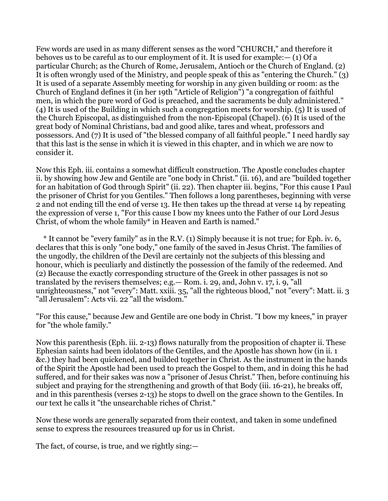Few words are used in as many different senses as the word "CHURCH," and therefore it behoves us to be careful as to our employment of it. It is used for example:— (1) Of a particular Church; as the Church of Rome, Jerusalem, Antioch or the Church of England. (2) It is often wrongly used of the Ministry, and people speak of this as "entering the Church." (3) It is used of a separate Assembly meeting for worship in any given building or room: as the Church of England defines it (in her 19th "Article of Religion") "a congregation of faithful men, in which the pure word of God is preached, and the sacraments be duly administered." (4) It is used of the Building in which such a congregation meets for worship. (5) It is used of the Church Episcopal, as distinguished from the non-Episcopal (Chapel). (6) It is used of the great body of Nominal Christians, bad and good alike, tares and wheat, professors and possessors. And (7) It is used of "the blessed company of all faithful people." I need hardly say that this last is the sense in which it is viewed in this chapter, and in which we are now to consider it.

Now this Eph. iii. contains a somewhat difficult construction. The Apostle concludes chapter ii. by showing how Jew and Gentile are "one body in Christ." (ii. 16), and are "builded together for an habitation of God through Spirit" (ii. 22). Then chapter iii. begins, "For this cause I Paul the prisoner of Christ for you Gentiles." Then follows a long parentheses, beginning with verse 2 and not ending till the end of verse 13. He then takes up the thread at verse 14 by repeating the expression of verse 1, "For this cause I bow my knees unto the Father of our Lord Jesus Christ, of whom the whole family\* in Heaven and Earth is named."

 \* It cannot be "every family" as in the R.V. (1) Simply because it is not true; for Eph. iv. 6, declares that this is only "one body," one family of the saved in Jesus Christ. The families of the ungodly, the children of the Devil are certainly not the subjects of this blessing and honour, which is peculiarly and distinctly the possession of the family of the redeemed. And (2) Because the exactly corresponding structure of the Greek in other passages is not so translated by the revisers themselves; e.g.— Rom. i. 29, and, John v. 17, i. 9, "all unrighteousness," not "every": Matt. xxiii. 35, "all the righteous blood," not "every": Matt. ii. 3 "all Jerusalem": Acts vii. 22 "all the wisdom."

"For this cause," because Jew and Gentile are one body in Christ. "I bow my knees," in prayer for "the whole family."

Now this parenthesis (Eph. iii. 2-13) flows naturally from the proposition of chapter ii. These Ephesian saints had been idolators of the Gentiles, and the Apostle has shown how (in ii. 1 &c.) they had been quickened, and builded together in Christ. As the instrument in the hands of the Spirit the Apostle had been used to preach the Gospel to them, and in doing this he had suffered, and for their sakes was now a "prisoner of Jesus Christ." Then, before continuing his subject and praying for the strengthening and growth of that Body (iii. 16-21), he breaks off, and in this parenthesis (verses 2-13) he stops to dwell on the grace shown to the Gentiles. In our text he calls it "the unsearchable riches of Christ."

Now these words are generally separated from their context, and taken in some undefined sense to express the resources treasured up for us in Christ.

The fact, of course, is true, and we rightly sing:—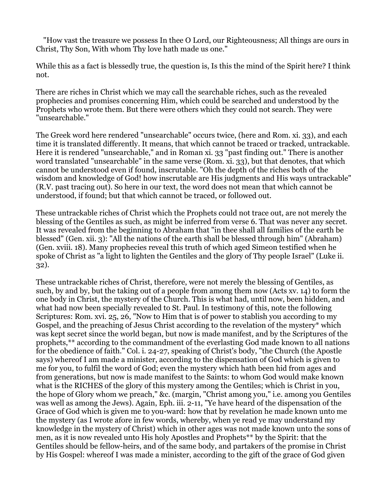"How vast the treasure we possess In thee O Lord, our Righteousness; All things are ours in Christ, Thy Son, With whom Thy love hath made us one."

While this as a fact is blessedly true, the question is, Is this the mind of the Spirit here? I think not.

There are riches in Christ which we may call the searchable riches, such as the revealed prophecies and promises concerning Him, which could be searched and understood by the Prophets who wrote them. But there were others which they could not search. They were "unsearchable."

The Greek word here rendered "unsearchable" occurs twice, (here and Rom. xi. 33), and each time it is translated differently. It means, that which cannot be traced or tracked, untrackable. Here it is rendered "unsearchable," and in Roman xi. 33 "past finding out." There is another word translated "unsearchable" in the same verse (Rom. xi. 33), but that denotes, that which cannot be understood even if found, inscrutable. "Oh the depth of the riches both of the wisdom and knowledge of God! how inscrutable are His judgments and His ways untrackable" (R.V. past tracing out). So here in our text, the word does not mean that which cannot be understood, if found; but that which cannot be traced, or followed out.

These untrackable riches of Christ which the Prophets could not trace out, are not merely the blessing of the Gentiles as such, as might be inferred from verse 6. That was never any secret. It was revealed from the beginning to Abraham that "in thee shall all families of the earth be blessed" (Gen. xii. 3): "All the nations of the earth shall be blessed through him" (Abraham) (Gen. xviii. 18). Many prophecies reveal this truth of which aged Simeon testified when he spoke of Christ as "a light to lighten the Gentiles and the glory of Thy people Israel" (Luke ii. 32).

These untrackable riches of Christ, therefore, were not merely the blessing of Gentiles, as such, by and by, but the taking out of a people from among them now (Acts xv. 14) to form the one body in Christ, the mystery of the Church. This is what had, until now, been hidden, and what had now been specially revealed to St. Paul. In testimony of this, note the following Scriptures: Rom. xvi. 25, 26, "Now to Him that is of power to stablish you according to my Gospel, and the preaching of Jesus Christ according to the revelation of the mystery\* which was kept secret since the world began, but now is made manifest, and by the Scriptures of the prophets,\*\* according to the commandment of the everlasting God made known to all nations for the obedience of faith." Col. i. 24-27, speaking of Christ's body, "the Church (the Apostle says) whereof I am made a minister, according to the dispensation of God which is given to me for you, to fulfil the word of God; even the mystery which hath been hid from ages and from generations, but now is made manifest to the Saints: to whom God would make known what is the RICHES of the glory of this mystery among the Gentiles; which is Christ in you, the hope of Glory whom we preach," &c. (margin, "Christ among you," i.e. among you Gentiles was well as among the Jews). Again, Eph. iii. 2-11, "Ye have heard of the dispensation of the Grace of God which is given me to you-ward: how that by revelation he made known unto me the mystery (as I wrote afore in few words, whereby, when ye read ye may understand my knowledge in the mystery of Christ) which in other ages was not made known unto the sons of men, as it is now revealed unto His holy Apostles and Prophets\*\* by the Spirit: that the Gentiles should be fellow-heirs, and of the same body, and partakers of the promise in Christ by His Gospel: whereof I was made a minister, according to the gift of the grace of God given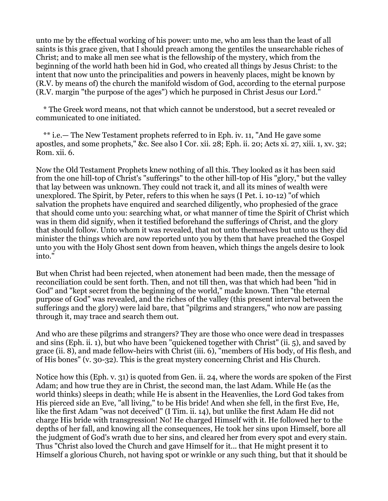unto me by the effectual working of his power: unto me, who am less than the least of all saints is this grace given, that I should preach among the gentiles the unsearchable riches of Christ; and to make all men see what is the fellowship of the mystery, which from the beginning of the world hath been hid in God, who created all things by Jesus Christ: to the intent that now unto the principalities and powers in heavenly places, might be known by (R.V. by means of) the church the manifold wisdom of God, according to the eternal purpose (R.V. margin "the purpose of the ages") which he purposed in Christ Jesus our Lord."

 \* The Greek word means, not that which cannot be understood, but a secret revealed or communicated to one initiated.

 \*\* i.e.— The New Testament prophets referred to in Eph. iv. 11, "And He gave some apostles, and some prophets," &c. See also I Cor. xii. 28; Eph. ii. 20; Acts xi. 27, xiii. 1, xv. 32; Rom. xii. 6.

Now the Old Testament Prophets knew nothing of all this. They looked as it has been said from the one hill-top of Christ's "sufferings" to the other hill-top of His "glory," but the valley that lay between was unknown. They could not track it, and all its mines of wealth were unexplored. The Spirit, by Peter, refers to this when he says (I Pet. i. 10-12) "of which salvation the prophets have enquired and searched diligently, who prophesied of the grace that should come unto you: searching what, or what manner of time the Spirit of Christ which was in them did signify, when it testified beforehand the sufferings of Christ, and the glory that should follow. Unto whom it was revealed, that not unto themselves but unto us they did minister the things which are now reported unto you by them that have preached the Gospel unto you with the Holy Ghost sent down from heaven, which things the angels desire to look into."

But when Christ had been rejected, when atonement had been made, then the message of reconciliation could be sent forth. Then, and not till then, was that which had been "hid in God" and "kept secret from the beginning of the world," made known. Then "the eternal purpose of God" was revealed, and the riches of the valley (this present interval between the sufferings and the glory) were laid bare, that "pilgrims and strangers," who now are passing through it, may trace and search them out.

And who are these pilgrims and strangers? They are those who once were dead in trespasses and sins (Eph. ii. 1), but who have been "quickened together with Christ" (ii. 5), and saved by grace (ii. 8), and made fellow-heirs with Christ (iii. 6), "members of His body, of His flesh, and of His bones" (v. 30-32). This is the great mystery concerning Christ and His Church.

Notice how this (Eph. v. 31) is quoted from Gen. ii. 24, where the words are spoken of the First Adam; and how true they are in Christ, the second man, the last Adam. While He (as the world thinks) sleeps in death; while He is absent in the Heavenlies, the Lord God takes from His pierced side an Eve, "all living," to be His bride! And when she fell, in the first Eve, He, like the first Adam "was not deceived" (I Tim. ii. 14), but unlike the first Adam He did not charge His bride with transgression! No! He charged Himself with it. He followed her to the depths of her fall, and knowing all the consequences, He took her sins upon Himself, bore all the judgment of God's wrath due to her sins, and cleared her from every spot and every stain. Thus "Christ also loved the Church and gave Himself for it... that He might present it to Himself a glorious Church, not having spot or wrinkle or any such thing, but that it should be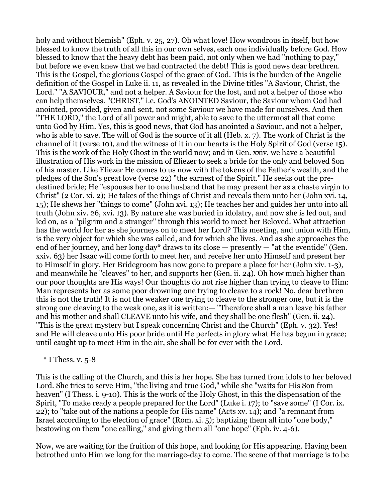holy and without blemish" (Eph. v. 25, 27). Oh what love! How wondrous in itself, but how blessed to know the truth of all this in our own selves, each one individually before God. How blessed to know that the heavy debt has been paid, not only when we had "nothing to pay," but before we even knew that we had contracted the debt! This is good news dear brethren. This is the Gospel, the glorious Gospel of the grace of God. This is the burden of the Angelic definition of the Gospel in Luke ii. 11, as revealed in the Divine titles "A Saviour, Christ, the Lord." "A SAVIOUR," and not a helper. A Saviour for the lost, and not a helper of those who can help themselves. "CHRIST," i.e. God's ANOINTED Saviour, the Saviour whom God had anointed, provided, given and sent, not some Saviour we have made for ourselves. And then "THE LORD," the Lord of all power and might, able to save to the uttermost all that come unto God by Him. Yes, this is good news, that God has anointed a Saviour, and not a helper, who is able to save. The will of God is the source of it all (Heb. x. 7). The work of Christ is the channel of it (verse 10), and the witness of it in our hearts is the Holy Spirit of God (verse 15). This is the work of the Holy Ghost in the world now; and in Gen. xxiv. we have a beautiful illustration of His work in the mission of Eliezer to seek a bride for the only and beloved Son of his master. Like Eliezer He comes to us now with the tokens of the Father's wealth, and the pledges of the Son's great love (verse 22) "the earnest of the Spirit." He seeks out the predestined bride; He "espouses her to one husband that he may present her as a chaste virgin to Christ" (2 Cor. xi. 2); He takes of the things of Christ and reveals them unto her (John xvi. 14, 15); He shews her "things to come" (John xvi. 13); He teaches her and guides her unto into all truth (John xiv. 26, xvi. 13). By nature she was buried in idolatry, and now she is led out, and led on, as a "pilgrim and a stranger" through this world to meet her Beloved. What attraction has the world for her as she journeys on to meet her Lord? This meeting, and union with Him, is the very object for which she was called, and for which she lives. And as she approaches the end of her journey, and her long day\* draws to its close — presently — "at the eventide" (Gen. xxiv. 63) her Isaac will come forth to meet her, and receive her unto Himself and present her to Himself in glory. Her Bridegroom has now gone to prepare a place for her (John xiv. 1-3), and meanwhile he "cleaves" to her, and supports her (Gen. ii. 24). Oh how much higher than our poor thoughts are His ways! Our thoughts do not rise higher than trying to cleave to Him: Man represents her as some poor drowning one trying to cleave to a rock! No, dear brethren this is not the truth! It is not the weaker one trying to cleave to the stronger one, but it is the strong one cleaving to the weak one, as it is written:— "Therefore shall a man leave his father and his mother and shall CLEAVE unto his wife, and they shall be one flesh" (Gen. ii. 24). "This is the great mystery but I speak concerning Christ and the Church" (Eph. v. 32). Yes! and He will cleave unto His poor bride until He perfects in glory what He has begun in grace; until caught up to meet Him in the air, she shall be for ever with the Lord.

#### $*$  I Thess. v. 5-8

This is the calling of the Church, and this is her hope. She has turned from idols to her beloved Lord. She tries to serve Him, "the living and true God," while she "waits for His Son from heaven" (I Thess. i. 9-10). This is the work of the Holy Ghost, in this the dispensation of the Spirit, "To make ready a people prepared for the Lord" (Luke i. 17); to "save some" (I Cor. ix. 22); to "take out of the nations a people for His name" (Acts xv. 14); and "a remnant from Israel according to the election of grace" (Rom. xi. 5); baptizing them all into "one body," bestowing on them "one calling," and giving them all "one hope" (Eph. iv. 4-6).

Now, we are waiting for the fruition of this hope, and looking for His appearing. Having been betrothed unto Him we long for the marriage-day to come. The scene of that marriage is to be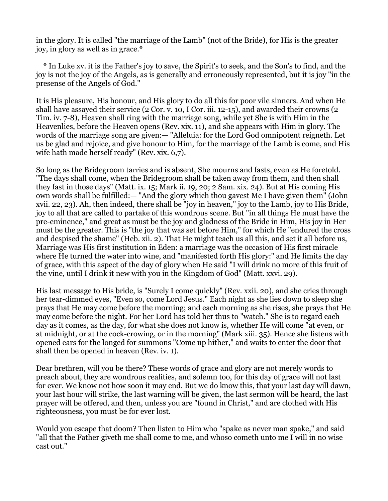in the glory. It is called "the marriage of the Lamb" (not of the Bride), for His is the greater joy, in glory as well as in grace.\*

 \* In Luke xv. it is the Father's joy to save, the Spirit's to seek, and the Son's to find, and the joy is not the joy of the Angels, as is generally and erroneously represented, but it is joy "in the presense of the Angels of God."

It is His pleasure, His honour, and His glory to do all this for poor vile sinners. And when He shall have assayed their service (2 Cor. v. 10, I Cor. iii. 12-15), and awarded their crowns (2 Tim. iv. 7-8), Heaven shall ring with the marriage song, while yet She is with Him in the Heavenlies, before the Heaven opens (Rev. xix. 11), and she appears with Him in glory. The words of the marriage song are given:— "Alleluia: for the Lord God omnipotent reigneth. Let us be glad and rejoice, and give honour to Him, for the marriage of the Lamb is come, and His wife hath made herself ready" (Rev. xix. 6,7).

So long as the Bridegroom tarries and is absent, She mourns and fasts, even as He foretold. "The days shall come, when the Bridegroom shall be taken away from them, and then shall they fast in those days" (Matt. ix. 15; Mark ii. 19, 20; 2 Sam. xix. 24). But at His coming His own words shall be fulfilled:— "And the glory which thou gavest Me I have given them" (John xvii. 22, 23). Ah, then indeed, there shall be "joy in heaven," joy to the Lamb, joy to His Bride, joy to all that are called to partake of this wondrous scene. But "in all things He must have the pre-eminence," and great as must be the joy and gladness of the Bride in Him, His joy in Her must be the greater. This is "the joy that was set before Him," for which He "endured the cross and despised the shame" (Heb. xii. 2). That He might teach us all this, and set it all before us, Marriage was His first institution in Eden: a marriage was the occasion of His first miracle where He turned the water into wine, and "manifested forth His glory:" and He limits the day of grace, with this aspect of the day of glory when He said "I will drink no more of this fruit of the vine, until I drink it new with you in the Kingdom of God" (Matt. xxvi. 29).

His last message to His bride, is "Surely I come quickly" (Rev. xxii. 20), and she cries through her tear-dimmed eyes, "Even so, come Lord Jesus." Each night as she lies down to sleep she prays that He may come before the morning; and each morning as she rises, she prays that He may come before the night. For her Lord has told her thus to "watch." She is to regard each day as it comes, as the day, for what she does not know is, whether He will come "at even, or at midnight, or at the cock-crowing, or in the morning" (Mark xiii. 35). Hence she listens with opened ears for the longed for summons "Come up hither," and waits to enter the door that shall then be opened in heaven (Rev. iv. 1).

Dear brethren, will you be there? These words of grace and glory are not merely words to preach about, they are wondrous realities, and solemn too, for this day of grace will not last for ever. We know not how soon it may end. But we do know this, that your last day will dawn, your last hour will strike, the last warning will be given, the last sermon will be heard, the last prayer will be offered, and then, unless you are "found in Christ," and are clothed with His righteousness, you must be for ever lost.

Would you escape that doom? Then listen to Him who "spake as never man spake," and said "all that the Father giveth me shall come to me, and whoso cometh unto me I will in no wise cast out."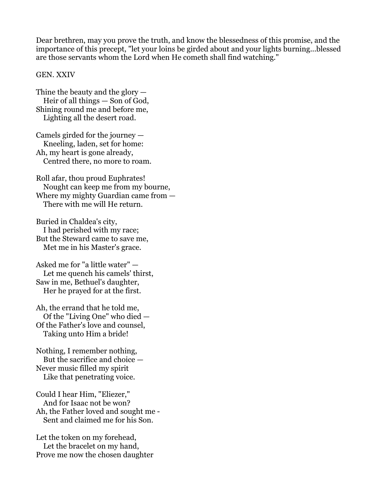Dear brethren, may you prove the truth, and know the blessedness of this promise, and the importance of this precept, "let your loins be girded about and your lights burning...blessed are those servants whom the Lord when He cometh shall find watching."

#### GEN. XXIV

Thine the beauty and the glory — Heir of all things — Son of God, Shining round me and before me, Lighting all the desert road.

Camels girded for the journey — Kneeling, laden, set for home: Ah, my heart is gone already, Centred there, no more to roam.

Roll afar, thou proud Euphrates! Nought can keep me from my bourne, Where my mighty Guardian came from — There with me will He return.

Buried in Chaldea's city, I had perished with my race; But the Steward came to save me, Met me in his Master's grace.

Asked me for "a little water" — Let me quench his camels' thirst, Saw in me, Bethuel's daughter, Her he prayed for at the first.

Ah, the errand that he told me, Of the "Living One" who died — Of the Father's love and counsel, Taking unto Him a bride!

Nothing, I remember nothing, But the sacrifice and choice — Never music filled my spirit Like that penetrating voice.

Could I hear Him, "Eliezer," And for Isaac not be won? Ah, the Father loved and sought me - Sent and claimed me for his Son.

Let the token on my forehead, Let the bracelet on my hand, Prove me now the chosen daughter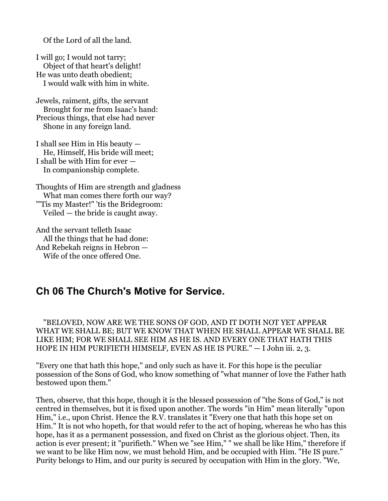Of the Lord of all the land.

I will go; I would not tarry; Object of that heart's delight! He was unto death obedient; I would walk with him in white.

Jewels, raiment, gifts, the servant Brought for me from Isaac's hand: Precious things, that else had never Shone in any foreign land.

I shall see Him in His beauty — He, Himself, His bride will meet; I shall be with Him for ever — In companionship complete.

Thoughts of Him are strength and gladness What man comes there forth our way? "'Tis my Master!" 'tis the Bridegroom: Veiled — the bride is caught away.

And the servant telleth Isaac All the things that he had done: And Rebekah reigns in Hebron — Wife of the once offered One.

## <span id="page-31-0"></span>**Ch 06 The Church's Motive for Service.**

 "BELOVED, NOW ARE WE THE SONS OF GOD, AND IT DOTH NOT YET APPEAR WHAT WE SHALL BE; BUT WE KNOW THAT WHEN HE SHALL APPEAR WE SHALL BE LIKE HIM; FOR WE SHALL SEE HIM AS HE IS. AND EVERY ONE THAT HATH THIS HOPE IN HIM PURIFIETH HIMSELF, EVEN AS HE IS PURE." — I John iii. 2, 3.

"Every one that hath this hope," and only such as have it. For this hope is the peculiar possession of the Sons of God, who know something of "what manner of love the Father hath bestowed upon them."

Then, observe, that this hope, though it is the blessed possession of "the Sons of God," is not centred in themselves, but it is fixed upon another. The words "in Him" mean literally "upon Him," i.e., upon Christ. Hence the R.V. translates it "Every one that hath this hope set on Him." It is not who hopeth, for that would refer to the act of hoping, whereas he who has this hope, has it as a permanent possession, and fixed on Christ as the glorious object. Then, its action is ever present; it "purifieth." When we "see Him," " we shall be like Him," therefore if we want to be like Him now, we must behold Him, and be occupied with Him. "He IS pure." Purity belongs to Him, and our purity is secured by occupation with Him in the glory. "We,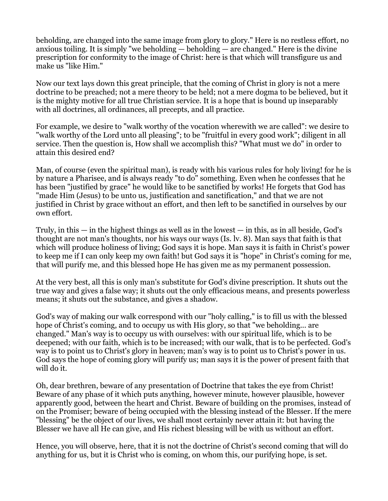beholding, are changed into the same image from glory to glory." Here is no restless effort, no anxious toiling. It is simply "we beholding — beholding — are changed." Here is the divine prescription for conformity to the image of Christ: here is that which will transfigure us and make us "like Him."

Now our text lays down this great principle, that the coming of Christ in glory is not a mere doctrine to be preached; not a mere theory to be held; not a mere dogma to be believed, but it is the mighty motive for all true Christian service. It is a hope that is bound up inseparably with all doctrines, all ordinances, all precepts, and all practice.

For example, we desire to "walk worthy of the vocation wherewith we are called": we desire to "walk worthy of the Lord unto all pleasing"; to be "fruitful in every good work"; diligent in all service. Then the question is, How shall we accomplish this? "What must we do" in order to attain this desired end?

Man, of course (even the spiritual man), is ready with his various rules for holy living! for he is by nature a Pharisee, and is always ready "to do" something. Even when he confesses that he has been "justified by grace" he would like to be sanctified by works! He forgets that God has "made Him (Jesus) to be unto us, justification and sanctification," and that we are not justified in Christ by grace without an effort, and then left to be sanctified in ourselves by our own effort.

Truly, in this  $-$  in the highest things as well as in the lowest  $-$  in this, as in all beside, God's thought are not man's thoughts, nor his ways our ways (Is. lv. 8). Man says that faith is that which will produce holiness of living; God says it is hope. Man says it is faith in Christ's power to keep me if I can only keep my own faith! but God says it is "hope" in Christ's coming for me, that will purify me, and this blessed hope He has given me as my permanent possession.

At the very best, all this is only man's substitute for God's divine prescription. It shuts out the true way and gives a false way; it shuts out the only efficacious means, and presents powerless means; it shuts out the substance, and gives a shadow.

God's way of making our walk correspond with our "holy calling," is to fill us with the blessed hope of Christ's coming, and to occupy us with His glory, so that "we beholding... are changed." Man's way is to occupy us with ourselves: with our spiritual life, which is to be deepened; with our faith, which is to be increased; with our walk, that is to be perfected. God's way is to point us to Christ's glory in heaven; man's way is to point us to Christ's power in us. God says the hope of coming glory will purify us; man says it is the power of present faith that will do it.

Oh, dear brethren, beware of any presentation of Doctrine that takes the eye from Christ! Beware of any phase of it which puts anything, however minute, however plausible, however apparently good, between the heart and Christ. Beware of building on the promises, instead of on the Promiser; beware of being occupied with the blessing instead of the Blesser. If the mere "blessing" be the object of our lives, we shall most certainly never attain it: but having the Blesser we have all He can give, and His richest blessing will be with us without an effort.

Hence, you will observe, here, that it is not the doctrine of Christ's second coming that will do anything for us, but it is Christ who is coming, on whom this, our purifying hope, is set.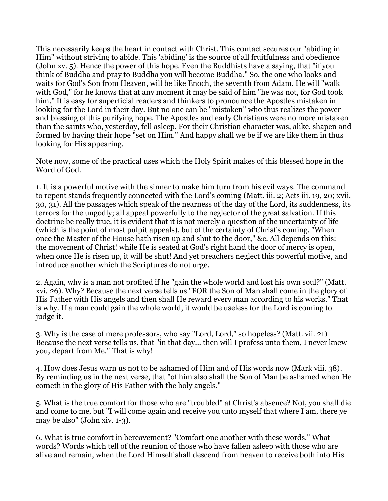This necessarily keeps the heart in contact with Christ. This contact secures our "abiding in Him" without striving to abide. This 'abiding' is the source of all fruitfulness and obedience (John xv. 5). Hence the power of this hope. Even the Buddhists have a saying, that "if you think of Buddha and pray to Buddha you will become Buddha." So, the one who looks and waits for God's Son from Heaven, will be like Enoch, the seventh from Adam. He will "walk with God," for he knows that at any moment it may be said of him "he was not, for God took him." It is easy for superficial readers and thinkers to pronounce the Apostles mistaken in looking for the Lord in their day. But no one can be "mistaken" who thus realizes the power and blessing of this purifying hope. The Apostles and early Christians were no more mistaken than the saints who, yesterday, fell asleep. For their Christian character was, alike, shapen and formed by having their hope "set on Him." And happy shall we be if we are like them in thus looking for His appearing.

Note now, some of the practical uses which the Holy Spirit makes of this blessed hope in the Word of God.

1. It is a powerful motive with the sinner to make him turn from his evil ways. The command to repent stands frequently connected with the Lord's coming (Matt. iii. 2; Acts iii. 19, 20; xvii. 30, 31). All the passages which speak of the nearness of the day of the Lord, its suddenness, its terrors for the ungodly; all appeal powerfully to the neglector of the great salvation. If this doctrine be really true, it is evident that it is not merely a question of the uncertainty of life (which is the point of most pulpit appeals), but of the certainty of Christ's coming. "When once the Master of the House hath risen up and shut to the door," &c. All depends on this: the movement of Christ! while He is seated at God's right hand the door of mercy is open, when once He is risen up, it will be shut! And yet preachers neglect this powerful motive, and introduce another which the Scriptures do not urge.

2. Again, why is a man not profited if he "gain the whole world and lost his own soul?" (Matt. xvi. 26). Why? Because the next verse tells us "FOR the Son of Man shall come in the glory of His Father with His angels and then shall He reward every man according to his works." That is why. If a man could gain the whole world, it would be useless for the Lord is coming to judge it.

3. Why is the case of mere professors, who say "Lord, Lord," so hopeless? (Matt. vii. 21) Because the next verse tells us, that "in that day... then will I profess unto them, I never knew you, depart from Me." That is why!

4. How does Jesus warn us not to be ashamed of Him and of His words now (Mark viii. 38). By reminding us in the next verse, that "of him also shall the Son of Man be ashamed when He cometh in the glory of His Father with the holy angels."

5. What is the true comfort for those who are "troubled" at Christ's absence? Not, you shall die and come to me, but "I will come again and receive you unto myself that where I am, there ye may be also" (John xiv. 1-3).

6. What is true comfort in bereavement? "Comfort one another with these words." What words? Words which tell of the reunion of those who have fallen asleep with those who are alive and remain, when the Lord Himself shall descend from heaven to receive both into His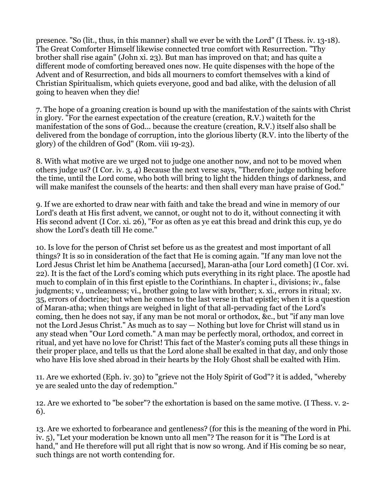presence. "So (lit., thus, in this manner) shall we ever be with the Lord" (I Thess. iv. 13-18). The Great Comforter Himself likewise connected true comfort with Resurrection. "Thy brother shall rise again" (John xi. 23). But man has improved on that; and has quite a different mode of comforting bereaved ones now. He quite dispenses with the hope of the Advent and of Resurrection, and bids all mourners to comfort themselves with a kind of Christian Spiritualism, which quiets everyone, good and bad alike, with the delusion of all going to heaven when they die!

7. The hope of a groaning creation is bound up with the manifestation of the saints with Christ in glory. "For the earnest expectation of the creature (creation, R.V.) waiteth for the manifestation of the sons of God... because the creature (creation, R.V.) itself also shall be delivered from the bondage of corruption, into the glorious liberty (R.V. into the liberty of the glory) of the children of God" (Rom. viii 19-23).

8. With what motive are we urged not to judge one another now, and not to be moved when others judge us? (I Cor. iv. 3, 4) Because the next verse says, "Therefore judge nothing before the time, until the Lord come, who both will bring to light the hidden things of darkness, and will make manifest the counsels of the hearts: and then shall every man have praise of God."

9. If we are exhorted to draw near with faith and take the bread and wine in memory of our Lord's death at His first advent, we cannot, or ought not to do it, without connecting it with His second advent (I Cor. xi. 26), "For as often as ye eat this bread and drink this cup, ye do show the Lord's death till He come."

10. Is love for the person of Christ set before us as the greatest and most important of all things? It is so in consideration of the fact that He is coming again. "If any man love not the Lord Jesus Christ let him be Anathema [accursed], Maran-atha [our Lord cometh] (I Cor. xvi. 22). It is the fact of the Lord's coming which puts everything in its right place. The apostle had much to complain of in this first epistle to the Corinthians. In chapter i., divisions; iv., false judgments; v., uncleanness; vi., brother going to law with brother; x. xi., errors in ritual; xv. 35, errors of doctrine; but when he comes to the last verse in that epistle; when it is a question of Maran-atha; when things are weighed in light of that all-pervading fact of the Lord's coming, then he does not say, if any man be not moral or orthodox, &c., but "if any man love not the Lord Jesus Christ." As much as to say — Nothing but love for Christ will stand us in any stead when "Our Lord cometh." A man may be perfectly moral, orthodox, and correct in ritual, and yet have no love for Christ! This fact of the Master's coming puts all these things in their proper place, and tells us that the Lord alone shall be exalted in that day, and only those who have His love shed abroad in their hearts by the Holy Ghost shall be exalted with Him.

11. Are we exhorted (Eph. iv. 30) to "grieve not the Holy Spirit of God"? it is added, "whereby ye are sealed unto the day of redemption."

12. Are we exhorted to "be sober"? the exhortation is based on the same motive. (I Thess. v. 2- 6).

13. Are we exhorted to forbearance and gentleness? (for this is the meaning of the word in Phi. iv. 5), "Let your moderation be known unto all men"? The reason for it is "The Lord is at hand," and He therefore will put all right that is now so wrong. And if His coming be so near, such things are not worth contending for.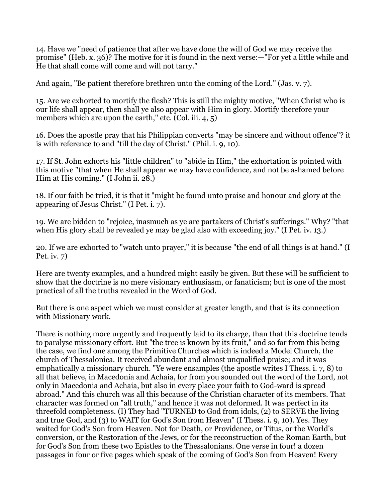14. Have we "need of patience that after we have done the will of God we may receive the promise" (Heb. x. 36)? The motive for it is found in the next verse:—"For yet a little while and He that shall come will come and will not tarry."

And again, "Be patient therefore brethren unto the coming of the Lord." (Jas. v. 7).

15. Are we exhorted to mortify the flesh? This is still the mighty motive, "When Christ who is our life shall appear, then shall ye also appear with Him in glory. Mortify therefore your members which are upon the earth," etc. (Col. iii. 4, 5)

16. Does the apostle pray that his Philippian converts "may be sincere and without offence"? it is with reference to and "till the day of Christ." (Phil. i. 9, 10).

17. If St. John exhorts his "little children" to "abide in Him," the exhortation is pointed with this motive "that when He shall appear we may have confidence, and not be ashamed before Him at His coming." (I John ii. 28.)

18. If our faith be tried, it is that it "might be found unto praise and honour and glory at the appearing of Jesus Christ." (I Pet. i. 7).

19. We are bidden to "rejoice, inasmuch as ye are partakers of Christ's sufferings." Why? "that when His glory shall be revealed ye may be glad also with exceeding joy." (I Pet. iv. 13.)

20. If we are exhorted to "watch unto prayer," it is because "the end of all things is at hand." (I Pet. iv. 7)

Here are twenty examples, and a hundred might easily be given. But these will be sufficient to show that the doctrine is no mere visionary enthusiasm, or fanaticism; but is one of the most practical of all the truths revealed in the Word of God.

But there is one aspect which we must consider at greater length, and that is its connection with Missionary work.

There is nothing more urgently and frequently laid to its charge, than that this doctrine tends to paralyse missionary effort. But "the tree is known by its fruit," and so far from this being the case, we find one among the Primitive Churches which is indeed a Model Church, the church of Thessalonica. It received abundant and almost unqualified praise; and it was emphatically a missionary church. "Ye were ensamples (the apostle writes I Thess. i. 7, 8) to all that believe, in Macedonia and Achaia, for from you sounded out the word of the Lord, not only in Macedonia and Achaia, but also in every place your faith to God-ward is spread abroad." And this church was all this because of the Christian character of its members. That character was formed on "all truth," and hence it was not deformed. It was perfect in its threefold completeness. (I) They had "TURNED to God from idols, (2) to SERVE the living and true God, and (3) to WAIT for God's Son from Heaven" (I Thess. i. 9, 10). Yes. They waited for God's Son from Heaven. Not for Death, or Providence, or Titus, or the World's conversion, or the Restoration of the Jews, or for the reconstruction of the Roman Earth, but for God's Son from these two Epistles to the Thessalonians. One verse in four! a dozen passages in four or five pages which speak of the coming of God's Son from Heaven! Every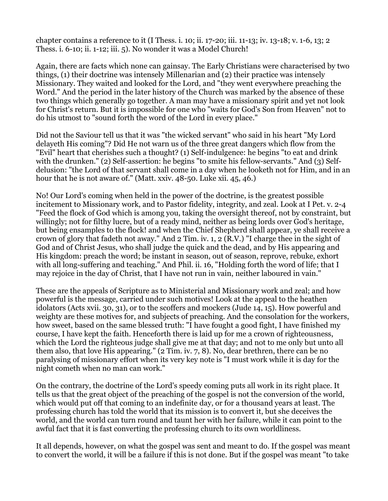chapter contains a reference to it (I Thess. i. 10; ii. 17-20; iii. 11-13; iv. 13-18; v. 1-6, 13; 2 Thess. i. 6-10; ii. 1-12; iii. 5). No wonder it was a Model Church!

Again, there are facts which none can gainsay. The Early Christians were characterised by two things, (1) their doctrine was intensely Millenarian and (2) their practice was intensely Missionary. They waited and looked for the Lord, and "they went everywhere preaching the Word." And the period in the later history of the Church was marked by the absence of these two things which generally go together. A man may have a missionary spirit and yet not look for Christ's return. But it is impossible for one who "waits for God's Son from Heaven" not to do his utmost to "sound forth the word of the Lord in every place."

Did not the Saviour tell us that it was "the wicked servant" who said in his heart "My Lord delayeth His coming"? Did He not warn us of the three great dangers which flow from the "Evil" heart that cherishes such a thought? (1) Self-indulgence: he begins "to eat and drink with the drunken." (2) Self-assertion: he begins "to smite his fellow-servants." And (3) Selfdelusion: "the Lord of that servant shall come in a day when he looketh not for Him, and in an hour that he is not aware of." (Matt. xxiv. 48-50. Luke xii. 45, 46.)

No! Our Lord's coming when held in the power of the doctrine, is the greatest possible incitement to Missionary work, and to Pastor fidelity, integrity, and zeal. Look at I Pet. v. 2-4 "Feed the flock of God which is among you, taking the oversight thereof, not by constraint, but willingly; not for filthy lucre, but of a ready mind, neither as being lords over God's heritage, but being ensamples to the flock! and when the Chief Shepherd shall appear, ye shall receive a crown of glory that fadeth not away." And 2 Tim. iv. 1, 2 (R.V.) "I charge thee in the sight of God and of Christ Jesus, who shall judge the quick and the dead, and by His appearing and His kingdom: preach the word; be instant in season, out of season, reprove, rebuke, exhort with all long-suffering and teaching." And Phil. ii. 16, "Holding forth the word of life; that I may rejoice in the day of Christ, that I have not run in vain, neither laboured in vain."

These are the appeals of Scripture as to Ministerial and Missionary work and zeal; and how powerful is the message, carried under such motives! Look at the appeal to the heathen idolators (Acts xvii. 30, 31), or to the scoffers and mockers (Jude 14, 15). How powerful and weighty are these motives for, and subjects of preaching. And the consolation for the workers, how sweet, based on the same blessed truth: "I have fought a good fight, I have finished my course, I have kept the faith. Henceforth there is laid up for me a crown of righteousness, which the Lord the righteous judge shall give me at that day; and not to me only but unto all them also, that love His appearing." (2 Tim. iv. 7, 8). No, dear brethren, there can be no paralysing of missionary effort when its very key note is "I must work while it is day for the night cometh when no man can work."

On the contrary, the doctrine of the Lord's speedy coming puts all work in its right place. It tells us that the great object of the preaching of the gospel is not the conversion of the world, which would put off that coming to an indefinite day, or for a thousand years at least. The professing church has told the world that its mission is to convert it, but she deceives the world, and the world can turn round and taunt her with her failure, while it can point to the awful fact that it is fast converting the professing church to its own worldliness.

It all depends, however, on what the gospel was sent and meant to do. If the gospel was meant to convert the world, it will be a failure if this is not done. But if the gospel was meant "to take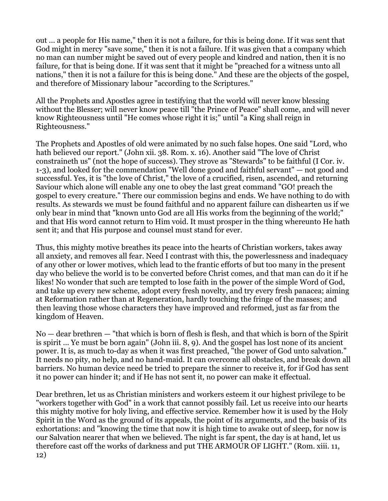out ... a people for His name," then it is not a failure, for this is being done. If it was sent that God might in mercy "save some," then it is not a failure. If it was given that a company which no man can number might be saved out of every people and kindred and nation, then it is no failure, for that is being done. If it was sent that it might be "preached for a witness unto all nations," then it is not a failure for this is being done." And these are the objects of the gospel, and therefore of Missionary labour "according to the Scriptures."

All the Prophets and Apostles agree in testifying that the world will never know blessing without the Blesser; will never know peace till "the Prince of Peace" shall come, and will never know Righteousness until "He comes whose right it is;" until "a King shall reign in Righteousness."

The Prophets and Apostles of old were animated by no such false hopes. One said "Lord, who hath believed our report." (John xii. 38. Rom. x. 16). Another said "The love of Christ constraineth us" (not the hope of success). They strove as "Stewards" to be faithful (I Cor. iv. 1-3), and looked for the commendation "Well done good and faithful servant" — not good and successful. Yes, it is "the love of Christ," the love of a crucified, risen, ascended, and returning Saviour which alone will enable any one to obey the last great command "GO! preach the gospel to every creature." There our commission begins and ends. We have nothing to do with results. As stewards we must be found faithful and no apparent failure can dishearten us if we only bear in mind that "known unto God are all His works from the beginning of the world;" and that His word cannot return to Him void. It must prosper in the thing whereunto He hath sent it; and that His purpose and counsel must stand for ever.

Thus, this mighty motive breathes its peace into the hearts of Christian workers, takes away all anxiety, and removes all fear. Need I contrast with this, the powerlessness and inadequacy of any other or lower motives, which lead to the frantic efforts of but too many in the present day who believe the world is to be converted before Christ comes, and that man can do it if he likes! No wonder that such are tempted to lose faith in the power of the simple Word of God, and take up every new scheme, adopt every fresh novelty, and try every fresh panacea; aiming at Reformation rather than at Regeneration, hardly touching the fringe of the masses; and then leaving those whose characters they have improved and reformed, just as far from the kingdom of Heaven.

No — dear brethren — "that which is born of flesh is flesh, and that which is born of the Spirit is spirit ... Ye must be born again" (John iii. 8, 9). And the gospel has lost none of its ancient power. It is, as much to-day as when it was first preached, "the power of God unto salvation." It needs no pity, no help, and no hand-maid. It can overcome all obstacles, and break down all barriers. No human device need be tried to prepare the sinner to receive it, for if God has sent it no power can hinder it; and if He has not sent it, no power can make it effectual.

Dear brethren, let us as Christian ministers and workers esteem it our highest privilege to be "workers together with God" in a work that cannot possibly fail. Let us receive into our hearts this mighty motive for holy living, and effective service. Remember how it is used by the Holy Spirit in the Word as the ground of its appeals, the point of its arguments, and the basis of its exhortations: and "knowing the time that now it is high time to awake out of sleep, for now is our Salvation nearer that when we believed. The night is far spent, the day is at hand, let us therefore cast off the works of darkness and put THE ARMOUR OF LIGHT." (Rom. xiii. 11, 12)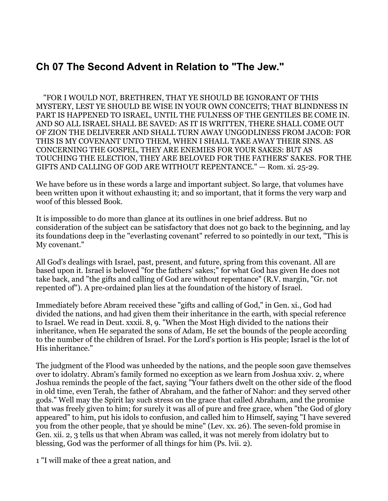## **Ch 07 The Second Advent in Relation to "The Jew."**

 "FOR I WOULD NOT, BRETHREN, THAT YE SHOULD BE IGNORANT OF THIS MYSTERY, LEST YE SHOULD BE WISE IN YOUR OWN CONCEITS; THAT BLINDNESS IN PART IS HAPPENED TO ISRAEL, UNTIL THE FULNESS OF THE GENTILES BE COME IN. AND SO ALL ISRAEL SHALL BE SAVED: AS IT IS WRITTEN, THERE SHALL COME OUT OF ZION THE DELIVERER AND SHALL TURN AWAY UNGODLINESS FROM JACOB: FOR THIS IS MY COVENANT UNTO THEM, WHEN I SHALL TAKE AWAY THEIR SINS. AS CONCERNING THE GOSPEL, THEY ARE ENEMIES FOR YOUR SAKES: BUT AS TOUCHING THE ELECTION, THEY ARE BELOVED FOR THE FATHERS' SAKES. FOR THE GIFTS AND CALLING OF GOD ARE WITHOUT REPENTANCE." — Rom. xi. 25-29.

We have before us in these words a large and important subject. So large, that volumes have been written upon it without exhausting it; and so important, that it forms the very warp and woof of this blessed Book.

It is impossible to do more than glance at its outlines in one brief address. But no consideration of the subject can be satisfactory that does not go back to the beginning, and lay its foundations deep in the "everlasting covenant" referred to so pointedly in our text, "This is My covenant."

All God's dealings with Israel, past, present, and future, spring from this covenant. All are based upon it. Israel is beloved "for the fathers' sakes;" for what God has given He does not take back, and "the gifts and calling of God are without repentance" (R.V. margin, "Gr. not repented of"). A pre-ordained plan lies at the foundation of the history of Israel.

Immediately before Abram received these "gifts and calling of God," in Gen. xi., God had divided the nations, and had given them their inheritance in the earth, with special reference to Israel. We read in Deut. xxxii. 8, 9. "When the Most High divided to the nations their inheritance, when He separated the sons of Adam, He set the bounds of the people according to the number of the children of Israel. For the Lord's portion is His people; Israel is the lot of His inheritance."

The judgment of the Flood was unheeded by the nations, and the people soon gave themselves over to idolatry. Abram's family formed no exception as we learn from Joshua xxiv. 2, where Joshua reminds the people of the fact, saying "Your fathers dwelt on the other side of the flood in old time, even Terah, the father of Abraham, and the father of Nahor: and they served other gods." Well may the Spirit lay such stress on the grace that called Abraham, and the promise that was freely given to him; for surely it was all of pure and free grace, when "the God of glory appeared" to him, put his idols to confusion, and called him to Himself, saying "I have severed you from the other people, that ye should be mine" (Lev. xx. 26). The seven-fold promise in Gen. xii. 2, 3 tells us that when Abram was called, it was not merely from idolatry but to blessing, God was the performer of all things for him (Ps. lvii. 2).

1 "I will make of thee a great nation, and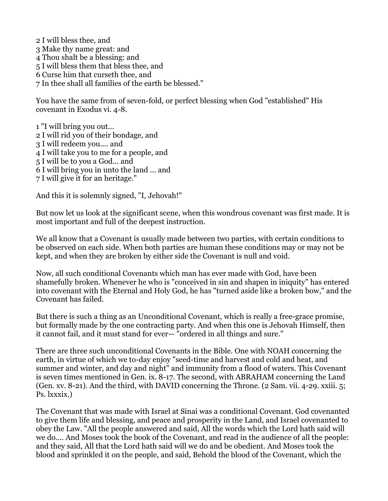2 I will bless thee, and 3 Make thy name great: and 4 Thou shalt be a blessing: and 5 I will bless them that bless thee, and 6 Curse him that curseth thee, and 7 In thee shall all families of the earth be blessed."

You have the same from of seven-fold, or perfect blessing when God "established" His covenant in Exodus vi. 4-8.

1 "I will bring you out... 2 I will rid you of their bondage, and 3 I will redeem you.... and 4 I will take you to me for a people, and 5 I will be to you a God... and 6 I will bring you in unto the land ... and 7 I will give it for an heritage."

And this it is solemnly signed, "I, Jehovah!"

But now let us look at the significant scene, when this wondrous covenant was first made. It is most important and full of the deepest instruction.

We all know that a Covenant is usually made between two parties, with certain conditions to be observed on each side. When both parties are human these conditions may or may not be kept, and when they are broken by either side the Covenant is null and void.

Now, all such conditional Covenants which man has ever made with God, have been shamefully broken. Whenever he who is "conceived in sin and shapen in iniquity" has entered into covenant with the Eternal and Holy God, he has "turned aside like a broken bow," and the Covenant has failed.

But there is such a thing as an Unconditional Covenant, which is really a free-grace promise, but formally made by the one contracting party. And when this one is Jehovah Himself, then it cannot fail, and it must stand for ever— "ordered in all things and sure."

There are three such unconditional Covenants in the Bible. One with NOAH concerning the earth, in virtue of which we to-day enjoy "seed-time and harvest and cold and heat, and summer and winter, and day and night" and immunity from a flood of waters. This Covenant is seven times mentioned in Gen. ix. 8-17. The second, with ABRAHAM concerning the Land (Gen. xv. 8-21). And the third, with DAVID concerning the Throne. (2 Sam. vii. 4-29. xxiii. 5; Ps. lxxxix.)

The Covenant that was made with Israel at Sinai was a conditional Covenant. God covenanted to give them life and blessing, and peace and prosperity in the Land, and Israel covenanted to obey the Law. "All the people answered and said, All the words which the Lord hath said will we do.... And Moses took the book of the Covenant, and read in the audience of all the people: and they said, All that the Lord hath said will we do and be obedient. And Moses took the blood and sprinkled it on the people, and said, Behold the blood of the Covenant, which the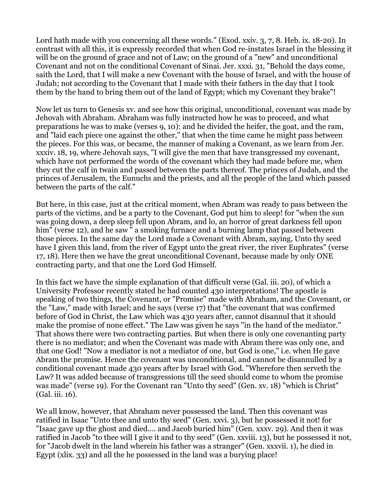Lord hath made with you concerning all these words." (Exod. xxiv. 3, 7, 8. Heb. ix. 18-20). In contrast with all this, it is expressly recorded that when God re-instates Israel in the blessing it will be on the ground of grace and not of Law; on the ground of a "new" and unconditional Covenant and not on the conditional Covenant of Sinai. Jer. xxxi. 31, "Behold the days come, saith the Lord, that I will make a new Covenant with the house of Israel, and with the house of Judah; not according to the Covenant that I made with their fathers in the day that I took them by the hand to bring them out of the land of Egypt; which my Covenant they brake"!

Now let us turn to Genesis xv. and see how this original, unconditional, covenant was made by Jehovah with Abraham. Abraham was fully instructed how he was to proceed, and what preparations he was to make (verses 9, 10): and he divided the heifer, the goat, and the ram, and "laid each piece one against the other," that when the time came he might pass between the pieces. For this was, or became, the manner of making a Covenant, as we learn from Jer. xxxiv. 18, 19, where Jehovah says, "I will give the men that have transgressed my covenant, which have not performed the words of the covenant which they had made before me, when they cut the calf in twain and passed between the parts thereof. The princes of Judah, and the princes of Jerusalem, the Eunuchs and the priests, and all the people of the land which passed between the parts of the calf."

But here, in this case, just at the critical moment, when Abram was ready to pass between the parts of the victims, and be a party to the Covenant, God put him to sleep! for "when the sun was going down, a deep sleep fell upon Abram, and lo, an horror of great darkness fell upon him" (verse 12), and he saw " a smoking furnace and a burning lamp that passed between those pieces. In the same day the Lord made a Covenant with Abram, saying, Unto thy seed have I given this land, from the river of Egypt unto the great river, the river Euphrates" (verse 17, 18). Here then we have the great unconditional Covenant, because made by only ONE contracting party, and that one the Lord God Himself.

In this fact we have the simple explanation of that difficult verse (Gal. iii. 20), of which a University Professor recently stated he had counted 430 interpretations! The apostle is speaking of two things, the Covenant, or "Promise" made with Abraham, and the Covenant, or the "Law," made with Israel; and he says (verse 17) that "the covenant that was confirmed before of God in Christ, the Law which was 430 years after, cannot disannul that it should make the promise of none effect." The Law was given he says "in the hand of the mediator." That shows there were two contracting parties. But when there is only one covenanting party there is no mediator; and when the Covenant was made with Abram there was only one, and that one God! "Now a mediator is not a mediator of one, but God is one," i.e. when He gave Abram the promise. Hence the covenant was unconditional, and cannot be disannulled by a conditional covenant made 430 years after by Israel with God. "Wherefore then serveth the Law? It was added because of transgressions till the seed should come to whom the promise was made" (verse 19). For the Covenant ran "Unto thy seed" (Gen. xv. 18) "which is Christ" (Gal. iii. 16).

We all know, however, that Abraham never possessed the land. Then this covenant was ratified in Isaac "Unto thee and unto thy seed" (Gen. xxvi. 3), but he possessed it not! for "Isaac gave up the ghost and died.... and Jacob buried him" (Gen. xxxv. 29). And then it was ratified in Jacob "to thee will I give it and to thy seed" (Gen. xxviii. 13), but he possessed it not, for "Jacob dwelt in the land wherein his father was a stranger" (Gen. xxxvii. 1), he died in Egypt (xlix. 33) and all the he possessed in the land was a burying place!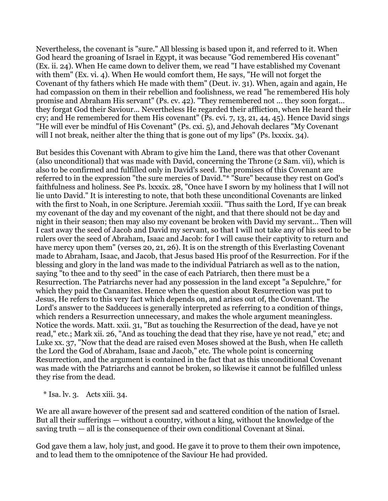Nevertheless, the covenant is "sure." All blessing is based upon it, and referred to it. When God heard the groaning of Israel in Egypt, it was because "God remembered His covenant" (Ex. ii. 24). When He came down to deliver them, we read "I have established my Covenant with them" (Ex. vi. 4). When He would comfort them, He says, "He will not forget the Covenant of thy fathers which He made with them" (Deut. iv. 31). When, again and again, He had compassion on them in their rebellion and foolishness, we read "he remembered His holy promise and Abraham His servant" (Ps. cv. 42). "They remembered not ... they soon forgat... they forgat God their Saviour... Nevertheless He regarded their affliction, when He heard their cry; and He remembered for them His covenant" (Ps. cvi. 7, 13, 21, 44, 45). Hence David sings "He will ever be mindful of His Covenant" (Ps. cxi. 5), and Jehovah declares "My Covenant will I not break, neither alter the thing that is gone out of my lips" (Ps. lxxxix. 34).

But besides this Covenant with Abram to give him the Land, there was that other Covenant (also unconditional) that was made with David, concerning the Throne (2 Sam. vii), which is also to be confirmed and fulfilled only in David's seed. The promises of this Covenant are referred to in the expression "the sure mercies of David."\* "Sure" because they rest on God's faithfulness and holiness. See Ps. lxxxix. 28, "Once have I sworn by my holiness that I will not lie unto David." It is interesting to note, that both these unconditional Covenants are linked with the first to Noah, in one Scripture. Jeremiah xxxiii. "Thus saith the Lord, If ye can break my covenant of the day and my covenant of the night, and that there should not be day and night in their season; then may also my covenant be broken with David my servant... Then will I cast away the seed of Jacob and David my servant, so that I will not take any of his seed to be rulers over the seed of Abraham, Isaac and Jacob: for I will cause their captivity to return and have mercy upon them" (verses 20, 21, 26). It is on the strength of this Everlasting Covenant made to Abraham, Isaac, and Jacob, that Jesus based His proof of the Resurrection. For if the blessing and glory in the land was made to the individual Patriarch as well as to the nation, saying "to thee and to thy seed" in the case of each Patriarch, then there must be a Resurrection. The Patriarchs never had any possession in the land except "a Sepulchre," for which they paid the Canaanites. Hence when the question about Resurrection was put to Jesus, He refers to this very fact which depends on, and arises out of, the Covenant. The Lord's answer to the Sadducees is generally interpreted as referring to a condition of things, which renders a Resurrection unnecessary, and makes the whole argument meaningless. Notice the words. Matt. xxii. 31, "But as touching the Resurrection of the dead, have ye not read," etc.; Mark xii. 26, "And as touching the dead that they rise, have ye not read," etc; and Luke xx. 37, "Now that the dead are raised even Moses showed at the Bush, when He calleth the Lord the God of Abraham, Isaac and Jacob," etc. The whole point is concerning Resurrection, and the argument is contained in the fact that as this unconditional Covenant was made with the Patriarchs and cannot be broken, so likewise it cannot be fulfilled unless they rise from the dead.

 $*$  Isa. lv. 3. Acts xiii. 34.

We are all aware however of the present sad and scattered condition of the nation of Israel. But all their sufferings — without a country, without a king, without the knowledge of the saving truth — all is the consequence of their own conditional Covenant at Sinai.

God gave them a law, holy just, and good. He gave it to prove to them their own impotence, and to lead them to the omnipotence of the Saviour He had provided.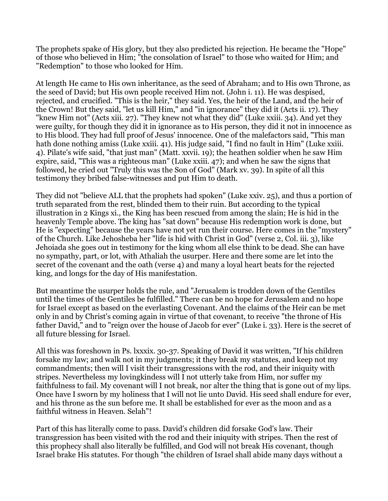The prophets spake of His glory, but they also predicted his rejection. He became the "Hope" of those who believed in Him; "the consolation of Israel" to those who waited for Him; and "Redemption" to those who looked for Him.

At length He came to His own inheritance, as the seed of Abraham; and to His own Throne, as the seed of David; but His own people received Him not. (John i. 11). He was despised, rejected, and crucified. "This is the heir," they said. Yes, the heir of the Land, and the heir of the Crown! But they said, "let us kill Him," and "in ignorance" they did it (Acts ii. 17). They "knew Him not" (Acts xiii. 27). "They knew not what they did" (Luke xxiii. 34). And yet they were guilty, for though they did it in ignorance as to His person, they did it not in innocence as to His blood. They had full proof of Jesus' innocence. One of the malefactors said, "This man hath done nothing amiss (Luke xxiii. 41). His judge said, "I find no fault in Him" (Luke xxiii. 4). Pilate's wife said, "that just man" (Matt. xxvii. 19); the heathen soldier when he saw Him expire, said, "This was a righteous man" (Luke xxiii. 47); and when he saw the signs that followed, he cried out "Truly this was the Son of God" (Mark xv. 39). In spite of all this testimony they bribed false-witnesses and put Him to death.

They did not "believe ALL that the prophets had spoken" (Luke xxiv. 25), and thus a portion of truth separated from the rest, blinded them to their ruin. But according to the typical illustration in 2 Kings xi., the King has been rescued from among the slain; He is hid in the heavenly Temple above. The king has "sat down" because His redemption work is done, but He is "expecting" because the years have not yet run their course. Here comes in the "mystery" of the Church. Like Jehosheba her "life is hid with Christ in God" (verse 2, Col. iii. 3), like Jehoiada she goes out in testimony for the king whom all else think to be dead. She can have no sympathy, part, or lot, with Athaliah the usurper. Here and there some are let into the secret of the covenant and the oath (verse 4) and many a loyal heart beats for the rejected king, and longs for the day of His manifestation.

But meantime the usurper holds the rule, and "Jerusalem is trodden down of the Gentiles until the times of the Gentiles be fulfilled." There can be no hope for Jerusalem and no hope for Israel except as based on the everlasting Covenant. And the claims of the Heir can be met only in and by Christ's coming again in virtue of that covenant, to receive "the throne of His father David," and to "reign over the house of Jacob for ever" (Luke i. 33). Here is the secret of all future blessing for Israel.

All this was foreshown in Ps. lxxxix. 30-37. Speaking of David it was written, "If his children forsake my law; and walk not in my judgments; it they break my statutes, and keep not my commandments; then will I visit their transgressions with the rod, and their iniquity with stripes. Nevertheless my lovingkindess will I not utterly take from Him, nor suffer my faithfulness to fail. My covenant will I not break, nor alter the thing that is gone out of my lips. Once have I sworn by my holiness that I will not lie unto David. His seed shall endure for ever, and his throne as the sun before me. It shall be established for ever as the moon and as a faithful witness in Heaven. Selah"!

Part of this has literally come to pass. David's children did forsake God's law. Their transgression has been visited with the rod and their iniquity with stripes. Then the rest of this prophecy shall also literally be fulfilled, and God will not break His covenant, though Israel brake His statutes. For though "the children of Israel shall abide many days without a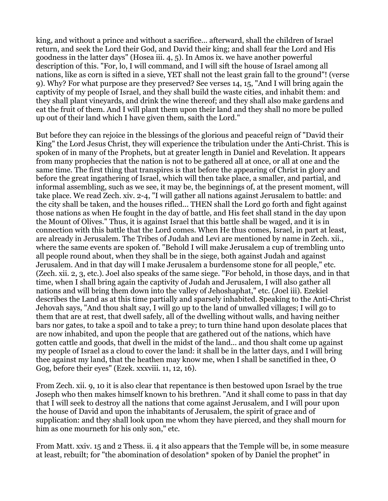king, and without a prince and without a sacrifice... afterward, shall the children of Israel return, and seek the Lord their God, and David their king; and shall fear the Lord and His goodness in the latter days" (Hosea iii. 4, 5). In Amos ix. we have another powerful description of this. "For, lo, I will command, and I will sift the house of Israel among all nations, like as corn is sifted in a sieve, YET shall not the least grain fall to the ground"! (verse 9). Why? For what purpose are they preserved? See verses 14, 15, "And I will bring again the captivity of my people of Israel, and they shall build the waste cities, and inhabit them: and they shall plant vineyards, and drink the wine thereof; and they shall also make gardens and eat the fruit of them. And I will plant them upon their land and they shall no more be pulled up out of their land which I have given them, saith the Lord."

But before they can rejoice in the blessings of the glorious and peaceful reign of "David their King" the Lord Jesus Christ, they will experience the tribulation under the Anti-Christ. This is spoken of in many of the Prophets, but at greater length in Daniel and Revelation. It appears from many prophecies that the nation is not to be gathered all at once, or all at one and the same time. The first thing that transpires is that before the appearing of Christ in glory and before the great ingathering of Israel, which will then take place, a smaller, and partial, and informal assembling, such as we see, it may be, the beginnings of, at the present moment, will take place. We read Zech. xiv. 2-4, "I will gather all nations against Jerusalem to battle: and the city shall be taken, and the houses rifled... THEN shall the Lord go forth and fight against those nations as when He fought in the day of battle, and His feet shall stand in the day upon the Mount of Olives." Thus, it is against Israel that this battle shall be waged, and it is in connection with this battle that the Lord comes. When He thus comes, Israel, in part at least, are already in Jerusalem. The Tribes of Judah and Levi are mentioned by name in Zech. xii., where the same events are spoken of. "Behold I will make Jerusalem a cup of trembling unto all people round about, when they shall be in the siege, both against Judah and against Jerusalem. And in that day will I make Jerusalem a burdensome stone for all people," etc. (Zech. xii. 2, 3, etc.). Joel also speaks of the same siege. "For behold, in those days, and in that time, when I shall bring again the captivity of Judah and Jerusalem, I will also gather all nations and will bring them down into the valley of Jehoshaphat," etc. (Joel iii). Ezekiel describes the Land as at this time partially and sparsely inhabited. Speaking to the Anti-Christ Jehovah says, "And thou shalt say, I will go up to the land of unwalled villages; I will go to them that are at rest, that dwell safely, all of the dwelling without walls, and having neither bars nor gates, to take a spoil and to take a prey; to turn thine hand upon desolate places that are now inhabited, and upon the people that are gathered out of the nations, which have gotten cattle and goods, that dwell in the midst of the land... and thou shalt come up against my people of Israel as a cloud to cover the land: it shall be in the latter days, and I will bring thee against my land, that the heathen may know me, when I shall be sanctified in thee, O Gog, before their eyes" (Ezek. xxxviii. 11, 12, 16).

From Zech. xii. 9, 10 it is also clear that repentance is then bestowed upon Israel by the true Joseph who then makes himself known to his brethren. "And it shall come to pass in that day that I will seek to destroy all the nations that come against Jerusalem, and I will pour upon the house of David and upon the inhabitants of Jerusalem, the spirit of grace and of supplication: and they shall look upon me whom they have pierced, and they shall mourn for him as one mourneth for his only son," etc.

From Matt. xxiv. 15 and 2 Thess. ii. 4 it also appears that the Temple will be, in some measure at least, rebuilt; for "the abomination of desolation\* spoken of by Daniel the prophet" in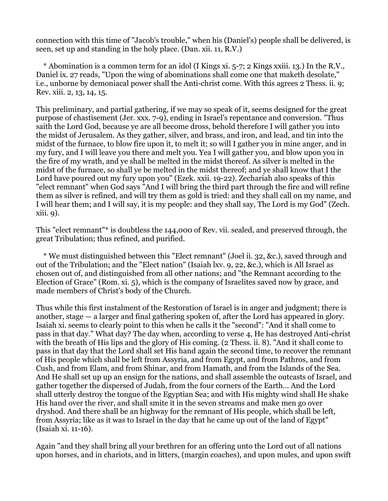connection with this time of "Jacob's trouble," when his (Daniel's) people shall be delivered, is seen, set up and standing in the holy place. (Dan. xii. 11, R.V.)

 \* Abomination is a common term for an idol (I Kings xi. 5-7; 2 Kings xxiii. 13.) In the R.V., Daniel ix. 27 reads, "Upon the wing of abominations shall come one that maketh desolate," i.e., unborne by demoniacal power shall the Anti-christ come. With this agrees 2 Thess. ii. 9; Rev. xiii. 2, 13, 14, 15.

This preliminary, and partial gathering, if we may so speak of it, seems designed for the great purpose of chastisement (Jer. xxx. 7-9), ending in Israel's repentance and conversion. "Thus saith the Lord God, because ye are all become dross, behold therefore I will gather you into the midst of Jerusalem. As they gather, silver, and brass, and iron, and lead, and tin into the midst of the furnace, to blow fire upon it, to melt it; so will I gather you in mine anger, and in my fury, and I will leave you there and melt you. Yea I will gather you, and blow upon you in the fire of my wrath, and ye shall be melted in the midst thereof. As silver is melted in the midst of the furnace, so shall ye be melted in the midst thereof; and ye shall know that I the Lord have poured out my fury upon you" (Ezek. xxii. 19-22). Zechariah also speaks of this "elect remnant" when God says "And I will bring the third part through the fire and will refine them as silver is refined, and will try them as gold is tried: and they shall call on my name, and I will hear them; and I will say, it is my people: and they shall say, The Lord is my God" (Zech. xiii. 9).

This "elect remnant"\* is doubtless the 144,000 of Rev. vii. sealed, and preserved through, the great Tribulation; thus refined, and purified.

 \* We must distinguished between this "Elect remnant" (Joel ii. 32, &c.), saved through and out of the Tribulation; and the "Elect nation" (Isaiah lxv. 9, 22, &c.), which is All Israel as chosen out of, and distinguished from all other nations; and "the Remnant according to the Election of Grace" (Rom. xi. 5), which is the company of Israelites saved now by grace, and made members of Christ's body of the Church.

Thus while this first instalment of the Restoration of Israel is in anger and judgment; there is another, stage — a larger and final gathering spoken of, after the Lord has appeared in glory. Isaiah xi. seems to clearly point to this when he calls it the "second": "And it shall come to pass in that day." What day? The day when, according to verse 4, He has destroyed Anti-christ with the breath of His lips and the glory of His coming. (2 Thess. ii. 8). "And it shall come to pass in that day that the Lord shall set His hand again the second time, to recover the remnant of His people which shall be left from Assyria, and from Egypt, and from Pathros, and from Cush, and from Elam, and from Shinar, and from Hamath, and from the Islands of the Sea. And He shall set up up an ensign for the nations, and shall assemble the outcasts of Israel, and gather together the dispersed of Judah, from the four corners of the Earth... And the Lord shall utterly destroy the tongue of the Egyptian Sea; and with His mighty wind shall He shake His hand over the river, and shall smite it in the seven streams and make men go over dryshod. And there shall be an highway for the remnant of His people, which shall be left, from Assyria; like as it was to Israel in the day that he came up out of the land of Egypt" (Isaiah xi. 11-16).

Again "and they shall bring all your brethren for an offering unto the Lord out of all nations upon horses, and in chariots, and in litters, (margin coaches), and upon mules, and upon swift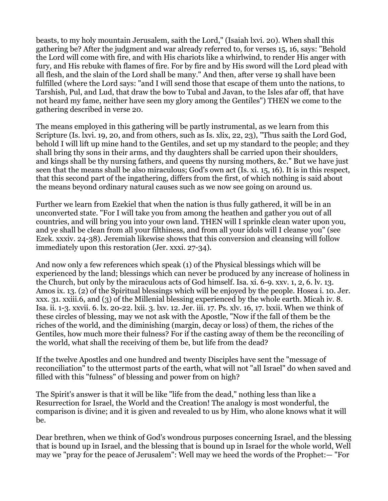beasts, to my holy mountain Jerusalem, saith the Lord," (Isaiah lxvi. 20). When shall this gathering be? After the judgment and war already referred to, for verses 15, 16, says: "Behold the Lord will come with fire, and with His chariots like a whirlwind, to render His anger with fury, and His rebuke with flames of fire. For by fire and by His sword will the Lord plead with all flesh, and the slain of the Lord shall be many." And then, after verse 19 shall have been fulfilled (where the Lord says: "and I will send those that escape of them unto the nations, to Tarshish, Pul, and Lud, that draw the bow to Tubal and Javan, to the Isles afar off, that have not heard my fame, neither have seen my glory among the Gentiles") THEN we come to the gathering described in verse 20.

The means employed in this gathering will be partly instrumental, as we learn from this Scripture (Is. lxvi. 19, 20, and from others, such as Is. xlix, 22, 23), "Thus saith the Lord God, behold I will lift up mine hand to the Gentiles, and set up my standard to the people; and they shall bring thy sons in their arms, and thy daughters shall be carried upon their shoulders, and kings shall be thy nursing fathers, and queens thy nursing mothers, &c." But we have just seen that the means shall be also miraculous; God's own act (Is. xi. 15, 16). It is in this respect, that this second part of the ingathering, differs from the first, of which nothing is said about the means beyond ordinary natural causes such as we now see going on around us.

Further we learn from Ezekiel that when the nation is thus fully gathered, it will be in an unconverted state. "For I will take you from among the heathen and gather you out of all countries, and will bring you into your own land. THEN will I sprinkle clean water upon you, and ye shall be clean from all your filthiness, and from all your idols will I cleanse you" (see Ezek. xxxiv. 24-38). Jeremiah likewise shows that this conversion and cleansing will follow immediately upon this restoration (Jer. xxxi. 27-34).

And now only a few references which speak (1) of the Physical blessings which will be experienced by the land; blessings which can never be produced by any increase of holiness in the Church, but only by the miraculous acts of God himself. Isa. xi. 6-9. xxv. 1, 2, 6. lv. 13. Amos ix. 13. (2) of the Spiritual blessings which will be enjoyed by the people. Hosea i. 10. Jer. xxx. 31. xxiii.6, and (3) of the Millenial blessing experienced by the whole earth. Micah iv. 8. Isa. ii. 1-3. xxvii. 6. lx. 20-22. lxii. 3. lxv. 12. Jer. iii. 17. Ps. xlv. 16, 17. lxxii. When we think of these circles of blessing, may we not ask with the Apostle, "Now if the fall of them be the riches of the world, and the diminishing (margin, decay or loss) of them, the riches of the Gentiles, how much more their fulness? For if the casting away of them be the reconciling of the world, what shall the receiving of them be, but life from the dead?

If the twelve Apostles and one hundred and twenty Disciples have sent the "message of reconciliation" to the uttermost parts of the earth, what will not "all Israel" do when saved and filled with this "fulness" of blessing and power from on high?

The Spirit's answer is that it will be like "life from the dead," nothing less than like a Resurrection for Israel, the World and the Creation! The analogy is most wonderful, the comparison is divine; and it is given and revealed to us by Him, who alone knows what it will be.

Dear brethren, when we think of God's wondrous purposes concerning Israel, and the blessing that is bound up in Israel, and the blessing that is bound up in Israel for the whole world, Well may we "pray for the peace of Jerusalem": Well may we heed the words of the Prophet:— "For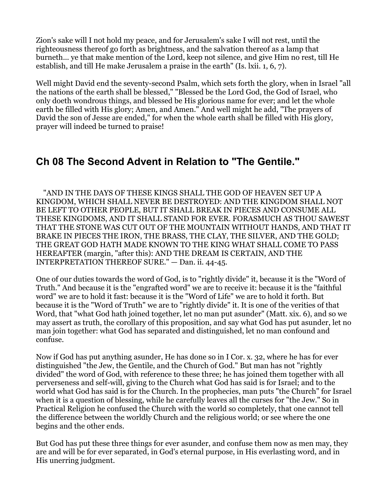Zion's sake will I not hold my peace, and for Jerusalem's sake I will not rest, until the righteousness thereof go forth as brightness, and the salvation thereof as a lamp that burneth... ye that make mention of the Lord, keep not silence, and give Him no rest, till He establish, and till He make Jerusalem a praise in the earth" (Is. lxii. 1, 6, 7).

Well might David end the seventy-second Psalm, which sets forth the glory, when in Israel "all the nations of the earth shall be blessed," "Blessed be the Lord God, the God of Israel, who only doeth wondrous things, and blessed be His glorious name for ever; and let the whole earth be filled with His glory; Amen, and Amen." And well might he add, "The prayers of David the son of Jesse are ended," for when the whole earth shall be filled with His glory, prayer will indeed be turned to praise!

## **Ch 08 The Second Advent in Relation to "The Gentile."**

 "AND IN THE DAYS OF THESE KINGS SHALL THE GOD OF HEAVEN SET UP A KINGDOM, WHICH SHALL NEVER BE DESTROYED: AND THE KINGDOM SHALL NOT BE LEFT TO OTHER PEOPLE, BUT IT SHALL BREAK IN PIECES AND CONSUME ALL THESE KINGDOMS, AND IT SHALL STAND FOR EVER. FORASMUCH AS THOU SAWEST THAT THE STONE WAS CUT OUT OF THE MOUNTAIN WITHOUT HANDS, AND THAT IT BRAKE IN PIECES THE IRON, THE BRASS, THE CLAY, THE SILVER, AND THE GOLD; THE GREAT GOD HATH MADE KNOWN TO THE KING WHAT SHALL COME TO PASS HEREAFTER (margin, "after this): AND THE DREAM IS CERTAIN, AND THE INTERPRETATION THEREOF SURE." — Dan. ii. 44-45.

One of our duties towards the word of God, is to "rightly divide" it, because it is the "Word of Truth." And because it is the "engrafted word" we are to receive it: because it is the "faithful word" we are to hold it fast: because it is the "Word of Life" we are to hold it forth. But because it is the "Word of Truth" we are to "rightly divide" it. It is one of the verities of that Word, that "what God hath joined together, let no man put asunder" (Matt. xix. 6), and so we may assert as truth, the corollary of this proposition, and say what God has put asunder, let no man join together: what God has separated and distinguished, let no man confound and confuse.

Now if God has put anything asunder, He has done so in I Cor. x. 32, where he has for ever distinguished "the Jew, the Gentile, and the Church of God." But man has not "rightly divided" the word of God, with reference to these three; he has joined them together with all perverseness and self-will, giving to the Church what God has said is for Israel; and to the world what God has said is for the Church. In the prophecies, man puts "the Church" for Israel when it is a question of blessing, while he carefully leaves all the curses for "the Jew." So in Practical Religion he confused the Church with the world so completely, that one cannot tell the difference between the worldly Church and the religious world; or see where the one begins and the other ends.

But God has put these three things for ever asunder, and confuse them now as men may, they are and will be for ever separated, in God's eternal purpose, in His everlasting word, and in His unerring judgment.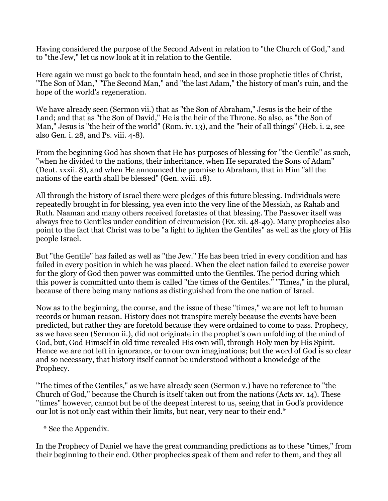Having considered the purpose of the Second Advent in relation to "the Church of God," and to "the Jew," let us now look at it in relation to the Gentile.

Here again we must go back to the fountain head, and see in those prophetic titles of Christ, "The Son of Man," "The Second Man," and "the last Adam," the history of man's ruin, and the hope of the world's regeneration.

We have already seen (Sermon vii.) that as "the Son of Abraham," Jesus is the heir of the Land; and that as "the Son of David," He is the heir of the Throne. So also, as "the Son of Man," Jesus is "the heir of the world" (Rom. iv. 13), and the "heir of all things" (Heb. i. 2, see also Gen. i. 28, and Ps. viii. 4-8).

From the beginning God has shown that He has purposes of blessing for "the Gentile" as such, "when he divided to the nations, their inheritance, when He separated the Sons of Adam" (Deut. xxxii. 8), and when He announced the promise to Abraham, that in Him "all the nations of the earth shall be blessed" (Gen. xviii. 18).

All through the history of Israel there were pledges of this future blessing. Individuals were repeatedly brought in for blessing, yea even into the very line of the Messiah, as Rahab and Ruth. Naaman and many others received foretastes of that blessing. The Passover itself was always free to Gentiles under condition of circumcision (Ex. xii. 48-49). Many prophecies also point to the fact that Christ was to be "a light to lighten the Gentiles" as well as the glory of His people Israel.

But "the Gentile" has failed as well as "the Jew." He has been tried in every condition and has failed in every position in which he was placed. When the elect nation failed to exercise power for the glory of God then power was committed unto the Gentiles. The period during which this power is committed unto them is called "the times of the Gentiles." "Times," in the plural, because of there being many nations as distinguished from the one nation of Israel.

Now as to the beginning, the course, and the issue of these "times," we are not left to human records or human reason. History does not transpire merely because the events have been predicted, but rather they are foretold because they were ordained to come to pass. Prophecy, as we have seen (Sermon ii.), did not originate in the prophet's own unfolding of the mind of God, but, God Himself in old time revealed His own will, through Holy men by His Spirit. Hence we are not left in ignorance, or to our own imaginations; but the word of God is so clear and so necessary, that history itself cannot be understood without a knowledge of the Prophecy.

"The times of the Gentiles," as we have already seen (Sermon v.) have no reference to "the Church of God," because the Church is itself taken out from the nations (Acts xv. 14). These "times" however, cannot but be of the deepest interest to us, seeing that in God's providence our lot is not only cast within their limits, but near, very near to their end.\*

\* See the Appendix.

In the Prophecy of Daniel we have the great commanding predictions as to these "times," from their beginning to their end. Other prophecies speak of them and refer to them, and they all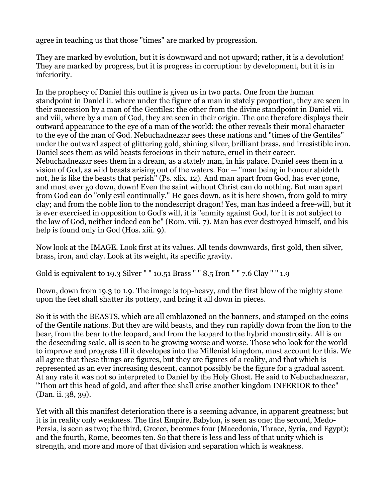agree in teaching us that those "times" are marked by progression.

They are marked by evolution, but it is downward and not upward; rather, it is a devolution! They are marked by progress, but it is progress in corruption: by development, but it is in inferiority.

In the prophecy of Daniel this outline is given us in two parts. One from the human standpoint in Daniel ii. where under the figure of a man in stately proportion, they are seen in their succession by a man of the Gentiles: the other from the divine standpoint in Daniel vii. and viii, where by a man of God, they are seen in their origin. The one therefore displays their outward appearance to the eye of a man of the world: the other reveals their moral character to the eye of the man of God. Nebuchadnezzar sees these nations and "times of the Gentiles" under the outward aspect of glittering gold, shining silver, brilliant brass, and irresistible iron. Daniel sees them as wild beasts ferocious in their nature, cruel in their career. Nebuchadnezzar sees them in a dream, as a stately man, in his palace. Daniel sees them in a vision of God, as wild beasts arising out of the waters. For — "man being in honour abideth not, he is like the beasts that perish" (Ps. xlix. 12). And man apart from God, has ever gone, and must ever go down, down! Even the saint without Christ can do nothing. But man apart from God can do "only evil continually." He goes down, as it is here shown, from gold to miry clay; and from the noble lion to the nondescript dragon! Yes, man has indeed a free-will, but it is ever exercised in opposition to God's will, it is "enmity against God, for it is not subject to the law of God, neither indeed can be" (Rom. viii. 7). Man has ever destroyed himself, and his help is found only in God (Hos. xiii. 9).

Now look at the IMAGE. Look first at its values. All tends downwards, first gold, then silver, brass, iron, and clay. Look at its weight, its specific gravity.

Gold is equivalent to 19.3 Silver " " 10.51 Brass " " 8.5 Iron " " 7.6 Clay " " 1.9

Down, down from 19.3 to 1.9. The image is top-heavy, and the first blow of the mighty stone upon the feet shall shatter its pottery, and bring it all down in pieces.

So it is with the BEASTS, which are all emblazoned on the banners, and stamped on the coins of the Gentile nations. But they are wild beasts, and they run rapidly down from the lion to the bear, from the bear to the leopard, and from the leopard to the hybrid monstrosity. All is on the descending scale, all is seen to be growing worse and worse. Those who look for the world to improve and progress till it developes into the Millenial kingdom, must account for this. We all agree that these things are figures, but they are figures of a reality, and that which is represented as an ever increasing descent, cannot possibly be the figure for a gradual ascent. At any rate it was not so interpreted to Daniel by the Holy Ghost. He said to Nebuchadnezzar, "Thou art this head of gold, and after thee shall arise another kingdom INFERIOR to thee" (Dan. ii. 38, 39).

Yet with all this manifest deterioration there is a seeming advance, in apparent greatness; but it is in reality only weakness. The first Empire, Babylon, is seen as one; the second, Medo-Persia, is seen as two; the third, Greece, becomes four (Macedonia, Thrace, Syria, and Egypt); and the fourth, Rome, becomes ten. So that there is less and less of that unity which is strength, and more and more of that division and separation which is weakness.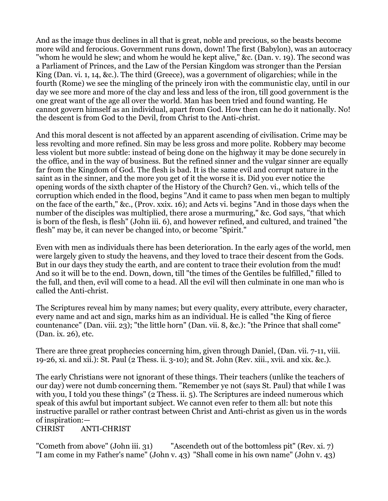And as the image thus declines in all that is great, noble and precious, so the beasts become more wild and ferocious. Government runs down, down! The first (Babylon), was an autocracy "whom he would he slew; and whom he would he kept alive," &c. (Dan. v. 19). The second was a Parliament of Princes, and the Law of the Persian Kingdom was stronger than the Persian King (Dan. vi. 1, 14, &c.). The third (Greece), was a government of oligarchies; while in the fourth (Rome) we see the mingling of the princely iron with the communistic clay, until in our day we see more and more of the clay and less and less of the iron, till good government is the one great want of the age all over the world. Man has been tried and found wanting. He cannot govern himself as an individual, apart from God. How then can he do it nationally. No! the descent is from God to the Devil, from Christ to the Anti-christ.

And this moral descent is not affected by an apparent ascending of civilisation. Crime may be less revolting and more refined. Sin may be less gross and more polite. Robbery may become less violent but more subtle: instead of being done on the highway it may be done securely in the office, and in the way of business. But the refined sinner and the vulgar sinner are equally far from the Kingdom of God. The flesh is bad. It is the same evil and corrupt nature in the saint as in the sinner, and the more you get of it the worse it is. Did you ever notice the opening words of the sixth chapter of the History of the Church? Gen. vi., which tells of the corruption which ended in the flood, begins "And it came to pass when men began to multiply on the face of the earth," &c., (Prov. xxix. 16); and Acts vi. begins "And in those days when the number of the disciples was multiplied, there arose a murmuring," &c. God says, "that which is born of the flesh, is flesh" (John iii. 6), and however refined, and cultured, and trained "the flesh" may be, it can never be changed into, or become "Spirit."

Even with men as individuals there has been deterioration. In the early ages of the world, men were largely given to study the heavens, and they loved to trace their descent from the Gods. But in our days they study the earth, and are content to trace their evolution from the mud! And so it will be to the end. Down, down, till "the times of the Gentiles be fulfilled," filled to the full, and then, evil will come to a head. All the evil will then culminate in one man who is called the Anti-christ.

The Scriptures reveal him by many names; but every quality, every attribute, every character, every name and act and sign, marks him as an individual. He is called "the King of fierce countenance" (Dan. viii. 23); "the little horn" (Dan. vii. 8, &c.): "the Prince that shall come" (Dan. ix. 26), etc.

There are three great prophecies concerning him, given through Daniel, (Dan. vii. 7-11, viii. 19-26, xi. and xii.): St. Paul (2 Thess. ii. 3-10); and St. John (Rev. xiii., xvii. and xix. &c.).

The early Christians were not ignorant of these things. Their teachers (unlike the teachers of our day) were not dumb concerning them. "Remember ye not (says St. Paul) that while I was with you, I told you these things" (2 Thess. ii. 5). The Scriptures are indeed numerous which speak of this awful but important subject. We cannot even refer to them all: but note this instructive parallel or rather contrast between Christ and Anti-christ as given us in the words of inspiration:—

### CHRIST ANTI-CHRIST

"Cometh from above" (John iii. 31) "Ascendeth out of the bottomless pit" (Rev. xi. 7) "I am come in my Father's name" (John v. 43) "Shall come in his own name" (John v. 43)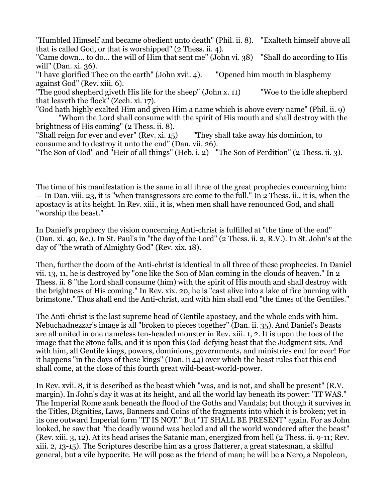"Humbled Himself and became obedient unto death" (Phil. ii. 8). "Exalteth himself above all that is called God, or that is worshipped" (2 Thess. ii. 4).

"Came down... to do... the will of Him that sent me" (John vi. 38) "Shall do according to His will" (Dan. xi. 36).

"I have glorified Thee on the earth" (John xvii. 4). "Opened him mouth in blasphemy against God" (Rev. xiii. 6).

"The good shepherd giveth His life for the sheep" (John x. 11) "Woe to the idle shepherd that leaveth the flock" (Zech. xi. 17).

"God hath highly exalted Him and given Him a name which is above every name" (Phil. ii. 9) "Whom the Lord shall consume with the spirit of His mouth and shall destroy with the

brightness of His coming" (2 Thess. ii. 8).

"Shall reign for ever and ever" (Rev. xi. 15) "They shall take away his dominion, to consume and to destroy it unto the end" (Dan. vii. 26).

"The Son of God" and "Heir of all things" (Heb. i. 2) "The Son of Perdition" (2 Thess. ii. 3).

The time of his manifestation is the same in all three of the great prophecies concerning him: — In Dan. viii. 23, it is "when transgressors are come to the full." In 2 Thess. ii., it is, when the apostacy is at its height. In Rev. xiii., it is, when men shall have renounced God, and shall "worship the beast."

In Daniel's prophecy the vision concerning Anti-christ is fulfilled at "the time of the end" (Dan. xi. 40, &c.). In St. Paul's in "the day of the Lord" (2 Thess. ii. 2, R.V.). In St. John's at the day of "the wrath of Almighty God" (Rev. xix. 18).

Then, further the doom of the Anti-christ is identical in all three of these prophecies. In Daniel vii. 13, 11, he is destroyed by "one like the Son of Man coming in the clouds of heaven." In 2 Thess. ii. 8 "the Lord shall consume (him) with the spirit of His mouth and shall destroy with the brightness of His coming." In Rev. xix. 20, he is "cast alive into a lake of fire burning with brimstone." Thus shall end the Anti-christ, and with him shall end "the times of the Gentiles."

The Anti-christ is the last supreme head of Gentile apostacy, and the whole ends with him. Nebuchadnezzar's image is all "broken to pieces together" (Dan. ii. 35). And Daniel's Beasts are all united in one nameless ten-headed monster in Rev. xiii. 1, 2. It is upon the toes of the image that the Stone falls, and it is upon this God-defying beast that the Judgment sits. And with him, all Gentile kings, powers, dominions, governments, and ministries end for ever! For it happens "in the days of these kings" (Dan. ii 44) over which the beast rules that this end shall come, at the close of this fourth great wild-beast-world-power.

In Rev. xvii. 8, it is described as the beast which "was, and is not, and shall be present" (R.V. margin). In John's day it was at its height, and all the world lay beneath its power: "IT WAS." The Imperial Rome sank beneath the flood of the Goths and Vandals; but though it survives in the Titles, Dignities, Laws, Banners and Coins of the fragments into which it is broken; yet in its one outward Imperial form "IT IS NOT." But "IT SHALL BE PRESENT" again. For as John looked, he saw that "the deadly wound was healed and all the world wondered after the beast" (Rev. xiii. 3, 12). At its head arises the Satanic man, energized from hell (2 Thess. ii. 9-11; Rev. xiii. 2, 13-15). The Scriptures describe him as a gross flatterer, a great statesman, a skilful general, but a vile hypocrite. He will pose as the friend of man; he will be a Nero, a Napoleon,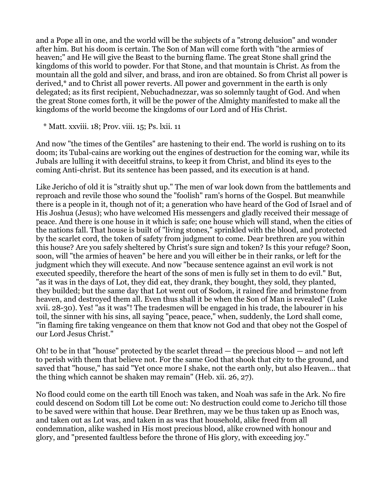and a Pope all in one, and the world will be the subjects of a "strong delusion" and wonder after him. But his doom is certain. The Son of Man will come forth with "the armies of heaven;" and He will give the Beast to the burning flame. The great Stone shall grind the kingdoms of this world to powder. For that Stone, and that mountain is Christ. As from the mountain all the gold and silver, and brass, and iron are obtained. So from Christ all power is derived,\* and to Christ all power reverts. All power and government in the earth is only delegated; as its first recipient, Nebuchadnezzar, was so solemnly taught of God. And when the great Stone comes forth, it will be the power of the Almighty manifested to make all the kingdoms of the world become the kingdoms of our Lord and of His Christ.

\* Matt. xxviii. 18; Prov. viii. 15; Ps. lxii. 11

And now "the times of the Gentiles" are hastening to their end. The world is rushing on to its doom; its Tubal-cains are working out the engines of destruction for the coming war, while its Jubals are lulling it with deceitful strains, to keep it from Christ, and blind its eyes to the coming Anti-christ. But its sentence has been passed, and its execution is at hand.

Like Jericho of old it is "straitly shut up." The men of war look down from the battlements and reproach and revile those who sound the "foolish" ram's horns of the Gospel. But meanwhile there is a people in it, though not of it; a generation who have heard of the God of Israel and of His Joshua (Jesus); who have welcomed His messengers and gladly received their message of peace. And there is one house in it which is safe; one house which will stand, when the cities of the nations fall. That house is built of "living stones," sprinkled with the blood, and protected by the scarlet cord, the token of safety from judgment to come. Dear brethren are you within this house? Are you safely sheltered by Christ's sure sign and token? Is this your refuge? Soon, soon, will "the armies of heaven" be here and you will either be in their ranks, or left for the judgment which they will execute. And now "because sentence against an evil work is not executed speedily, therefore the heart of the sons of men is fully set in them to do evil." But, "as it was in the days of Lot, they did eat, they drank, they bought, they sold, they planted, they builded; but the same day that Lot went out of Sodom, it rained fire and brimstone from heaven, and destroyed them all. Even thus shall it be when the Son of Man is revealed" (Luke xvii. 28-30). Yes! "as it was"! The tradesmen will be engaged in his trade, the labourer in his toil, the sinner with his sins, all saying "peace, peace," when, suddenly, the Lord shall come, "in flaming fire taking vengeance on them that know not God and that obey not the Gospel of our Lord Jesus Christ."

Oh! to be in that "house" protected by the scarlet thread — the precious blood — and not left to perish with them that believe not. For the same God that shook that city to the ground, and saved that "house," has said "Yet once more I shake, not the earth only, but also Heaven... that the thing which cannot be shaken may remain" (Heb. xii. 26, 27).

No flood could come on the earth till Enoch was taken, and Noah was safe in the Ark. No fire could descend on Sodom till Lot be come out: No destruction could come to Jericho till those to be saved were within that house. Dear Brethren, may we be thus taken up as Enoch was, and taken out as Lot was, and taken in as was that household, alike freed from all condemnation, alike washed in His most precious blood, alike crowned with honour and glory, and "presented faultless before the throne of His glory, with exceeding joy."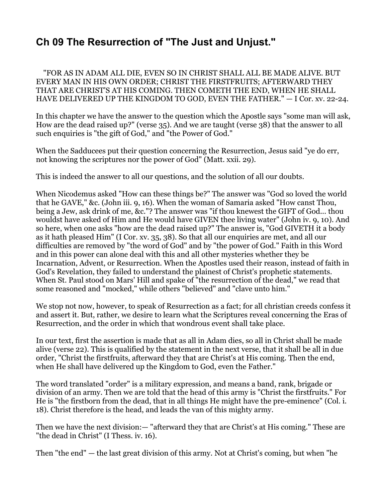# **Ch 09 The Resurrection of "The Just and Unjust."**

 "FOR AS IN ADAM ALL DIE, EVEN SO IN CHRIST SHALL ALL BE MADE ALIVE. BUT EVERY MAN IN HIS OWN ORDER; CHRIST THE FIRSTFRUITS; AFTERWARD THEY THAT ARE CHRIST'S AT HIS COMING. THEN COMETH THE END, WHEN HE SHALL HAVE DELIVERED UP THE KINGDOM TO GOD, EVEN THE FATHER." — I Cor. xv. 22-24.

In this chapter we have the answer to the question which the Apostle says "some man will ask, How are the dead raised up?" (verse 35). And we are taught (verse 38) that the answer to all such enquiries is "the gift of God," and "the Power of God."

When the Sadducees put their question concerning the Resurrection, Jesus said "ye do err, not knowing the scriptures nor the power of God" (Matt. xxii. 29).

This is indeed the answer to all our questions, and the solution of all our doubts.

When Nicodemus asked "How can these things be?" The answer was "God so loved the world that he GAVE," &c. (John iii. 9, 16). When the woman of Samaria asked "How canst Thou, being a Jew, ask drink of me, &c."? The answer was "if thou knewest the GIFT of God... thou wouldst have asked of Him and He would have GIVEN thee living water" (John iv. 9, 10). And so here, when one asks "how are the dead raised up?" The answer is, "God GIVETH it a body as it hath pleased Him" (I Cor. xv. 35, 38). So that all our enquiries are met, and all our difficulties are removed by "the word of God" and by "the power of God." Faith in this Word and in this power can alone deal with this and all other mysteries whether they be Incarnation, Advent, or Resurrection. When the Apostles used their reason, instead of faith in God's Revelation, they failed to understand the plainest of Christ's prophetic statements. When St. Paul stood on Mars' Hill and spake of "the resurrection of the dead," we read that some reasoned and "mocked," while others "believed" and "clave unto him."

We stop not now, however, to speak of Resurrection as a fact; for all christian creeds confess it and assert it. But, rather, we desire to learn what the Scriptures reveal concerning the Eras of Resurrection, and the order in which that wondrous event shall take place.

In our text, first the assertion is made that as all in Adam dies, so all in Christ shall be made alive (verse 22). This is qualified by the statement in the next verse, that it shall be all in due order, "Christ the firstfruits, afterward they that are Christ's at His coming. Then the end, when He shall have delivered up the Kingdom to God, even the Father."

The word translated "order" is a military expression, and means a band, rank, brigade or division of an army. Then we are told that the head of this army is "Christ the firstfruits." For He is "the firstborn from the dead, that in all things He might have the pre-eminence" (Col. i. 18). Christ therefore is the head, and leads the van of this mighty army.

Then we have the next division:— "afterward they that are Christ's at His coming." These are "the dead in Christ" (I Thess. iv. 16).

Then "the end" — the last great division of this army. Not at Christ's coming, but when "he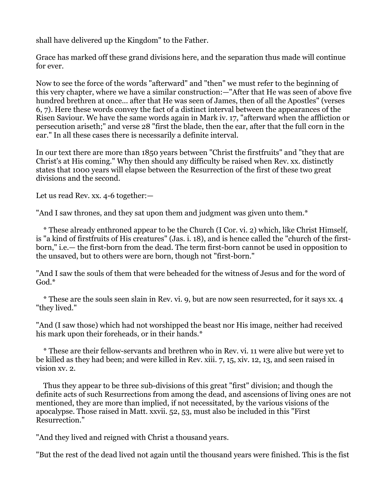shall have delivered up the Kingdom" to the Father.

Grace has marked off these grand divisions here, and the separation thus made will continue for ever.

Now to see the force of the words "afterward" and "then" we must refer to the beginning of this very chapter, where we have a similar construction:—"After that He was seen of above five hundred brethren at once... after that He was seen of James, then of all the Apostles" (verses 6, 7). Here these words convey the fact of a distinct interval between the appearances of the Risen Saviour. We have the same words again in Mark iv. 17, "afterward when the affliction or persecution ariseth;" and verse 28 "first the blade, then the ear, after that the full corn in the ear." In all these cases there is necessarily a definite interval.

In our text there are more than 1850 years between "Christ the firstfruits" and "they that are Christ's at His coming." Why then should any difficulty be raised when Rev. xx. distinctly states that 1000 years will elapse between the Resurrection of the first of these two great divisions and the second.

Let us read Rev. xx. 4-6 together:—

"And I saw thrones, and they sat upon them and judgment was given unto them.\*

 \* These already enthroned appear to be the Church (I Cor. vi. 2) which, like Christ Himself, is "a kind of firstfruits of His creatures" (Jas. i. 18), and is hence called the "church of the firstborn," i.e.— the first-born from the dead. The term first-born cannot be used in opposition to the unsaved, but to others were are born, though not "first-born."

"And I saw the souls of them that were beheaded for the witness of Jesus and for the word of God.\*

 \* These are the souls seen slain in Rev. vi. 9, but are now seen resurrected, for it says xx. 4 "they lived."

"And (I saw those) which had not worshipped the beast nor His image, neither had received his mark upon their foreheads, or in their hands.\*

 \* These are their fellow-servants and brethren who in Rev. vi. 11 were alive but were yet to be killed as they had been; and were killed in Rev. xiii. 7, 15, xiv. 12, 13, and seen raised in vision xv. 2.

 Thus they appear to be three sub-divisions of this great "first" division; and though the definite acts of such Resurrections from among the dead, and ascensions of living ones are not mentioned, they are more than implied, if not necessitated, by the various visions of the apocalypse. Those raised in Matt. xxvii. 52, 53, must also be included in this "First Resurrection."

"And they lived and reigned with Christ a thousand years.

"But the rest of the dead lived not again until the thousand years were finished. This is the fist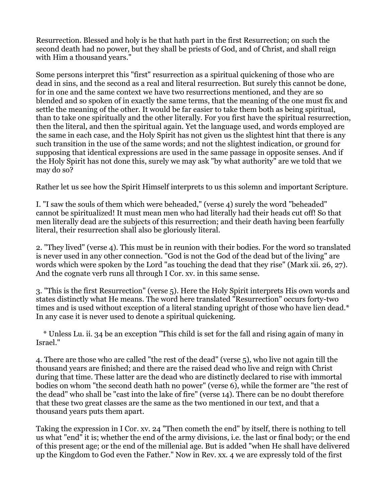Resurrection. Blessed and holy is he that hath part in the first Resurrection; on such the second death had no power, but they shall be priests of God, and of Christ, and shall reign with Him a thousand years."

Some persons interpret this "first" resurrection as a spiritual quickening of those who are dead in sins, and the second as a real and literal resurrection. But surely this cannot be done, for in one and the same context we have two resurrections mentioned, and they are so blended and so spoken of in exactly the same terms, that the meaning of the one must fix and settle the meaning of the other. It would be far easier to take them both as being spiritual, than to take one spiritually and the other literally. For you first have the spiritual resurrection, then the literal, and then the spiritual again. Yet the language used, and words employed are the same in each case, and the Holy Spirit has not given us the slightest hint that there is any such transition in the use of the same words; and not the slightest indication, or ground for supposing that identical expressions are used in the same passage in opposite senses. And if the Holy Spirit has not done this, surely we may ask "by what authority" are we told that we may do so?

Rather let us see how the Spirit Himself interprets to us this solemn and important Scripture.

I. "I saw the souls of them which were beheaded," (verse 4) surely the word "beheaded" cannot be spiritualized! It must mean men who had literally had their heads cut off! So that men literally dead are the subjects of this resurrection; and their death having been fearfully literal, their resurrection shall also be gloriously literal.

2. "They lived" (verse 4). This must be in reunion with their bodies. For the word so translated is never used in any other connection. "God is not the God of the dead but of the living" are words which were spoken by the Lord "as touching the dead that they rise" (Mark xii. 26, 27). And the cognate verb runs all through I Cor. xv. in this same sense.

3. "This is the first Resurrection" (verse 5). Here the Holy Spirit interprets His own words and states distinctly what He means. The word here translated "Resurrection" occurs forty-two times and is used without exception of a literal standing upright of those who have lien dead.\* In any case it is never used to denote a spiritual quickening.

 \* Unless Lu. ii. 34 be an exception "This child is set for the fall and rising again of many in Israel."

4. There are those who are called "the rest of the dead" (verse 5), who live not again till the thousand years are finished; and there are the raised dead who live and reign with Christ during that time. These latter are the dead who are distinctly declared to rise with immortal bodies on whom "the second death hath no power" (verse 6), while the former are "the rest of the dead" who shall be "cast into the lake of fire" (verse 14). There can be no doubt therefore that these two great classes are the same as the two mentioned in our text, and that a thousand years puts them apart.

Taking the expression in I Cor. xv. 24 "Then cometh the end" by itself, there is nothing to tell us what "end" it is; whether the end of the army divisions, i.e. the last or final body; or the end of this present age; or the end of the millenial age. But is added "when He shall have delivered up the Kingdom to God even the Father." Now in Rev. xx. 4 we are expressly told of the first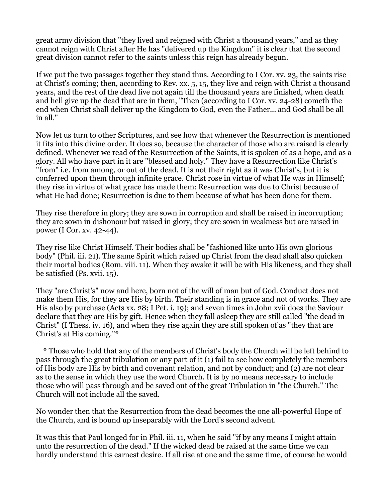great army division that "they lived and reigned with Christ a thousand years," and as they cannot reign with Christ after He has "delivered up the Kingdom" it is clear that the second great division cannot refer to the saints unless this reign has already begun.

If we put the two passages together they stand thus. According to I Cor. xv. 23, the saints rise at Christ's coming; then, according to Rev. xx. 5, 15, they live and reign with Christ a thousand years, and the rest of the dead live not again till the thousand years are finished, when death and hell give up the dead that are in them, "Then (according to I Cor. xv. 24-28) cometh the end when Christ shall deliver up the Kingdom to God, even the Father... and God shall be all in all."

Now let us turn to other Scriptures, and see how that whenever the Resurrection is mentioned it fits into this divine order. It does so, because the character of those who are raised is clearly defined. Whenever we read of the Resurrection of the Saints, it is spoken of as a hope, and as a glory. All who have part in it are "blessed and holy." They have a Resurrection like Christ's "from" i.e. from among, or out of the dead. It is not their right as it was Christ's, but it is conferred upon them through infinite grace. Christ rose in virtue of what He was in Himself; they rise in virtue of what grace has made them: Resurrection was due to Christ because of what He had done; Resurrection is due to them because of what has been done for them.

They rise therefore in glory; they are sown in corruption and shall be raised in incorruption; they are sown in dishonour but raised in glory; they are sown in weakness but are raised in power (I Cor. xv. 42-44).

They rise like Christ Himself. Their bodies shall be "fashioned like unto His own glorious body" (Phil. iii. 21). The same Spirit which raised up Christ from the dead shall also quicken their mortal bodies (Rom. viii. 11). When they awake it will be with His likeness, and they shall be satisfied (Ps. xvii. 15).

They "are Christ's" now and here, born not of the will of man but of God. Conduct does not make them His, for they are His by birth. Their standing is in grace and not of works. They are His also by purchase (Acts xx. 28; I Pet. i. 19); and seven times in John xvii does the Saviour declare that they are His by gift. Hence when they fall asleep they are still called "the dead in Christ" (I Thess. iv. 16), and when they rise again they are still spoken of as "they that are Christ's at His coming."\*

 \* Those who hold that any of the members of Christ's body the Church will be left behind to pass through the great tribulation or any part of it (1) fail to see how completely the members of His body are His by birth and covenant relation, and not by conduct; and (2) are not clear as to the sense in which they use the word Church. It is by no means necessary to include those who will pass through and be saved out of the great Tribulation in "the Church." The Church will not include all the saved.

No wonder then that the Resurrection from the dead becomes the one all-powerful Hope of the Church, and is bound up inseparably with the Lord's second advent.

It was this that Paul longed for in Phil. iii. 11, when he said "if by any means I might attain unto the resurrection of the dead." If the wicked dead be raised at the same time we can hardly understand this earnest desire. If all rise at one and the same time, of course he would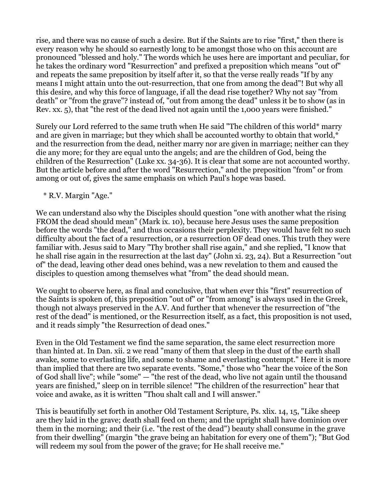rise, and there was no cause of such a desire. But if the Saints are to rise "first," then there is every reason why he should so earnestly long to be amongst those who on this account are pronounced "blessed and holy." The words which he uses here are important and peculiar, for he takes the ordinary word "Resurrection" and prefixed a preposition which means "out of" and repeats the same preposition by itself after it, so that the verse really reads "If by any means I might attain unto the out-resurrection, that one from among the dead"! But why all this desire, and why this force of language, if all the dead rise together? Why not say "from death" or "from the grave"? instead of, "out from among the dead" unless it be to show (as in Rev. xx. 5), that "the rest of the dead lived not again until the 1,000 years were finished."

Surely our Lord referred to the same truth when He said "The children of this world\* marry and are given in marriage; but they which shall be accounted worthy to obtain that world,\* and the resurrection from the dead, neither marry nor are given in marriage; neither can they die any more; for they are equal unto the angels; and are the children of God, being the children of the Resurrection" (Luke xx. 34-36). It is clear that some are not accounted worthy. But the article before and after the word "Resurrection," and the preposition "from" or from among or out of, gives the same emphasis on which Paul's hope was based.

\* R.V. Margin "Age."

We can understand also why the Disciples should question "one with another what the rising FROM the dead should mean" (Mark ix. 10), because here Jesus uses the same preposition before the words "the dead," and thus occasions their perplexity. They would have felt no such difficulty about the fact of a resurrection, or a resurrection OF dead ones. This truth they were familiar with. Jesus said to Mary "Thy brother shall rise again," and she replied, "I know that he shall rise again in the resurrection at the last day" (John xi. 23, 24). But a Resurrection "out of" the dead, leaving other dead ones behind, was a new revelation to them and caused the disciples to question among themselves what "from" the dead should mean.

We ought to observe here, as final and conclusive, that when ever this "first" resurrection of the Saints is spoken of, this preposition "out of" or "from among" is always used in the Greek, though not always preserved in the A.V. And further that whenever the resurrection of "the rest of the dead" is mentioned, or the Resurrection itself, as a fact, this proposition is not used, and it reads simply "the Resurrection of dead ones."

Even in the Old Testament we find the same separation, the same elect resurrection more than hinted at. In Dan. xii. 2 we read "many of them that sleep in the dust of the earth shall awake, some to everlasting life, and some to shame and everlasting contempt." Here it is more than implied that there are two separate events. "Some," those who "hear the voice of the Son of God shall live"; while "some" — "the rest of the dead, who live not again until the thousand years are finished," sleep on in terrible silence! "The children of the resurrection" hear that voice and awake, as it is written "Thou shalt call and I will answer."

This is beautifully set forth in another Old Testament Scripture, Ps. xlix. 14, 15, "Like sheep are they laid in the grave; death shall feed on them; and the upright shall have dominion over them in the morning; and their (i.e. "the rest of the dead") beauty shall consume in the grave from their dwelling" (margin "the grave being an habitation for every one of them"); "But God will redeem my soul from the power of the grave; for He shall receive me."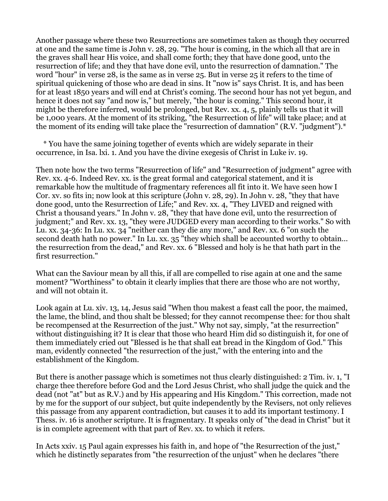Another passage where these two Resurrections are sometimes taken as though they occurred at one and the same time is John v. 28, 29. "The hour is coming, in the which all that are in the graves shall hear His voice, and shall come forth; they that have done good, unto the resurrection of life; and they that have done evil, unto the resurrection of damnation." The word "hour" in verse 28, is the same as in verse 25. But in verse 25 it refers to the time of spiritual quickening of those who are dead in sins. It "now is" says Christ. It is, and has been for at least 1850 years and will end at Christ's coming. The second hour has not yet begun, and hence it does not say "and now is," but merely, "the hour is coming." This second hour, it might be therefore inferred, would be prolonged, but Rev. xx. 4, 5, plainly tells us that it will be 1,000 years. At the moment of its striking, "the Resurrection of life" will take place; and at the moment of its ending will take place the "resurrection of damnation" (R.V. "judgment").\*

 \* You have the same joining together of events which are widely separate in their occurrence, in Isa. lxi. 1. And you have the divine exegesis of Christ in Luke iv. 19.

Then note how the two terms "Resurrection of life" and "Resurrection of judgment" agree with Rev. xx. 4-6. Indeed Rev. xx. is the great formal and categorical statement, and it is remarkable how the multitude of fragmentary references all fit into it. We have seen how I Cor. xv. so fits in; now look at this scripture (John v. 28, 29). In John v. 28, "they that have done good, unto the Resurrection of Life;" and Rev. xx. 4, "They LIVED and reigned with Christ a thousand years." In John v. 28, "they that have done evil, unto the resurrection of judgment;" and Rev. xx. 13, "they were JUDGED every man according to their works." So with Lu. xx. 34-36: In Lu. xx. 34 "neither can they die any more," and Rev. xx. 6 "on such the second death hath no power." In Lu. xx. 35 "they which shall be accounted worthy to obtain... the resurrection from the dead," and Rev. xx. 6 "Blessed and holy is he that hath part in the first resurrection."

What can the Saviour mean by all this, if all are compelled to rise again at one and the same moment? "Worthiness" to obtain it clearly implies that there are those who are not worthy, and will not obtain it.

Look again at Lu. xiv. 13, 14, Jesus said "When thou makest a feast call the poor, the maimed, the lame, the blind, and thou shalt be blessed; for they cannot recompense thee: for thou shalt be recompensed at the Resurrection of the just." Why not say, simply, "at the resurrection" without distinguishing it? It is clear that those who heard Him did so distinguish it, for one of them immediately cried out "Blessed is he that shall eat bread in the Kingdom of God." This man, evidently connected "the resurrection of the just," with the entering into and the establishment of the Kingdom.

But there is another passage which is sometimes not thus clearly distinguished: 2 Tim. iv. 1, "I charge thee therefore before God and the Lord Jesus Christ, who shall judge the quick and the dead (not "at" but as R.V.) and by His appearing and His Kingdom." This correction, made not by me for the support of our subject, but quite independently by the Revisers, not only relieves this passage from any apparent contradiction, but causes it to add its important testimony. I Thess. iv. 16 is another scripture. It is fragmentary. It speaks only of "the dead in Christ" but it is in complete agreement with that part of Rev. xx. to which it refers.

In Acts xxiv. 15 Paul again expresses his faith in, and hope of "the Resurrection of the just," which he distinctly separates from "the resurrection of the unjust" when he declares "there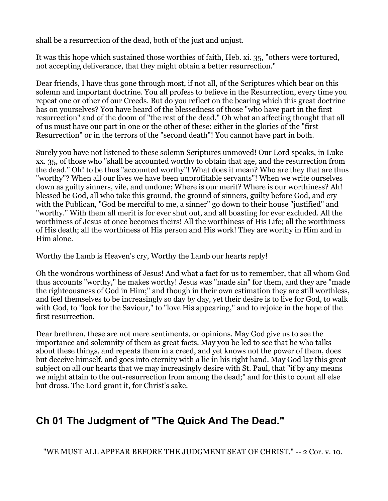shall be a resurrection of the dead, both of the just and unjust.

It was this hope which sustained those worthies of faith, Heb. xi. 35, "others were tortured, not accepting deliverance, that they might obtain a better resurrection."

Dear friends, I have thus gone through most, if not all, of the Scriptures which bear on this solemn and important doctrine. You all profess to believe in the Resurrection, every time you repeat one or other of our Creeds. But do you reflect on the bearing which this great doctrine has on yourselves? You have heard of the blessedness of those "who have part in the first resurrection" and of the doom of "the rest of the dead." Oh what an affecting thought that all of us must have our part in one or the other of these: either in the glories of the "first Resurrection" or in the terrors of the "second death"! You cannot have part in both.

Surely you have not listened to these solemn Scriptures unmoved! Our Lord speaks, in Luke xx. 35, of those who "shall be accounted worthy to obtain that age, and the resurrection from the dead." Oh! to be thus "accounted worthy"! What does it mean? Who are they that are thus "worthy"? When all our lives we have been unprofitable servants"! When we write ourselves down as guilty sinners, vile, and undone; Where is our merit? Where is our worthiness? Ah! blessed be God, all who take this ground, the ground of sinners, guilty before God, and cry with the Publican, "God be merciful to me, a sinner" go down to their house "justified" and "worthy." With them all merit is for ever shut out, and all boasting for ever excluded. All the worthiness of Jesus at once becomes theirs! All the worthiness of His Life; all the worthiness of His death; all the worthiness of His person and His work! They are worthy in Him and in Him alone.

Worthy the Lamb is Heaven's cry, Worthy the Lamb our hearts reply!

Oh the wondrous worthiness of Jesus! And what a fact for us to remember, that all whom God thus accounts "worthy," he makes worthy! Jesus was "made sin" for them, and they are "made the righteousness of God in Him;" and though in their own estimation they are still worthless, and feel themselves to be increasingly so day by day, yet their desire is to live for God, to walk with God, to "look for the Saviour," to "love His appearing," and to rejoice in the hope of the first resurrection.

Dear brethren, these are not mere sentiments, or opinions. May God give us to see the importance and solemnity of them as great facts. May you be led to see that he who talks about these things, and repeats them in a creed, and yet knows not the power of them, does but deceive himself, and goes into eternity with a lie in his right hand. May God lay this great subject on all our hearts that we may increasingly desire with St. Paul, that "if by any means we might attain to the out-resurrection from among the dead;" and for this to count all else but dross. The Lord grant it, for Christ's sake.

# **Ch 01 The Judgment of "The Quick And The Dead."**

"WE MUST ALL APPEAR BEFORE THE JUDGMENT SEAT OF CHRIST." -- 2 Cor. v. 10.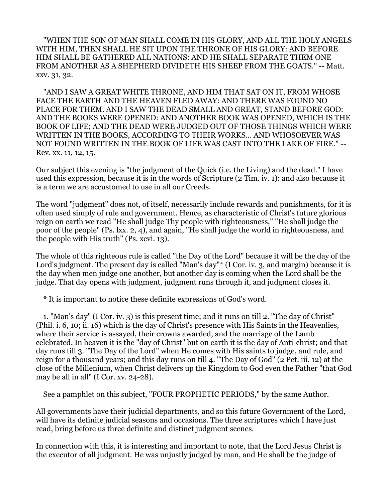"WHEN THE SON OF MAN SHALL COME IN HIS GLORY, AND ALL THE HOLY ANGELS WITH HIM, THEN SHALL HE SIT UPON THE THRONE OF HIS GLORY: AND BEFORE HIM SHALL BE GATHERED ALL NATIONS: AND HE SHALL SEPARATE THEM ONE FROM ANOTHER AS A SHEPHERD DIVIDETH HIS SHEEP FROM THE GOATS." -- Matt. xxv. 31, 32.

 "AND I SAW A GREAT WHITE THRONE, AND HIM THAT SAT ON IT, FROM WHOSE FACE THE EARTH AND THE HEAVEN FLED AWAY: AND THERE WAS FOUND NO PLACE FOR THEM. AND I SAW THE DEAD SMALL AND GREAT, STAND BEFORE GOD: AND THE BOOKS WERE OPENED: AND ANOTHER BOOK WAS OPENED, WHICH IS THE BOOK OF LIFE; AND THE DEAD WERE JUDGED OUT OF THOSE THINGS WHICH WERE WRITTEN IN THE BOOKS, ACCORDING TO THEIR WORKS... AND WHOSOEVER WAS NOT FOUND WRITTEN IN THE BOOK OF LIFE WAS CAST INTO THE LAKE OF FIRE." -- Rev. xx. 11, 12, 15.

Our subject this evening is "the judgment of the Quick (i.e. the Living) and the dead." I have used this expression, because it is in the words of Scripture (2 Tim. iv. 1): and also because it is a term we are accustomed to use in all our Creeds.

The word "judgment" does not, of itself, necessarily include rewards and punishments, for it is often used simply of rule and government. Hence, as characteristic of Christ's future glorious reign on earth we read "He shall judge Thy people with righteousness," "He shall judge the poor of the people" (Ps. lxx. 2, 4), and again, "He shall judge the world in righteousness, and the people with His truth" (Ps. xcvi. 13).

The whole of this righteous rule is called "the Day of the Lord" because it will be the day of the Lord's judgment. The present day is called "Man's day"\* (I Cor. iv. 3, and margin) because it is the day when men judge one another, but another day is coming when the Lord shall be the judge. That day opens with judgment, judgment runs through it, and judgment closes it.

\* It is important to notice these definite expressions of God's word.

 1. "Man's day" (I Cor. iv. 3) is this present time; and it runs on till 2. "The day of Christ" (Phil. i. 6, 10; ii. 16) which is the day of Christ's presence with His Saints in the Heavenlies, where their service is assayed, their crowns awarded, and the marriage of the Lamb celebrated. In heaven it is the "day of Christ" but on earth it is the day of Anti-christ; and that day runs till 3. "The Day of the Lord" when He comes with His saints to judge, and rule, and reign for a thousand years; and this day runs on till 4. "The Day of God" (2 Pet. iii. 12) at the close of the Millenium, when Christ delivers up the Kingdom to God even the Father "that God may be all in all" (I Cor. xv. 24-28).

See a pamphlet on this subject, "FOUR PROPHETIC PERIODS," by the same Author.

All governments have their judicial departments, and so this future Government of the Lord, will have its definite judicial seasons and occasions. The three scriptures which I have just read, bring before us three definite and distinct judgment scenes.

In connection with this, it is interesting and important to note, that the Lord Jesus Christ is the executor of all judgment. He was unjustly judged by man, and He shall be the judge of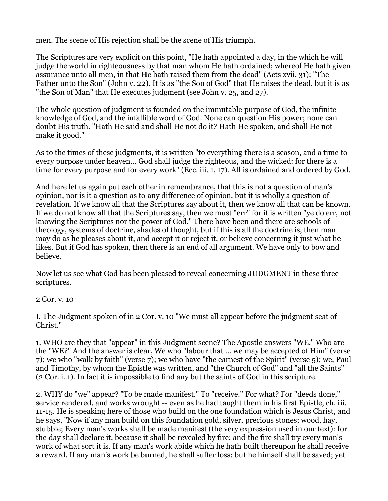men. The scene of His rejection shall be the scene of His triumph.

The Scriptures are very explicit on this point, "He hath appointed a day, in the which he will judge the world in righteousness by that man whom He hath ordained; whereof He hath given assurance unto all men, in that He hath raised them from the dead" (Acts xvii. 31); "The Father unto the Son" (John v. 22). It is as "the Son of God" that He raises the dead, but it is as "the Son of Man" that He executes judgment (see John v. 25, and 27).

The whole question of judgment is founded on the immutable purpose of God, the infinite knowledge of God, and the infallible word of God. None can question His power; none can doubt His truth. "Hath He said and shall He not do it? Hath He spoken, and shall He not make it good."

As to the times of these judgments, it is written "to everything there is a season, and a time to every purpose under heaven... God shall judge the righteous, and the wicked: for there is a time for every purpose and for every work" (Ecc. iii. 1, 17). All is ordained and ordered by God.

And here let us again put each other in remembrance, that this is not a question of man's opinion, nor is it a question as to any difference of opinion, but it is wholly a question of revelation. If we know all that the Scriptures say about it, then we know all that can be known. If we do not know all that the Scriptures say, then we must "err" for it is written "ye do err, not knowing the Scriptures nor the power of God." There have been and there are schools of theology, systems of doctrine, shades of thought, but if this is all the doctrine is, then man may do as he pleases about it, and accept it or reject it, or believe concerning it just what he likes. But if God has spoken, then there is an end of all argument. We have only to bow and believe.

Now let us see what God has been pleased to reveal concerning JUDGMENT in these three scriptures.

2 Cor. v. 10

I. The Judgment spoken of in 2 Cor. v. 10 "We must all appear before the judgment seat of Christ."

1. WHO are they that "appear" in this Judgment scene? The Apostle answers "WE." Who are the "WE?" And the answer is clear, We who "labour that ... we may be accepted of Him" (verse 7); we who "walk by faith" (verse 7); we who have "the earnest of the Spirit" (verse 5); we, Paul and Timothy, by whom the Epistle was written, and "the Church of God" and "all the Saints" (2 Cor. i. 1). In fact it is impossible to find any but the saints of God in this scripture.

2. WHY do "we" appear? "To be made manifest." To "receive." For what? For "deeds done," service rendered, and works wrought -- even as he had taught them in his first Epistle, ch. iii. 11-15. He is speaking here of those who build on the one foundation which is Jesus Christ, and he says, "Now if any man build on this foundation gold, silver, precious stones; wood, hay, stubble; Every man's works shall be made manifest (the very expression used in our text): for the day shall declare it, because it shall be revealed by fire; and the fire shall try every man's work of what sort it is. If any man's work abide which he hath built thereupon he shall receive a reward. If any man's work be burned, he shall suffer loss: but he himself shall be saved; yet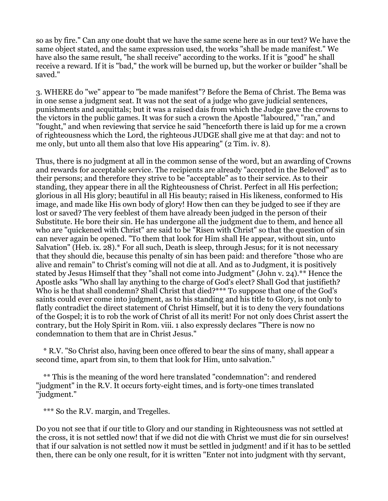so as by fire." Can any one doubt that we have the same scene here as in our text? We have the same object stated, and the same expression used, the works "shall be made manifest." We have also the same result, "he shall receive" according to the works. If it is "good" he shall receive a reward. If it is "bad," the work will be burned up, but the worker or builder "shall be saved."

3. WHERE do "we" appear to "be made manifest"? Before the Bema of Christ. The Bema was in one sense a judgment seat. It was not the seat of a judge who gave judicial sentences, punishments and acquittals; but it was a raised dais from which the Judge gave the crowns to the victors in the public games. It was for such a crown the Apostle "laboured," "ran," and "fought," and when reviewing that service he said "henceforth there is laid up for me a crown of righteousness which the Lord, the righteous JUDGE shall give me at that day: and not to me only, but unto all them also that love His appearing" (2 Tim. iv. 8).

Thus, there is no judgment at all in the common sense of the word, but an awarding of Crowns and rewards for acceptable service. The recipients are already "accepted in the Beloved" as to their persons; and therefore they strive to be "acceptable" as to their service. As to their standing, they appear there in all the Righteousness of Christ. Perfect in all His perfection; glorious in all His glory; beautiful in all His beauty; raised in His likeness, conformed to His image, and made like His own body of glory! How then can they be judged to see if they are lost or saved? The very feeblest of them have already been judged in the person of their Substitute. He bore their sin. He has undergone all the judgment due to them, and hence all who are "quickened with Christ" are said to be "Risen with Christ" so that the question of sin can never again be opened. "To them that look for Him shall He appear, without sin, unto Salvation" (Heb. ix. 28).\* For all such, Death is sleep, through Jesus; for it is not necessary that they should die, because this penalty of sin has been paid: and therefore "those who are alive and remain" to Christ's coming will not die at all. And as to Judgment, it is positively stated by Jesus Himself that they "shall not come into Judgment" (John v. 24).\*\* Hence the Apostle asks "Who shall lay anything to the charge of God's elect? Shall God that justifieth? Who is he that shall condemn? Shall Christ that died?\*\*\* To suppose that one of the God's saints could ever come into judgment, as to his standing and his title to Glory, is not only to flatly contradict the direct statement of Christ Himself, but it is to deny the very foundations of the Gospel; it is to rob the work of Christ of all its merit! For not only does Christ assert the contrary, but the Holy Spirit in Rom. viii. 1 also expressly declares "There is now no condemnation to them that are in Christ Jesus."

 \* R.V. "So Christ also, having been once offered to bear the sins of many, shall appear a second time, apart from sin, to them that look for Him, unto salvation."

 \*\* This is the meaning of the word here translated "condemnation": and rendered "judgment" in the R.V. It occurs forty-eight times, and is forty-one times translated "judgment."

\*\*\* So the R.V. margin, and Tregelles.

Do you not see that if our title to Glory and our standing in Righteousness was not settled at the cross, it is not settled now! that if we did not die with Christ we must die for sin ourselves! that if our salvation is not settled now it must be settled in judgment! and if it has to be settled then, there can be only one result, for it is written "Enter not into judgment with thy servant,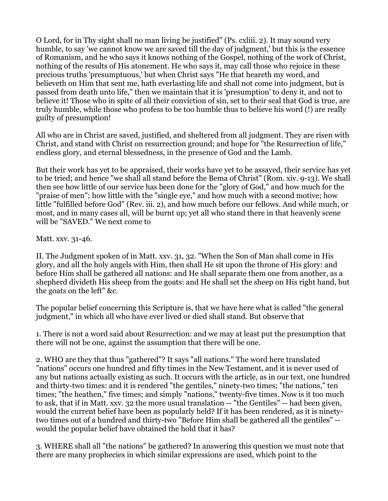O Lord, for in Thy sight shall no man living be justified" (Ps. cxliii. 2). It may sound very humble, to say 'we cannot know we are saved till the day of judgment,' but this is the essence of Romanism, and he who says it knows nothing of the Gospel, nothing of the work of Christ, nothing of the results of His atonement. He who says it, may call those who rejoice in these precious truths 'presumptuous,' but when Christ says "He that heareth my word, and believeth on Him that sent me, hath everlasting life and shall not come into judgment, but is passed from death unto life," then we maintain that it is 'presumption' to deny it, and not to believe it! Those who in spite of all their conviction of sin, set to their seal that God is true, are truly humble, while those who profess to be too humble thus to believe his word (!) are really guilty of presumption!

All who are in Christ are saved, justified, and sheltered from all judgment. They are risen with Christ, and stand with Christ on resurrection ground; and hope for "the Resurrection of life," endless glory, and eternal blessedness, in the presence of God and the Lamb.

But their work has yet to be appraised, their works have yet to be assayed, their service has yet to be tried; and hence "we shall all stand before the Bema of Christ" (Rom. xiv. 9-13). We shall then see how little of our service has been done for the "glory of God," and how much for the "praise of men"; how little with the "single eye," and how much with a second motive; how little "fulfilled before God" (Rev. iii. 2), and how much before our fellows. And while much, or most, and in many cases all, will be burnt up; yet all who stand there in that heavenly scene will be "SAVED." We next come to

Matt. xxv. 31-46.

II. The Judgment spoken of in Matt. xxv. 31, 32. "When the Son of Man shall come in His glory, and all the holy angels with Him, then shall He sit upon the throne of His glory: and before Him shall be gathered all nations: and He shall separate them one from another, as a shepherd divideth His sheep from the goats: and He shall set the sheep on His right hand, but the goats on the left" &c.

The popular belief concerning this Scripture is, that we have here what is called "the general judgment," in which all who have ever lived or died shall stand. But observe that

1. There is not a word said about Resurrection: and we may at least put the presumption that there will not be one, against the assumption that there will be one.

2. WHO are they that thus "gathered"? It says "all nations." The word here translated "nations" occurs one hundred and fifty times in the New Testament, and it is never used of any but nations actually existing as such. It occurs with the article, as in our text, one hundred and thirty-two times: and it is rendered "the gentiles," ninety-two times; "the nations," ten times; "the heathen," five times; and simply "nations," twenty-five times. Now is it too much to ask, that if in Matt. xxv. 32 the more usual translation -- "the Gentiles" -- had been given, would the current belief have been as popularly held? If it has been rendered, as it is ninetytwo times out of a hundred and thirty-two "Before Him shall be gathered all the gentiles" - would the popular belief have obtained the hold that it has?

3. WHERE shall all "the nations" be gathered? In answering this question we must note that there are many prophecies in which similar expressions are used, which point to the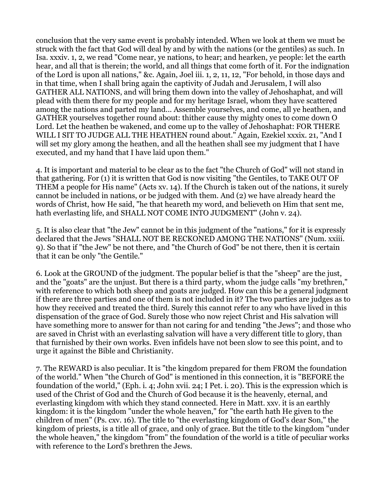conclusion that the very same event is probably intended. When we look at them we must be struck with the fact that God will deal by and by with the nations (or the gentiles) as such. In Isa. xxxiv. 1, 2, we read "Come near, ye nations, to hear; and hearken, ye people: let the earth hear, and all that is therein; the world, and all things that come forth of it. For the indignation of the Lord is upon all nations," &c. Again, Joel iii. 1, 2, 11, 12, "For behold, in those days and in that time, when I shall bring again the captivity of Judah and Jerusalem, I will also GATHER ALL NATIONS, and will bring them down into the valley of Jehoshaphat, and will plead with them there for my people and for my heritage Israel, whom they have scattered among the nations and parted my land... Assemble yourselves, and come, all ye heathen, and GATHER yourselves together round about: thither cause thy mighty ones to come down O Lord. Let the heathen be wakened, and come up to the valley of Jehoshaphat: FOR THERE WILL I SIT TO JUDGE ALL THE HEATHEN round about." Again, Ezekiel xxxix. 21, "And I will set my glory among the heathen, and all the heathen shall see my judgment that I have executed, and my hand that I have laid upon them."

4. It is important and material to be clear as to the fact "the Church of God" will not stand in that gathering. For (1) it is written that God is now visiting "the Gentiles, to TAKE OUT OF THEM a people for His name" (Acts xv. 14). If the Church is taken out of the nations, it surely cannot be included in nations, or be judged with them. And (2) we have already heard the words of Christ, how He said, "he that heareth my word, and believeth on Him that sent me, hath everlasting life, and SHALL NOT COME INTO JUDGMENT" (John v. 24).

5. It is also clear that "the Jew" cannot be in this judgment of the "nations," for it is expressly declared that the Jews "SHALL NOT BE RECKONED AMONG THE NATIONS" (Num. xxiii. 9). So that if "the Jew" be not there, and "the Church of God" be not there, then it is certain that it can be only "the Gentile."

6. Look at the GROUND of the judgment. The popular belief is that the "sheep" are the just, and the "goats" are the unjust. But there is a third party, whom the judge calls "my brethren," with reference to which both sheep and goats are judged. How can this be a general judgment if there are three parties and one of them is not included in it? The two parties are judges as to how they received and treated the third. Surely this cannot refer to any who have lived in this dispensation of the grace of God. Surely those who now reject Christ and His salvation will have something more to answer for than not caring for and tending "the Jews"; and those who are saved in Christ with an everlasting salvation will have a very different title to glory, than that furnished by their own works. Even infidels have not been slow to see this point, and to urge it against the Bible and Christianity.

7. The REWARD is also peculiar. It is "the kingdom prepared for them FROM the foundation of the world." When "the Church of God" is mentioned in this connection, it is "BEFORE the foundation of the world," (Eph. i. 4; John xvii. 24; I Pet. i. 20). This is the expression which is used of the Christ of God and the Church of God because it is the heavenly, eternal, and everlasting kingdom with which they stand connected. Here in Matt. xxv. it is an earthly kingdom: it is the kingdom "under the whole heaven," for "the earth hath He given to the children of men" (Ps. cxv. 16). The title to "the everlasting kingdom of God's dear Son," the kingdom of priests, is a title all of grace, and only of grace. But the title to the kingdom "under the whole heaven," the kingdom "from" the foundation of the world is a title of peculiar works with reference to the Lord's brethren the Jews.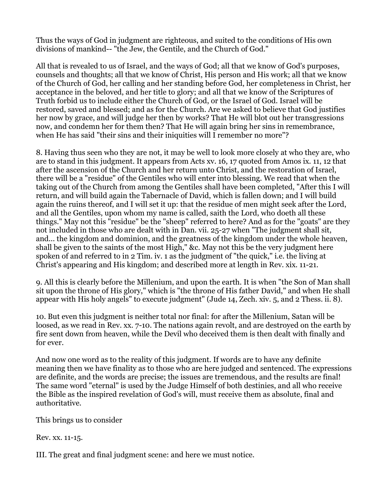Thus the ways of God in judgment are righteous, and suited to the conditions of His own divisions of mankind-- "the Jew, the Gentile, and the Church of God."

All that is revealed to us of Israel, and the ways of God; all that we know of God's purposes, counsels and thoughts; all that we know of Christ, His person and His work; all that we know of the Church of God, her calling and her standing before God, her completeness in Christ, her acceptance in the beloved, and her title to glory; and all that we know of the Scriptures of Truth forbid us to include either the Church of God, or the Israel of God. Israel will be restored, saved and blessed; and as for the Church. Are we asked to believe that God justifies her now by grace, and will judge her then by works? That He will blot out her transgressions now, and condemn her for them then? That He will again bring her sins in remembrance, when He has said "their sins and their iniquities will I remember no more"?

8. Having thus seen who they are not, it may be well to look more closely at who they are, who are to stand in this judgment. It appears from Acts xv. 16, 17 quoted from Amos ix. 11, 12 that after the ascension of the Church and her return unto Christ, and the restoration of Israel, there will be a "residue" of the Gentiles who will enter into blessing. We read that when the taking out of the Church from among the Gentiles shall have been completed, "After this I will return, and will build again the Tabernacle of David, which is fallen down; and I will build again the ruins thereof, and I will set it up: that the residue of men might seek after the Lord, and all the Gentiles, upon whom my name is called, saith the Lord, who doeth all these things." May not this "residue" be the "sheep" referred to here? And as for the "goats" are they not included in those who are dealt with in Dan. vii. 25-27 when "The judgment shall sit, and... the kingdom and dominion, and the greatness of the kingdom under the whole heaven, shall be given to the saints of the most High," &c. May not this be the very judgment here spoken of and referred to in 2 Tim. iv. 1 as the judgment of "the quick," i.e. the living at Christ's appearing and His kingdom; and described more at length in Rev. xix. 11-21.

9. All this is clearly before the Millenium, and upon the earth. It is when "the Son of Man shall sit upon the throne of His glory," which is "the throne of His father David," and when He shall appear with His holy angels" to execute judgment" (Jude 14, Zech. xiv. 5, and 2 Thess. ii. 8).

10. But even this judgment is neither total nor final: for after the Millenium, Satan will be loosed, as we read in Rev. xx. 7-10. The nations again revolt, and are destroyed on the earth by fire sent down from heaven, while the Devil who deceived them is then dealt with finally and for ever.

And now one word as to the reality of this judgment. If words are to have any definite meaning then we have finality as to those who are here judged and sentenced. The expressions are definite, and the words are precise; the issues are tremendous, and the results are final! The same word "eternal" is used by the Judge Himself of both destinies, and all who receive the Bible as the inspired revelation of God's will, must receive them as absolute, final and authoritative.

This brings us to consider

Rev. xx. 11-15.

III. The great and final judgment scene: and here we must notice.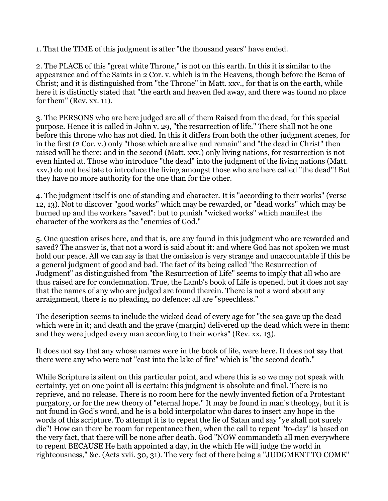1. That the TIME of this judgment is after "the thousand years" have ended.

2. The PLACE of this "great white Throne," is not on this earth. In this it is similar to the appearance and of the Saints in 2 Cor. v. which is in the Heavens, though before the Bema of Christ; and it is distinguished from "the Throne" in Matt. xxv., for that is on the earth, while here it is distinctly stated that "the earth and heaven fled away, and there was found no place for them" (Rev. xx. 11).

3. The PERSONS who are here judged are all of them Raised from the dead, for this special purpose. Hence it is called in John v. 29, "the resurrection of life." There shall not be one before this throne who has not died. In this it differs from both the other judgment scenes, for in the first (2 Cor. v.) only "those which are alive and remain" and "the dead in Christ" then raised will be there: and in the second (Matt. xxv.) only living nations, for resurrection is not even hinted at. Those who introduce "the dead" into the judgment of the living nations (Matt. xxv.) do not hesitate to introduce the living amongst those who are here called "the dead"! But they have no more authority for the one than for the other.

4. The judgment itself is one of standing and character. It is "according to their works" (verse 12, 13). Not to discover "good works" which may be rewarded, or "dead works" which may be burned up and the workers "saved": but to punish "wicked works" which manifest the character of the workers as the "enemies of God."

5. One question arises here, and that is, are any found in this judgment who are rewarded and saved? The answer is, that not a word is said about it: and where God has not spoken we must hold our peace. All we can say is that the omission is very strange and unaccountable if this be a general judgment of good and bad. The fact of its being called "the Resurrection of Judgment" as distinguished from "the Resurrection of Life" seems to imply that all who are thus raised are for condemnation. True, the Lamb's book of Life is opened, but it does not say that the names of any who are judged are found therein. There is not a word about any arraignment, there is no pleading, no defence; all are "speechless."

The description seems to include the wicked dead of every age for "the sea gave up the dead which were in it; and death and the grave (margin) delivered up the dead which were in them: and they were judged every man according to their works" (Rev. xx. 13).

It does not say that any whose names were in the book of life, were here. It does not say that there were any who were not "cast into the lake of fire" which is "the second death."

While Scripture is silent on this particular point, and where this is so we may not speak with certainty, yet on one point all is certain: this judgment is absolute and final. There is no reprieve, and no release. There is no room here for the newly invented fiction of a Protestant purgatory, or for the new theory of "eternal hope." It may be found in man's theology, but it is not found in God's word, and he is a bold interpolator who dares to insert any hope in the words of this scripture. To attempt it is to repeat the lie of Satan and say "ye shall not surely die"! How can there be room for repentance then, when the call to repent "to-day" is based on the very fact, that there will be none after death. God "NOW commandeth all men everywhere to repent BECAUSE He hath appointed a day, in the which He will judge the world in righteousness," &c. (Acts xvii. 30, 31). The very fact of there being a "JUDGMENT TO COME"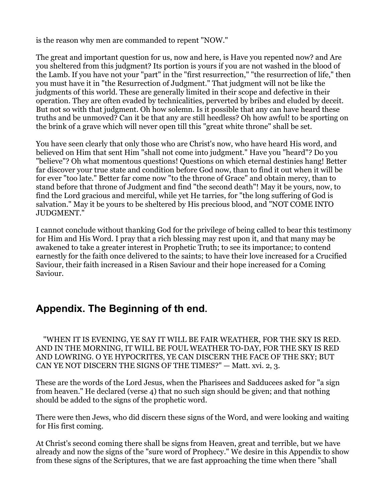is the reason why men are commanded to repent "NOW."

The great and important question for us, now and here, is Have you repented now? and Are you sheltered from this judgment? Its portion is yours if you are not washed in the blood of the Lamb. If you have not your "part" in the "first resurrection," "the resurrection of life," then you must have it in "the Resurrection of Judgment." That judgment will not be like the judgments of this world. These are generally limited in their scope and defective in their operation. They are often evaded by technicalities, perverted by bribes and eluded by deceit. But not so with that judgment. Oh how solemn. Is it possible that any can have heard these truths and be unmoved? Can it be that any are still heedless? Oh how awful! to be sporting on the brink of a grave which will never open till this "great white throne" shall be set.

You have seen clearly that only those who are Christ's now, who have heard His word, and believed on Him that sent Him "shall not come into judgment." Have you "heard"? Do you "believe"? Oh what momentous questions! Questions on which eternal destinies hang! Better far discover your true state and condition before God now, than to find it out when it will be for ever "too late." Better far come now "to the throne of Grace" and obtain mercy, than to stand before that throne of Judgment and find "the second death"! May it be yours, now, to find the Lord gracious and merciful, while yet He tarries, for "the long suffering of God is salvation." May it be yours to be sheltered by His precious blood, and "NOT COME INTO JUDGMENT."

I cannot conclude without thanking God for the privilege of being called to bear this testimony for Him and His Word. I pray that a rich blessing may rest upon it, and that many may be awakened to take a greater interest in Prophetic Truth; to see its importance; to contend earnestly for the faith once delivered to the saints; to have their love increased for a Crucified Saviour, their faith increased in a Risen Saviour and their hope increased for a Coming Saviour.

# **Appendix. The Beginning of th end.**

 "WHEN IT IS EVENING, YE SAY IT WILL BE FAIR WEATHER, FOR THE SKY IS RED. AND IN THE MORNING, IT WILL BE FOUL WEATHER TO-DAY, FOR THE SKY IS RED AND LOWRING. O YE HYPOCRITES, YE CAN DISCERN THE FACE OF THE SKY; BUT CAN YE NOT DISCERN THE SIGNS OF THE TIMES?" — Matt. xvi. 2, 3.

These are the words of the Lord Jesus, when the Pharisees and Sadducees asked for "a sign from heaven." He declared (verse 4) that no such sign should be given; and that nothing should be added to the signs of the prophetic word.

There were then Jews, who did discern these signs of the Word, and were looking and waiting for His first coming.

At Christ's second coming there shall be signs from Heaven, great and terrible, but we have already and now the signs of the "sure word of Prophecy." We desire in this Appendix to show from these signs of the Scriptures, that we are fast approaching the time when there "shall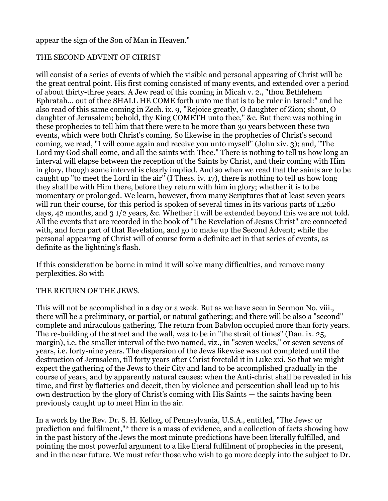### appear the sign of the Son of Man in Heaven."

## THE SECOND ADVENT OF CHRIST

will consist of a series of events of which the visible and personal appearing of Christ will be the great central point. His first coming consisted of many events, and extended over a period of about thirty-three years. A Jew read of this coming in Micah v. 2., "thou Bethlehem Ephratah... out of thee SHALL HE COME forth unto me that is to be ruler in Israel:" and he also read of this same coming in Zech. ix. 9, "Rejoice greatly, O daughter of Zion; shout, O daughter of Jerusalem; behold, thy King COMETH unto thee," &c. But there was nothing in these prophecies to tell him that there were to be more than 30 years between these two events, which were both Christ's coming. So likewise in the prophecies of Christ's second coming, we read, "I will come again and receive you unto myself" (John xiv. 3); and, "The Lord my God shall come, and all the saints with Thee." There is nothing to tell us how long an interval will elapse between the reception of the Saints by Christ, and their coming with Him in glory, though some interval is clearly implied. And so when we read that the saints are to be caught up "to meet the Lord in the air" (I Thess. iv. 17), there is nothing to tell us how long they shall be with Him there, before they return with him in glory; whether it is to be momentary or prolonged. We learn, however, from many Scriptures that at least seven years will run their course, for this period is spoken of several times in its various parts of 1,260 days, 42 months, and 3 1/2 years, &c. Whether it will be extended beyond this we are not told. All the events that are recorded in the book of "The Revelation of Jesus Christ" are connected with, and form part of that Revelation, and go to make up the Second Advent; while the personal appearing of Christ will of course form a definite act in that series of events, as definite as the lightning's flash.

If this consideration be borne in mind it will solve many difficulties, and remove many perplexities. So with

### THE RETURN OF THE JEWS.

This will not be accomplished in a day or a week. But as we have seen in Sermon No. viii., there will be a preliminary, or partial, or natural gathering; and there will be also a "second" complete and miraculous gathering. The return from Babylon occupied more than forty years. The re-building of the street and the wall, was to be in "the strait of times" (Dan. ix. 25, margin), i.e. the smaller interval of the two named, viz., in "seven weeks," or seven sevens of years, i.e. forty-nine years. The dispersion of the Jews likewise was not completed until the destruction of Jerusalem, till forty years after Christ foretold it in Luke xxi. So that we might expect the gathering of the Jews to their City and land to be accomplished gradually in the course of years, and by apparently natural causes: when the Anti-christ shall be revealed in his time, and first by flatteries and deceit, then by violence and persecution shall lead up to his own destruction by the glory of Christ's coming with His Saints — the saints having been previously caught up to meet Him in the air.

In a work by the Rev. Dr. S. H. Kellog, of Pennsylvania, U.S.A., entitled, "The Jews: or prediction and fulfilment,"\* there is a mass of evidence, and a collection of facts showing how in the past history of the Jews the most minute predictions have been literally fulfilled, and pointing the most powerful argument to a like literal fulfilment of prophecies in the present, and in the near future. We must refer those who wish to go more deeply into the subject to Dr.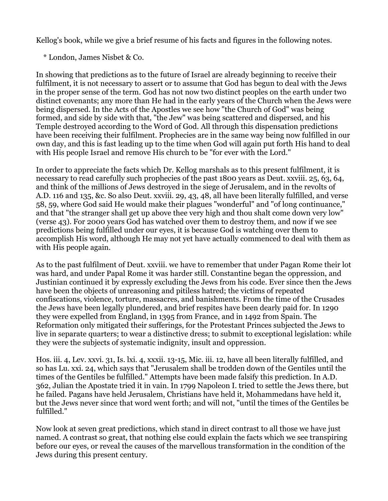Kellog's book, while we give a brief resume of his facts and figures in the following notes.

\* London, James Nisbet & Co.

In showing that predictions as to the future of Israel are already beginning to receive their fulfilment, it is not necessary to assert or to assume that God has begun to deal with the Jews in the proper sense of the term. God has not now two distinct peoples on the earth under two distinct covenants; any more than He had in the early years of the Church when the Jews were being dispersed. In the Acts of the Apostles we see how "the Church of God" was being formed, and side by side with that, "the Jew" was being scattered and dispersed, and his Temple destroyed according to the Word of God. All through this dispensation predictions have been receiving their fulfilment. Prophecies are in the same way being now fulfilled in our own day, and this is fast leading up to the time when God will again put forth His hand to deal with His people Israel and remove His church to be "for ever with the Lord."

In order to appreciate the facts which Dr. Kellog marshals as to this present fulfilment, it is necessary to read carefully such prophecies of the past 1800 years as Deut. xxviii. 25, 63, 64, and think of the millions of Jews destroyed in the siege of Jerusalem, and in the revolts of A.D. 116 and 135, &c. So also Deut. xxviii. 29, 43, 48, all have been literally fulfilled, and verse 58, 59, where God said He would make their plagues "wonderful" and "of long continuance," and that "the stranger shall get up above thee very high and thou shalt come down very low" (verse 43). For 2000 years God has watched over them to destroy them, and now if we see predictions being fulfilled under our eyes, it is because God is watching over them to accomplish His word, although He may not yet have actually commenced to deal with them as with His people again.

As to the past fulfilment of Deut. xxviii. we have to remember that under Pagan Rome their lot was hard, and under Papal Rome it was harder still. Constantine began the oppression, and Justinian continued it by expressly excluding the Jews from his code. Ever since then the Jews have been the objects of unreasoning and pitiless hatred; the victims of repeated confiscations, violence, torture, massacres, and banishments. From the time of the Crusades the Jews have been legally plundered, and brief respites have been dearly paid for. In 1290 they were expelled from England, in 1395 from France, and in 1492 from Spain. The Reformation only mitigated their sufferings, for the Protestant Princes subjected the Jews to live in separate quarters; to wear a distinctive dress; to submit to exceptional legislation: while they were the subjects of systematic indignity, insult and oppression.

Hos. iii. 4, Lev. xxvi. 31, Is. lxi. 4, xxxii. 13-15, Mic. iii. 12, have all been literally fulfilled, and so has Lu. xxi. 24, which says that "Jerusalem shall be trodden down of the Gentiles until the times of the Gentiles be fulfilled." Attempts have been made falsify this prediction. In A.D. 362, Julian the Apostate tried it in vain. In 1799 Napoleon I. tried to settle the Jews there, but he failed. Pagans have held Jerusalem, Christians have held it, Mohammedans have held it, but the Jews never since that word went forth; and will not, "until the times of the Gentiles be fulfilled."

Now look at seven great predictions, which stand in direct contrast to all those we have just named. A contrast so great, that nothing else could explain the facts which we see transpiring before our eyes, or reveal the causes of the marvellous transformation in the condition of the Jews during this present century.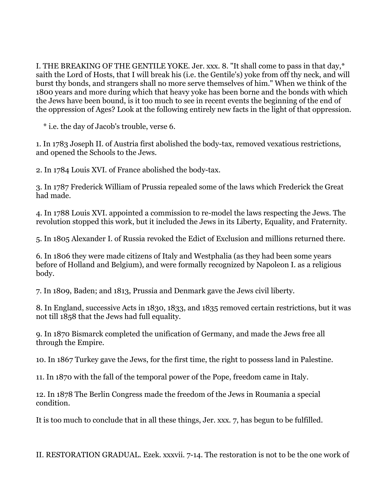I. THE BREAKING OF THE GENTILE YOKE. Jer. xxx. 8. "It shall come to pass in that day,\* saith the Lord of Hosts, that I will break his (i.e. the Gentile's) yoke from off thy neck, and will burst thy bonds, and strangers shall no more serve themselves of him." When we think of the 1800 years and more during which that heavy yoke has been borne and the bonds with which the Jews have been bound, is it too much to see in recent events the beginning of the end of the oppression of Ages? Look at the following entirely new facts in the light of that oppression.

\* i.e. the day of Jacob's trouble, verse 6.

1. In 1783 Joseph II. of Austria first abolished the body-tax, removed vexatious restrictions, and opened the Schools to the Jews.

2. In 1784 Louis XVI. of France abolished the body-tax.

3. In 1787 Frederick William of Prussia repealed some of the laws which Frederick the Great had made.

4. In 1788 Louis XVI. appointed a commission to re-model the laws respecting the Jews. The revolution stopped this work, but it included the Jews in its Liberty, Equality, and Fraternity.

5. In 1805 Alexander I. of Russia revoked the Edict of Exclusion and millions returned there.

6. In 1806 they were made citizens of Italy and Westphalia (as they had been some years before of Holland and Belgium), and were formally recognized by Napoleon I. as a religious body.

7. In 1809, Baden; and 1813, Prussia and Denmark gave the Jews civil liberty.

8. In England, successive Acts in 1830, 1833, and 1835 removed certain restrictions, but it was not till 1858 that the Jews had full equality.

9. In 1870 Bismarck completed the unification of Germany, and made the Jews free all through the Empire.

10. In 1867 Turkey gave the Jews, for the first time, the right to possess land in Palestine.

11. In 1870 with the fall of the temporal power of the Pope, freedom came in Italy.

12. In 1878 The Berlin Congress made the freedom of the Jews in Roumania a special condition.

It is too much to conclude that in all these things, Jer. xxx. 7, has begun to be fulfilled.

II. RESTORATION GRADUAL. Ezek. xxxvii. 7-14. The restoration is not to be the one work of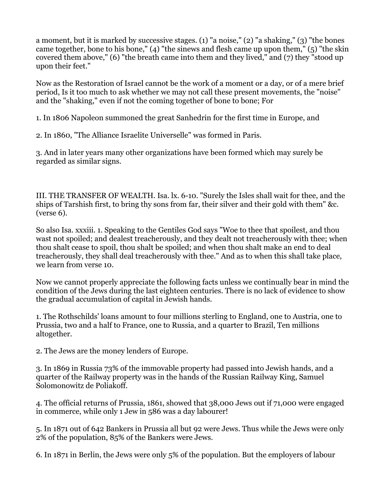a moment, but it is marked by successive stages. (1) "a noise," (2) "a shaking," (3) "the bones came together, bone to his bone," (4) "the sinews and flesh came up upon them," (5) "the skin covered them above," (6) "the breath came into them and they lived," and (7) they "stood up upon their feet."

Now as the Restoration of Israel cannot be the work of a moment or a day, or of a mere brief period, Is it too much to ask whether we may not call these present movements, the "noise" and the "shaking," even if not the coming together of bone to bone; For

1. In 1806 Napoleon summoned the great Sanhedrin for the first time in Europe, and

2. In 1860, "The Alliance Israelite Universelle" was formed in Paris.

3. And in later years many other organizations have been formed which may surely be regarded as similar signs.

III. THE TRANSFER OF WEALTH. Isa. lx. 6-10. "Surely the Isles shall wait for thee, and the ships of Tarshish first, to bring thy sons from far, their silver and their gold with them" &c. (verse 6).

So also Isa. xxxiii. 1. Speaking to the Gentiles God says "Woe to thee that spoilest, and thou wast not spoiled; and dealest treacherously, and they dealt not treacherously with thee; when thou shalt cease to spoil, thou shalt be spoiled; and when thou shalt make an end to deal treacherously, they shall deal treacherously with thee." And as to when this shall take place, we learn from verse 10.

Now we cannot properly appreciate the following facts unless we continually bear in mind the condition of the Jews during the last eighteen centuries. There is no lack of evidence to show the gradual accumulation of capital in Jewish hands.

1. The Rothschilds' loans amount to four millions sterling to England, one to Austria, one to Prussia, two and a half to France, one to Russia, and a quarter to Brazil, Ten millions altogether.

2. The Jews are the money lenders of Europe.

3. In 1869 in Russia 73% of the immovable property had passed into Jewish hands, and a quarter of the Railway property was in the hands of the Russian Railway King, Samuel Solomonowitz de Poliakoff.

4. The official returns of Prussia, 1861, showed that 38,000 Jews out if 71,000 were engaged in commerce, while only 1 Jew in 586 was a day labourer!

5. In 1871 out of 642 Bankers in Prussia all but 92 were Jews. Thus while the Jews were only 2% of the population, 85% of the Bankers were Jews.

6. In 1871 in Berlin, the Jews were only 5% of the population. But the employers of labour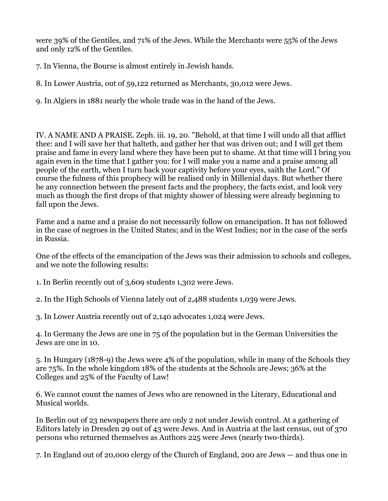were 39% of the Gentiles, and 71% of the Jews. While the Merchants were 55% of the Jews and only 12% of the Gentiles.

7. In Vienna, the Bourse is almost entirely in Jewish hands.

8. In Lower Austria, out of 59,122 returned as Merchants, 30,012 were Jews.

9. In Algiers in 1881 nearly the whole trade was in the hand of the Jews.

IV. A NAME AND A PRAISE. Zeph. iii. 19, 20. "Behold, at that time I will undo all that afflict thee: and I will save her that halteth, and gather her that was driven out; and I will get them praise and fame in every land where they have been put to shame. At that time will I bring you again even in the time that I gather you: for I will make you a name and a praise among all people of the earth, when I turn back your captivity before your eyes, saith the Lord." Of course the fulness of this prophecy will be realised only in Millenial days. But whether there be any connection between the present facts and the prophecy, the facts exist, and look very much as though the first drops of that mighty shower of blessing were already beginning to fall upon the Jews.

Fame and a name and a praise do not necessarily follow on emancipation. It has not followed in the case of negroes in the United States; and in the West Indies; nor in the case of the serfs in Russia.

One of the effects of the emancipation of the Jews was their admission to schools and colleges, and we note the following results:

1. In Berlin recently out of 3,609 students 1,302 were Jews.

2. In the High Schools of Vienna lately out of 2,488 students 1,039 were Jews.

3. In Lower Austria recently out of 2,140 advocates 1,024 were Jews.

4. In Germany the Jews are one in 75 of the population but in the German Universities the Jews are one in 10.

5. In Hungary (1878-9) the Jews were 4% of the population, while in many of the Schools they are 75%. In the whole kingdom 18% of the students at the Schools are Jews; 36% at the Colleges and 25% of the Faculty of Law!

6. We cannot count the names of Jews who are renowned in the Literary, Educational and Musical worlds.

In Berlin out of 23 newspapers there are only 2 not under Jewish control. At a gathering of Editors lately in Dresden 29 out of 43 were Jews. And in Austria at the last census, out of 370 persons who returned themselves as Authors 225 were Jews (nearly two-thirds).

7. In England out of 20,000 clergy of the Church of England, 200 are Jews — and thus one in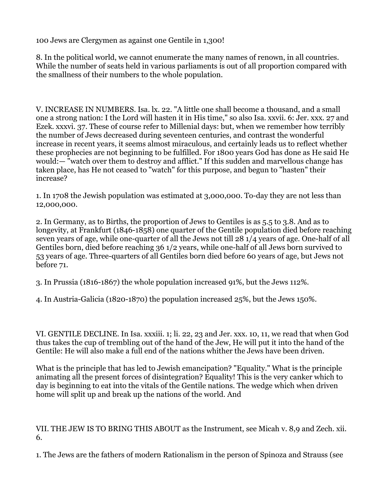100 Jews are Clergymen as against one Gentile in 1,300!

8. In the political world, we cannot enumerate the many names of renown, in all countries. While the number of seats held in various parliaments is out of all proportion compared with the smallness of their numbers to the whole population.

V. INCREASE IN NUMBERS. Isa. lx. 22. "A little one shall become a thousand, and a small one a strong nation: I the Lord will hasten it in His time," so also Isa. xxvii. 6: Jer. xxx. 27 and Ezek. xxxvi. 37. These of course refer to Millenial days: but, when we remember how terribly the number of Jews decreased during seventeen centuries, and contrast the wonderful increase in recent years, it seems almost miraculous, and certainly leads us to reflect whether these prophecies are not beginning to be fulfilled. For 1800 years God has done as He said He would:— "watch over them to destroy and afflict." If this sudden and marvellous change has taken place, has He not ceased to "watch" for this purpose, and begun to "hasten" their increase?

1. In 1708 the Jewish population was estimated at 3,000,000. To-day they are not less than 12,000,000.

2. In Germany, as to Births, the proportion of Jews to Gentiles is as 5.5 to 3.8. And as to longevity, at Frankfurt (1846-1858) one quarter of the Gentile population died before reaching seven years of age, while one-quarter of all the Jews not till 28 1/4 years of age. One-half of all Gentiles born, died before reaching 36 1/2 years, while one-half of all Jews born survived to 53 years of age. Three-quarters of all Gentiles born died before 60 years of age, but Jews not before 71.

3. In Prussia (1816-1867) the whole population increased 91%, but the Jews 112%.

4. In Austria-Galicia (1820-1870) the population increased 25%, but the Jews 150%.

VI. GENTILE DECLINE. In Isa. xxxiii. 1; li. 22, 23 and Jer. xxx. 10, 11, we read that when God thus takes the cup of trembling out of the hand of the Jew, He will put it into the hand of the Gentile: He will also make a full end of the nations whither the Jews have been driven.

What is the principle that has led to Jewish emancipation? "Equality." What is the principle animating all the present forces of disintegration? Equality! This is the very canker which to day is beginning to eat into the vitals of the Gentile nations. The wedge which when driven home will split up and break up the nations of the world. And

VII. THE JEW IS TO BRING THIS ABOUT as the Instrument, see Micah v. 8,9 and Zech. xii. 6.

1. The Jews are the fathers of modern Rationalism in the person of Spinoza and Strauss (see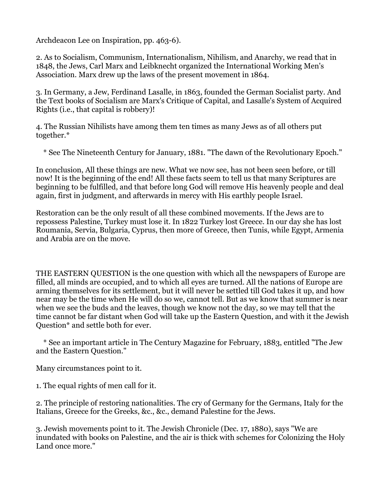Archdeacon Lee on Inspiration, pp. 463-6).

2. As to Socialism, Communism, Internationalism, Nihilism, and Anarchy, we read that in 1848, the Jews, Carl Marx and Leibknecht organized the International Working Men's Association. Marx drew up the laws of the present movement in 1864.

3. In Germany, a Jew, Ferdinand Lasalle, in 1863, founded the German Socialist party. And the Text books of Socialism are Marx's Critique of Capital, and Lasalle's System of Acquired Rights (i.e., that capital is robbery)!

4. The Russian Nihilists have among them ten times as many Jews as of all others put together.\*

\* See The Nineteenth Century for January, 1881. "The dawn of the Revolutionary Epoch."

In conclusion, All these things are new. What we now see, has not been seen before, or till now! It is the beginning of the end! All these facts seem to tell us that many Scriptures are beginning to be fulfilled, and that before long God will remove His heavenly people and deal again, first in judgment, and afterwards in mercy with His earthly people Israel.

Restoration can be the only result of all these combined movements. If the Jews are to repossess Palestine, Turkey must lose it. In 1822 Turkey lost Greece. In our day she has lost Roumania, Servia, Bulgaria, Cyprus, then more of Greece, then Tunis, while Egypt, Armenia and Arabia are on the move.

THE EASTERN QUESTION is the one question with which all the newspapers of Europe are filled, all minds are occupied, and to which all eyes are turned. All the nations of Europe are arming themselves for its settlement, but it will never be settled till God takes it up, and how near may be the time when He will do so we, cannot tell. But as we know that summer is near when we see the buds and the leaves, though we know not the day, so we may tell that the time cannot be far distant when God will take up the Eastern Question, and with it the Jewish Question\* and settle both for ever.

 \* See an important article in The Century Magazine for February, 1883, entitled "The Jew and the Eastern Question."

Many circumstances point to it.

1. The equal rights of men call for it.

2. The principle of restoring nationalities. The cry of Germany for the Germans, Italy for the Italians, Greece for the Greeks, &c., &c., demand Palestine for the Jews.

3. Jewish movements point to it. The Jewish Chronicle (Dec. 17, 1880), says "We are inundated with books on Palestine, and the air is thick with schemes for Colonizing the Holy Land once more."